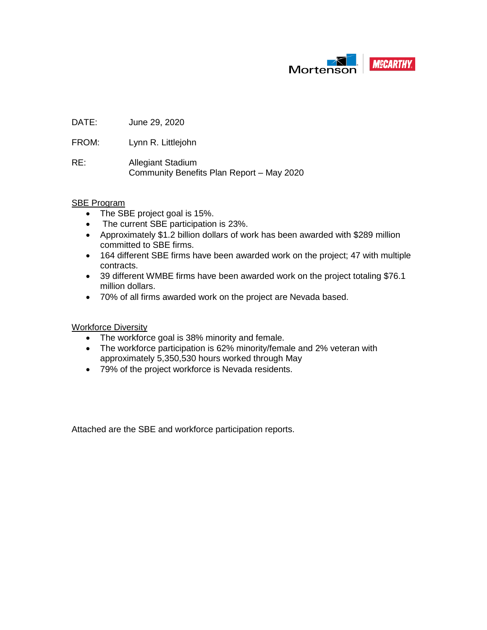

DATE: June 29, 2020

FROM: Lynn R. Littlejohn

RE: Allegiant Stadium Community Benefits Plan Report – May 2020

#### SBE Program

- The SBE project goal is 15%.
- The current SBE participation is 23%.
- Approximately \$1.2 billion dollars of work has been awarded with \$289 million committed to SBE firms.
- 164 different SBE firms have been awarded work on the project; 47 with multiple contracts.
- 39 different WMBE firms have been awarded work on the project totaling \$76.1 million dollars.
- 70% of all firms awarded work on the project are Nevada based.

Workforce Diversity

- The workforce goal is 38% minority and female.
- The workforce participation is 62% minority/female and 2% veteran with approximately 5,350,530 hours worked through May
- 79% of the project workforce is Nevada residents.

Attached are the SBE and workforce participation reports.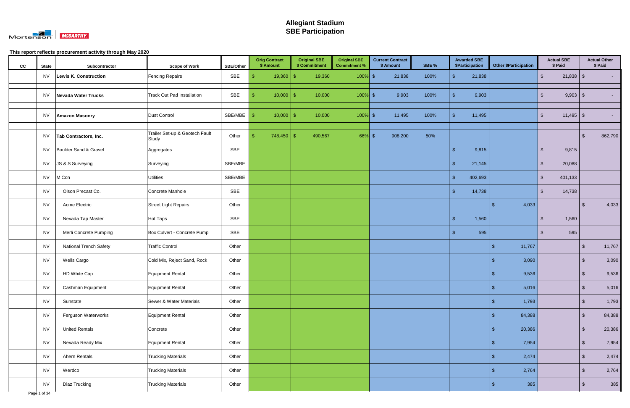

| cc | <b>State</b> | Subcontractor                 | <b>Scope of Work</b>                    | <b>SBE/Other</b> | <b>Orig Contract</b><br>\$ Amount | <b>Original SBE</b><br>\$ Commitment | <b>Original SBE</b><br><b>Commitment %</b> | <b>Current Contract</b><br>\$ Amount | SBE % | <b>Awarded SBE</b><br>\$Participation |            | <b>Other \$Participation</b> |                         | <b>Actual SBE</b><br>\$ Paid |                         | <b>Actual Other</b><br>\$ Paid |
|----|--------------|-------------------------------|-----------------------------------------|------------------|-----------------------------------|--------------------------------------|--------------------------------------------|--------------------------------------|-------|---------------------------------------|------------|------------------------------|-------------------------|------------------------------|-------------------------|--------------------------------|
|    | <b>NV</b>    | Lewis K. Construction         | <b>Fencing Repairs</b>                  | SBE              | $19,360$ \$                       | 19,360                               | $100\%$ \$                                 | 21,838                               | 100%  | 21,838                                |            |                              | $\sqrt[6]{\frac{1}{2}}$ |                              |                         |                                |
|    | NV           | Nevada Water Trucks           | Track Out Pad Installation              | SBE              | $10,000$   \$                     | 10,000                               | $100\%$ \$                                 | 9,903                                | 100%  | 9,903<br>- \$                         |            |                              | $\mathfrak{L}$          | $9,903$ \$                   |                         | $\sim 100$                     |
|    |              |                               |                                         |                  |                                   |                                      |                                            |                                      |       |                                       |            |                              |                         |                              |                         |                                |
|    | <b>NV</b>    | <b>Amazon Masonry</b>         | Dust Control                            | SBE/MBE          | $10,000$   \$                     | 10,000                               | $100\%$ \$                                 | 11,495                               | 100%  | 11,495<br>- \$                        |            |                              | -\$                     | $11,495$ \ \$                |                         | $\sim 100$                     |
|    | <b>NV</b>    | Tab Contractors, Inc.         | Trailer Set-up & Geotech Fault<br>Study | Other            | $748,450$ \ \$                    | 490,567                              | $66\%$ \$                                  | 908,200                              | 50%   |                                       |            |                              |                         |                              |                         | 862,790                        |
|    | <b>NV</b>    | Boulder Sand & Gravel         | Aggregates                              | SBE              |                                   |                                      |                                            |                                      |       | 9,815<br>- \$                         |            |                              | -\$                     | 9,815                        |                         |                                |
|    | <b>NV</b>    | JS & S Surveying              | Surveying                               | SBE/MBE          |                                   |                                      |                                            |                                      |       | - \$<br>21,145                        |            |                              | $\mathfrak{L}$          | 20,088                       |                         |                                |
|    | <b>NV</b>    | M Con                         | <b>Utilities</b>                        | SBE/MBE          |                                   |                                      |                                            |                                      |       | 402,693<br>-\$                        |            |                              | $\mathbf{r}$            | 401,133                      |                         |                                |
|    | <b>NV</b>    | Olson Precast Co.             | Concrete Manhole                        | SBE              |                                   |                                      |                                            |                                      |       | 14,738<br>- \$                        |            |                              | -\$                     | 14,738                       |                         |                                |
|    | <b>NV</b>    | Acme Electric                 | <b>Street Light Repairs</b>             | Other            |                                   |                                      |                                            |                                      |       |                                       | -\$        | 4,033                        |                         |                              |                         | 4,033                          |
|    | <b>NV</b>    | Nevada Tap Master             | Hot Taps                                | SBE              |                                   |                                      |                                            |                                      |       | 1,560<br>- \$                         |            |                              | -\$                     | 1,560                        |                         |                                |
|    | <b>NV</b>    | Merli Concrete Pumping        | Box Culvert - Concrete Pump             | SBE              |                                   |                                      |                                            |                                      |       | 595<br>- \$                           |            |                              |                         | 595                          |                         |                                |
|    | <b>NV</b>    | <b>National Trench Safety</b> | <b>Traffic Control</b>                  | Other            |                                   |                                      |                                            |                                      |       |                                       | - \$       | 11,767                       |                         |                              | -S                      | 11,767                         |
|    | <b>NV</b>    | Wells Cargo                   | Cold Mix, Reject Sand, Rock             | Other            |                                   |                                      |                                            |                                      |       |                                       | - \$       | 3,090                        |                         |                              | <b>S</b>                | 3,090                          |
|    | <b>NV</b>    | HD White Cap                  | Equipment Rental                        | Other            |                                   |                                      |                                            |                                      |       |                                       | -S         | 9,536                        |                         |                              | <b>S</b>                | 9,536                          |
|    | <b>NV</b>    | Cashman Equipment             | <b>Equipment Rental</b>                 | Other            |                                   |                                      |                                            |                                      |       |                                       | $\sqrt{3}$ | 5,016                        |                         |                              | $\sqrt[6]{3}$           | 5,016                          |
|    | <b>NV</b>    | Sunstate                      | Sewer & Water Materials                 | Other            |                                   |                                      |                                            |                                      |       |                                       | -\$        | 1,793                        |                         |                              | $\sqrt[6]{\frac{1}{2}}$ | 1,793                          |
|    | <b>NV</b>    | Ferguson Waterworks           | Equipment Rental                        | Other            |                                   |                                      |                                            |                                      |       |                                       | \$         | 84,388                       |                         |                              | $\sqrt[6]{\frac{1}{2}}$ | 84,388                         |
|    | <b>NV</b>    | <b>United Rentals</b>         | Concrete                                | Other            |                                   |                                      |                                            |                                      |       |                                       | -\$        | 20,386                       |                         |                              | $\mathfrak{S}$          | 20,386                         |
|    | <b>NV</b>    | Nevada Ready Mix              | Equipment Rental                        | Other            |                                   |                                      |                                            |                                      |       |                                       | -\$        | 7,954                        |                         |                              | $\sqrt[6]{3}$           | 7,954                          |
|    | <b>NV</b>    | Ahern Rentals                 | <b>Trucking Materials</b>               | Other            |                                   |                                      |                                            |                                      |       |                                       | -\$        | 2,474                        |                         |                              | $\sqrt[6]{3}$           | 2,474                          |
|    | <b>NV</b>    | Werdco                        | <b>Trucking Materials</b>               | Other            |                                   |                                      |                                            |                                      |       |                                       | -\$        | 2,764                        |                         |                              | $\sqrt[6]{3}$           | 2,764                          |
|    | <b>NV</b>    | Diaz Trucking                 | <b>Trucking Materials</b>               | Other            |                                   |                                      |                                            |                                      |       |                                       | -\$        | 385                          |                         |                              | $\mathfrak{S}$          | 385                            |
|    | Page 1 of 34 |                               |                                         |                  |                                   |                                      |                                            |                                      |       |                                       |            |                              |                         |                              |                         |                                |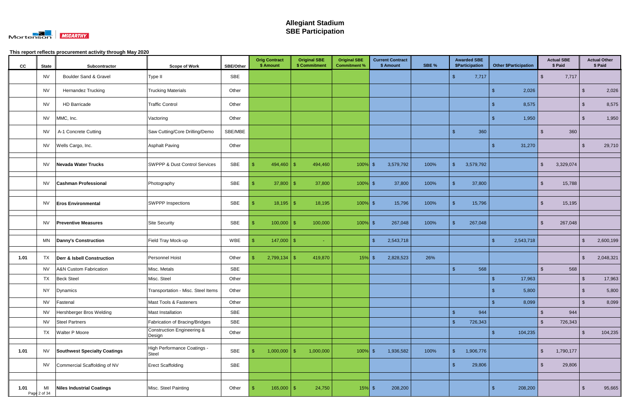

| cc   | <b>State</b>       | Subcontractor                         | <b>Scope of Work</b>                     | <b>SBE/Other</b> | <b>Orig Contract</b><br>\$ Amount | <b>Original SBE</b><br>\$ Commitment | <b>Original SBE</b><br><b>Commitment %</b> | <b>Current Contract</b><br>\$ Amount | SBE % | <b>Awarded SBE</b><br><b>\$Participation</b> | <b>Other \$Participation</b> | <b>Actual SBE</b><br>\$ Paid         |                | <b>Actual Other</b><br>\$ Paid |
|------|--------------------|---------------------------------------|------------------------------------------|------------------|-----------------------------------|--------------------------------------|--------------------------------------------|--------------------------------------|-------|----------------------------------------------|------------------------------|--------------------------------------|----------------|--------------------------------|
|      | <b>NV</b>          | <b>Boulder Sand &amp; Gravel</b>      | Type II                                  | SBE              |                                   |                                      |                                            |                                      |       | -\$<br>7,717                                 |                              | 7,717<br>-\$                         |                |                                |
|      | <b>NV</b>          | <b>Hernandez Trucking</b>             | <b>Trucking Materials</b>                | Other            |                                   |                                      |                                            |                                      |       |                                              | 2,026<br>-9                  |                                      | ß.             | 2,026                          |
|      | <b>NV</b>          | <b>HD Barricade</b>                   | <b>Traffic Control</b>                   | Other            |                                   |                                      |                                            |                                      |       |                                              | 8,575<br>-\$                 |                                      | \$             | 8,575                          |
|      | <b>NV</b>          | MMC, Inc.                             | Vactoring                                | Other            |                                   |                                      |                                            |                                      |       |                                              | 1,950<br>-S                  |                                      | $\sqrt[3]{2}$  | 1,950                          |
|      | <b>NV</b>          | A-1 Concrete Cutting                  | Saw Cutting/Core Drilling/Demo           | SBE/MBE          |                                   |                                      |                                            |                                      |       | 360<br><b>S</b>                              |                              | 360<br>-\$                           |                |                                |
|      | <b>NV</b>          | Wells Cargo, Inc.                     | <b>Asphalt Paving</b>                    | Other            |                                   |                                      |                                            |                                      |       |                                              | 31,270<br>-9                 |                                      | £.             | 29,710                         |
|      | <b>NV</b>          | <b>Nevada Water Trucks</b>            | <b>SWPPP &amp; Dust Control Services</b> | SBE              | 494,460                           | -\$<br>494,460                       | 100%                                       | 3,579,792<br>\$                      | 100%  | 3,579,792<br>-\$                             |                              | $\mathfrak{L}$<br>3,329,074          |                |                                |
|      | <b>NV</b>          | <b>Cashman Professional</b>           | Photography                              | SBE              | $37,800$ \$                       | 37,800                               | 100%                                       | 37,800<br><b>S</b>                   | 100%  | 37,800                                       |                              | 15,788<br>. ድ                        |                |                                |
|      | <b>NV</b>          | <b>Eros Environmental</b>             | <b>SWPPP Inspections</b>                 | SBE              | $18,195$ \$                       | 18,195                               | $100\%$ \$                                 | 15,796                               | 100%  | 15,796<br>-\$                                |                              | 15,195<br>\$                         |                |                                |
|      | <b>NV</b>          | <b>Preventive Measures</b>            | <b>Site Security</b>                     | SBE              | 100,000                           | $\mathcal{S}$<br>100,000             | $100\%$ \$                                 | 267,048                              | 100%  | 267,048                                      |                              | \$<br>267,048                        |                |                                |
|      | MN                 | Danny's Construction                  | Field Tray Mock-up                       | WBE              | $147,000$ \ \$                    | cent.                                |                                            | $\mathbf{\$}$<br>2,543,718           |       |                                              | 2,543,718<br>-\$             |                                      | $\mathfrak{S}$ | 2,600,199                      |
| 1.01 | TX                 | <b>Derr &amp; Isbell Construction</b> | Personnel Hoist                          | Other            | $2,799,134$ \$                    | 419,870                              | 15%                                        | 2,828,523<br>$\mathfrak{S}$          | 26%   |                                              |                              |                                      | $\mathbf{\$}$  | 2,048,321                      |
|      | <b>NV</b>          | A&N Custom Fabrication                | Misc. Metals                             | SBE              |                                   |                                      |                                            |                                      |       | $\mathbf{\$}$<br>568                         |                              | 568<br>$\mathbf{\hat{F}}$            |                |                                |
|      | TX                 | <b>Beck Steel</b>                     | Misc. Steel                              | Other            |                                   |                                      |                                            |                                      |       |                                              | 17,963<br>\$                 |                                      | \$             | 17,963                         |
|      | <b>NY</b>          | Dynamics                              | Transportation - Misc. Steel Items       | Other            |                                   |                                      |                                            |                                      |       |                                              | 5,800<br>-\$                 |                                      | $\sqrt[3]{2}$  | 5,800                          |
|      | <b>NV</b>          | Fastenal                              | Mast Tools & Fasteners                   | Other            |                                   |                                      |                                            |                                      |       |                                              | 8,099<br>\$                  |                                      | $\sqrt{2}$     | 8,099                          |
|      | <b>NV</b>          | Hershberger Bros Welding              | Mast Installation                        | <b>SBE</b>       |                                   |                                      |                                            |                                      |       | $\mathbf{\hat{s}}$<br>944                    |                              | 944<br>$\mathfrak{L}$                |                |                                |
|      | <b>NV</b>          | <b>Steel Partners</b>                 | Fabrication of Bracing/Bridges           | <b>SBE</b>       |                                   |                                      |                                            |                                      |       | $\mathbf{\hat{s}}$<br>726,343                |                              | $\mathcal{L}$<br>726,343             |                |                                |
|      | TX                 | Walter P Moore                        | Construction Engineering &<br>Design     | Other            |                                   |                                      |                                            |                                      |       |                                              | 104,235<br>$\sqrt[6]{3}$     |                                      | $\sqrt[6]{3}$  | 104,235                        |
| 1.01 | <b>NV</b>          | <b>Southwest Specialty Coatings</b>   | High Performance Coatings -<br>Steel     | SBE              | $1,000,000$ \$                    | 1,000,000                            | $100\%$ \$                                 | 1,936,582                            | 100%  | 1,906,776<br>-\$                             |                              | $\sqrt[6]{\frac{1}{2}}$<br>1,790,177 |                |                                |
|      | <b>NV</b>          | Commercial Scaffolding of NV          | <b>Erect Scaffolding</b>                 | SBE              |                                   |                                      |                                            |                                      |       | 29,806                                       |                              | 29,806<br>-\$                        |                |                                |
|      |                    |                                       |                                          |                  |                                   |                                      |                                            |                                      |       |                                              |                              |                                      |                |                                |
| 1.01 | MI<br>Page 2 of 34 | <b>Niles Industrial Coatings</b>      | Misc. Steel Painting                     | Other            | 165,000                           | 24,750<br>$\sqrt{2}$                 | $15%$ \$                                   | 208,200                              |       |                                              | 208,200<br>-\$               |                                      | - \$           | 95,665                         |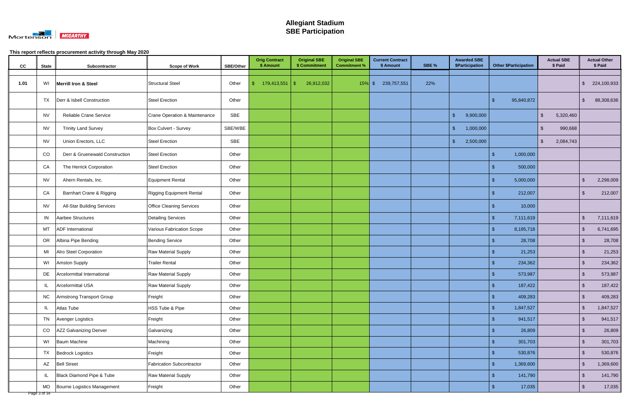

| cc   | <b>State</b>              | Subcontractor                     | <b>Scope of Work</b>             | <b>SBE/Other</b> | <b>Orig Contract</b><br>\$ Amount | <b>Original SBE</b><br>\$ Commitment | <b>Original SBE</b><br><b>Commitment %</b> | <b>Current Contract</b><br>\$ Amount | SBE % | <b>Awarded SBE</b><br>\$Participation | <b>Other \$Participation</b>  | <b>Actual SBE</b><br>\$ Paid |                         | <b>Actual Other</b><br>\$ Paid |
|------|---------------------------|-----------------------------------|----------------------------------|------------------|-----------------------------------|--------------------------------------|--------------------------------------------|--------------------------------------|-------|---------------------------------------|-------------------------------|------------------------------|-------------------------|--------------------------------|
|      |                           |                                   |                                  |                  |                                   |                                      |                                            |                                      |       |                                       |                               |                              |                         |                                |
| 1.01 | WI                        | <b>Merrill Iron &amp; Steel</b>   | <b>Structural Steel</b>          | Other            | $179,413,551$ \$                  | 26,912,032                           | $15\%$ \$                                  | 239,757,551                          | 22%   |                                       |                               |                              | $\sqrt[6]{2}$           | 224,100,933                    |
|      | <b>TX</b>                 | Derr & Isbell Construction        | <b>Steel Erection</b>            | Other            |                                   |                                      |                                            |                                      |       |                                       | 95,840,872<br>-\$             |                              | \$                      | 88,308,636                     |
|      | <b>NV</b>                 | Reliable Crane Service            | Crane Operation & Maintenance    | SBE              |                                   |                                      |                                            |                                      |       | 9,900,000<br>-\$                      |                               | $\mathbf{\$}$<br>5,320,460   |                         |                                |
|      | <b>NV</b>                 | <b>Trinity Land Survey</b>        | Box Culvert - Survey             | SBE/WBE          |                                   |                                      |                                            |                                      |       | 1,000,000<br>-\$                      |                               | 990,668<br>-S                |                         |                                |
|      | <b>NV</b>                 | Union Erectors, LLC               | <b>Steel Erection</b>            | SBE              |                                   |                                      |                                            |                                      |       | 2,500,000<br><b>S</b>                 |                               | $\sqrt[6]{2}$<br>2,084,743   |                         |                                |
|      | CO                        | Derr & Gruenewald Construction    | <b>Steel Erection</b>            | Other            |                                   |                                      |                                            |                                      |       |                                       | 1,000,000<br>\$               |                              |                         |                                |
|      | CA                        | The Herrick Corporation           | <b>Steel Erection</b>            | Other            |                                   |                                      |                                            |                                      |       |                                       | 500,000<br>- 35               |                              |                         |                                |
|      | <b>NV</b>                 | Ahern Rentals, Inc.               | <b>Equipment Rental</b>          | Other            |                                   |                                      |                                            |                                      |       |                                       | 5,000,000<br>-\$              |                              | -\$                     | 2,298,009                      |
|      | CA                        | Barnhart Crane & Rigging          | <b>Rigging Equipment Rental</b>  | Other            |                                   |                                      |                                            |                                      |       |                                       | 212,007<br>-S                 |                              | -\$                     | 212,007                        |
|      | <b>NV</b>                 | <b>All-Star Building Services</b> | <b>Office Cleaning Services</b>  | Other            |                                   |                                      |                                            |                                      |       |                                       | 10,000<br>-96                 |                              |                         |                                |
|      | IN                        | Aarbee Structures                 | <b>Detailing Services</b>        | Other            |                                   |                                      |                                            |                                      |       |                                       | \$<br>7,111,619               |                              | $\sqrt[3]{2}$           | 7,111,619                      |
|      | MT                        | <b>ADF</b> International          | Various Fabrication Scope        | Other            |                                   |                                      |                                            |                                      |       |                                       | 8,195,718<br>-\$              |                              | $\sqrt[6]{3}$           | 6,741,695                      |
|      | OR                        | Albina Pipe Bending               | <b>Bending Service</b>           | Other            |                                   |                                      |                                            |                                      |       |                                       | 28,708<br>-\$                 |                              | $\sqrt{2}$              | 28,708                         |
|      | MI                        | Alro Steel Corporation            | <b>Raw Material Supply</b>       | Other            |                                   |                                      |                                            |                                      |       |                                       | 21,253                        |                              | \$                      | 21,253                         |
|      | WI                        | Amston Supply                     | <b>Trailer Rental</b>            | Other            |                                   |                                      |                                            |                                      |       |                                       | 234,362                       |                              | $\sqrt[6]{3}$           | 234,362                        |
|      | DE                        | Arcelormittal International       | Raw Material Supply              | Other            |                                   |                                      |                                            |                                      |       |                                       | 573,987                       |                              | $\sqrt[6]{3}$           | 573,987                        |
|      |                           | <b>Arcelormittal USA</b>          | Raw Material Supply              | Other            |                                   |                                      |                                            |                                      |       |                                       | $\mathbf{\hat{F}}$<br>187,422 |                              | \$                      | 187,422                        |
|      | <b>NC</b>                 | <b>Armstrong Transport Group</b>  | Freight                          | Other            |                                   |                                      |                                            |                                      |       |                                       | 409,283<br>$\mathcal{S}$      |                              | $\sqrt[6]{\frac{1}{2}}$ | 409,283                        |
|      | IL                        | Atlas Tube                        | HSS Tube & Pipe                  | Other            |                                   |                                      |                                            |                                      |       |                                       | 1,847,527<br>-\$              |                              | $\sqrt{2}$              | 1,847,527                      |
|      | TN                        | Avenger Logistics                 | Freight                          | Other            |                                   |                                      |                                            |                                      |       |                                       | 941,517<br>-\$                |                              | $\sqrt[6]{3}$           | 941,517                        |
|      | CO                        | AZZ Galvanizing Denver            | Galvanizing                      | Other            |                                   |                                      |                                            |                                      |       |                                       | 26,809<br>\$                  |                              | $\sqrt[6]{3}$           | 26,809                         |
|      | WI                        | <b>Baum Machine</b>               | Machining                        | Other            |                                   |                                      |                                            |                                      |       |                                       | 301,703                       |                              | $\sqrt[6]{3}$           | 301,703                        |
|      | TX                        | <b>Bedrock Logistics</b>          | Freight                          | Other            |                                   |                                      |                                            |                                      |       |                                       | 530,876<br>-\$                |                              | $\sqrt[6]{3}$           | 530,876                        |
|      | AZ                        | <b>Bell Street</b>                | <b>Fabrication Subcontractor</b> | Other            |                                   |                                      |                                            |                                      |       |                                       | $\sqrt[6]{3}$<br>1,369,600    |                              | $\sqrt[6]{3}$           | 1,369,600                      |
|      | IL                        | Black Diamond Pipe & Tube         | Raw Material Supply              | Other            |                                   |                                      |                                            |                                      |       |                                       | 141,790<br>\$                 |                              | $\sqrt[6]{3}$           | 141,790                        |
|      | <b>MO</b><br>Page 3 of 34 | Bourne Logistics Management       | Freight                          | Other            |                                   |                                      |                                            |                                      |       |                                       | 17,035<br>-\$                 |                              | $\sqrt[6]{3}$           | 17,035                         |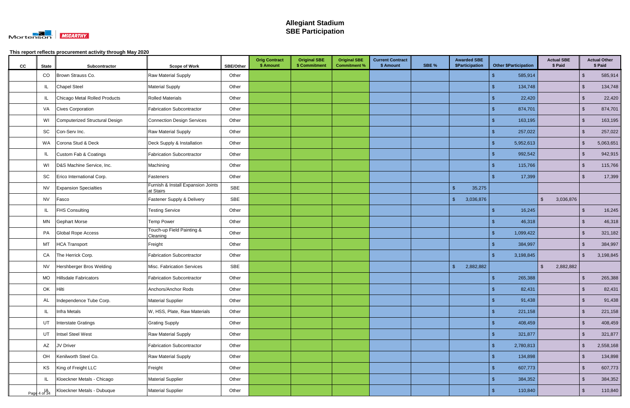

| cc | <b>State</b> | Subcontractor                  | <b>Scope of Work</b>                            | SBE/Other | <b>Orig Contract</b><br>\$ Amount | <b>Original SBE</b><br>\$ Commitment | <b>Original SBE</b><br><b>Commitment %</b> | <b>Current Contract</b><br>\$ Amount | SBE % | <b>Awarded SBE</b><br>\$Participation | <b>Other \$Participation</b> | <b>Actual SBE</b><br>\$ Paid |                         | <b>Actual Other</b><br>\$ Paid |
|----|--------------|--------------------------------|-------------------------------------------------|-----------|-----------------------------------|--------------------------------------|--------------------------------------------|--------------------------------------|-------|---------------------------------------|------------------------------|------------------------------|-------------------------|--------------------------------|
|    | CO           | Brown Strauss Co.              | Raw Material Supply                             | Other     |                                   |                                      |                                            |                                      |       |                                       | 585,914<br>-\$               |                              | $\sqrt[6]{3}$           | 585,914                        |
|    | IL           | <b>Chapel Steel</b>            | <b>Material Supply</b>                          | Other     |                                   |                                      |                                            |                                      |       |                                       | 134,748<br>-\$               |                              | $\sqrt[6]{\frac{1}{2}}$ | 134,748                        |
|    | IL           | Chicago Metal Rolled Products  | <b>Rolled Materials</b>                         | Other     |                                   |                                      |                                            |                                      |       |                                       | 22,420<br>-\$                |                              | $\sqrt[6]{3}$           | 22,420                         |
|    | VA           | <b>Cives Corporation</b>       | <b>Fabrication Subcontractor</b>                | Other     |                                   |                                      |                                            |                                      |       |                                       | 874,701<br>-S                |                              | $\sqrt[6]{3}$           | 874,701                        |
|    | WI           | Computerized Structural Design | <b>Connection Design Services</b>               | Other     |                                   |                                      |                                            |                                      |       |                                       | $\mathfrak{L}$<br>163,195    |                              | $\sqrt[6]{\frac{1}{2}}$ | 163,195                        |
|    | SC           | Con-Serv Inc.                  | <b>Raw Material Supply</b>                      | Other     |                                   |                                      |                                            |                                      |       |                                       | 257,022<br>-\$               |                              | $\sqrt[6]{3}$           | 257,022                        |
|    | WA           | Corona Stud & Deck             | Deck Supply & Installation                      | Other     |                                   |                                      |                                            |                                      |       |                                       | 5,952,613<br>-\$             |                              | \$                      | 5,063,651                      |
|    | IL           | Custom Fab & Coatings          | <b>Fabrication Subcontractor</b>                | Other     |                                   |                                      |                                            |                                      |       |                                       | 992,542<br>\$.               |                              | $\mathfrak{S}$          | 942,915                        |
|    | WI           | D&S Machine Service, Inc.      | Machining                                       | Other     |                                   |                                      |                                            |                                      |       |                                       | 115,766                      |                              | $\mathfrak{L}$          | 115,766                        |
|    | SC           | Erico International Corp.      | Fasteners                                       | Other     |                                   |                                      |                                            |                                      |       |                                       | 17,399                       |                              | -\$                     | 17,399                         |
|    | <b>NV</b>    | <b>Expansion Specialties</b>   | Furnish & Install Expansion Joints<br>at Stairs | SBE       |                                   |                                      |                                            |                                      |       | $\sqrt[6]{3}$<br>35,275               |                              |                              |                         |                                |
|    | <b>NV</b>    | Fasco                          | Fastener Supply & Delivery                      | SBE       |                                   |                                      |                                            |                                      |       | 3,036,876<br>-\$                      |                              | $\mathfrak{L}$<br>3,036,876  |                         |                                |
|    | IL           | <b>FHS Consulting</b>          | <b>Testing Service</b>                          | Other     |                                   |                                      |                                            |                                      |       |                                       | 16,245<br>\$                 |                              | $\sqrt[6]{3}$           | 16,245                         |
|    | MN           | <b>Gephart Morse</b>           | <b>Temp Power</b>                               | Other     |                                   |                                      |                                            |                                      |       |                                       | 46,318                       |                              | $\sqrt[6]{3}$           | 46,318                         |
|    | PA           | Global Rope Access             | Touch-up Field Painting &<br>Cleaning           | Other     |                                   |                                      |                                            |                                      |       |                                       | 1,099,422<br>-\$             |                              | $\mathbf{\$}$           | 321,182                        |
|    | МT           | <b>HCA Transport</b>           | Freight                                         | Other     |                                   |                                      |                                            |                                      |       |                                       | 384,997                      |                              | $\mathbf{\$}$           | 384,997                        |
|    | CA           | The Herrick Corp.              | <b>Fabrication Subcontractor</b>                | Other     |                                   |                                      |                                            |                                      |       |                                       | 3,198,845<br>-\$             |                              | $\sqrt[6]{3}$           | 3,198,845                      |
|    | <b>NV</b>    | Hershberger Bros Welding       | Misc. Fabrication Services                      | SBE       |                                   |                                      |                                            |                                      |       | 2,882,882<br>-\$                      |                              | 2,882,882<br>$\mathfrak{L}$  |                         |                                |
|    | MO           | <b>Hillsdale Fabricators</b>   | <b>Fabrication Subcontractor</b>                | Other     |                                   |                                      |                                            |                                      |       |                                       | 265,388<br>\$                |                              | \$                      | 265,388                        |
|    | OK           | Hilti                          | Anchors/Anchor Rods                             | Other     |                                   |                                      |                                            |                                      |       |                                       | 82,431<br>$\sqrt[6]{3}$      |                              | $\sqrt[6]{3}$           | 82,431                         |
|    | AL           | Independence Tube Corp.        | <b>Material Supplier</b>                        | Other     |                                   |                                      |                                            |                                      |       |                                       | $\sqrt[6]{3}$<br>91,438      |                              | $\sqrt[6]{3}$           | 91,438                         |
|    | IL           | <b>Infra Metals</b>            | W, HSS, Plate, Raw Materials                    | Other     |                                   |                                      |                                            |                                      |       |                                       | 221,158<br>-\$               |                              | $\sqrt[6]{\frac{1}{2}}$ | 221,158                        |
|    | UT           | Interstate Gratings            | <b>Grating Supply</b>                           | Other     |                                   |                                      |                                            |                                      |       |                                       | 408,459                      |                              | $\sqrt[6]{\frac{1}{2}}$ | 408,459                        |
|    | UT           | Intsel Steel West              | <b>Raw Material Supply</b>                      | Other     |                                   |                                      |                                            |                                      |       |                                       | -\$<br>321,877               |                              | $\sqrt[6]{\frac{1}{2}}$ | 321,877                        |
|    | AZ           | JV Driver                      | <b>Fabrication Subcontractor</b>                | Other     |                                   |                                      |                                            |                                      |       |                                       | $\sqrt{3}$<br>2,780,813      |                              | $\sqrt[6]{3}$           | 2,558,168                      |
|    | OH           | Kenilworth Steel Co.           | Raw Material Supply                             | Other     |                                   |                                      |                                            |                                      |       |                                       | 134,898<br>$\mathcal{S}$     |                              | $\sqrt[6]{\frac{1}{2}}$ | 134,898                        |
|    | KS           | King of Freight LLC            | Freight                                         | Other     |                                   |                                      |                                            |                                      |       |                                       | 607,773<br>-\$               |                              | $\sqrt[6]{3}$           | 607,773                        |
|    | IL           | Kloeckner Metals - Chicago     | Material Supplier                               | Other     |                                   |                                      |                                            |                                      |       |                                       | 384,352<br>\$                |                              | $\sqrt[6]{\frac{1}{2}}$ | 384,352                        |
|    | Page 4 of 34 | Kloeckner Metals - Dubuque     | Material Supplier                               | Other     |                                   |                                      |                                            |                                      |       |                                       | 110,840<br>$\mathfrak{L}$    |                              | $\sqrt[3]{2}$           | 110,840                        |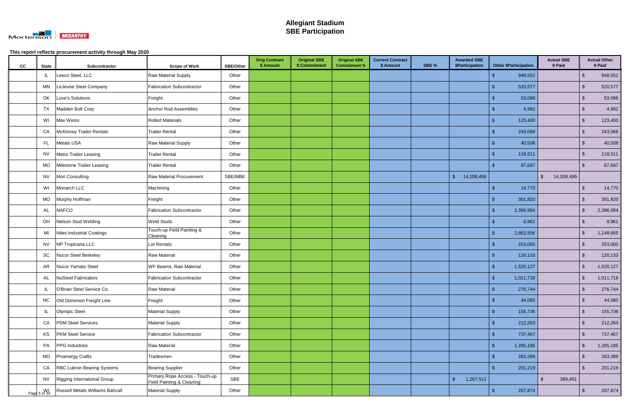

| cc | <b>State</b>       | Subcontractor                     | <b>Scope of Work</b>                                        | <b>SBE/Other</b> | <b>Orig Contract</b><br>\$ Amount | <b>Original SBE</b><br>\$ Commitment | <b>Original SBE</b><br><b>Commitment %</b> | <b>Current Contract</b><br>\$ Amount | SBE % | <b>Awarded SBE</b><br><b>\$Participation</b> |               | <b>Other \$Participation</b> | <b>Actual SBE</b><br>\$ Paid |                         | <b>Actual Other</b><br>\$ Paid |
|----|--------------------|-----------------------------------|-------------------------------------------------------------|------------------|-----------------------------------|--------------------------------------|--------------------------------------------|--------------------------------------|-------|----------------------------------------------|---------------|------------------------------|------------------------------|-------------------------|--------------------------------|
|    | IL                 | Leeco Steel, LLC                  | <b>Raw Material Supply</b>                                  | Other            |                                   |                                      |                                            |                                      |       |                                              |               | 948,552                      |                              | $\mathfrak{L}$          | 948,552                        |
|    | MN                 | LeJeune Steel Company             | Fabrication Subcontractor                                   | Other            |                                   |                                      |                                            |                                      |       |                                              | -\$           | 520,577                      |                              | \$                      | 520,577                        |
|    | OK                 | Love's Solutions                  | Freight                                                     | Other            |                                   |                                      |                                            |                                      |       |                                              | -\$           | 53,098                       |                              | \$                      | 53,098                         |
|    | TX                 | Madden Bolt Corp.                 | Anchor Rod Assemblies                                       | Other            |                                   |                                      |                                            |                                      |       |                                              |               | 4,992                        |                              | $\mathbf{\$}$           | 4,992                          |
|    | WI                 | Max Weiss                         | <b>Rolled Materials</b>                                     | Other            |                                   |                                      |                                            |                                      |       |                                              | -S            | 123,400                      |                              | $\sqrt{2}$              | 123,400                        |
|    | CA                 | McKinney Trailer Rentals          | <b>Trailer Rental</b>                                       | Other            |                                   |                                      |                                            |                                      |       |                                              | -\$           | 243,068                      |                              | $\sqrt[6]{3}$           | 243,068                        |
|    | FL.                | Metals USA                        | <b>Raw Material Supply</b>                                  | Other            |                                   |                                      |                                            |                                      |       |                                              |               | 40,508                       |                              | \$                      | 40,508                         |
|    | <b>NV</b>          | <b>Metro Trailer Leasing</b>      | <b>Trailer Rental</b>                                       | Other            |                                   |                                      |                                            |                                      |       |                                              | -S            | 118,511                      |                              | $\sqrt{2}$              | 118,511                        |
|    | MO                 | Milestone Trailer Leasing         | <b>Trailer Rental</b>                                       | Other            |                                   |                                      |                                            |                                      |       |                                              |               | 87,697                       |                              | $\mathbf{\$}$           | 87,697                         |
|    | <b>NV</b>          | Mori Consulting                   | Raw Material Procurement                                    | SBE/MBE          |                                   |                                      |                                            |                                      |       | 14,208,499<br>$\mathcal{S}$                  |               |                              | 14,208,499<br>$\mathfrak{L}$ |                         |                                |
|    | WI                 | Monarch LLC                       | Machining                                                   | Other            |                                   |                                      |                                            |                                      |       |                                              | $\mathcal{S}$ | 14,770                       |                              | $\mathfrak{S}$          | 14,770                         |
|    | <b>MO</b>          | Murphy Hoffman                    | Freight                                                     | Other            |                                   |                                      |                                            |                                      |       |                                              | -S            | 301,820                      |                              | \$                      | 301,820                        |
|    | AL                 | <b>NAFCO</b>                      | Fabrication Subcontractor                                   | Other            |                                   |                                      |                                            |                                      |       |                                              | -\$           | 2,396,994                    |                              | \$                      | 2,396,994                      |
|    | OH                 | Nelson Stud Welding               | <b>Weld Studs</b>                                           | Other            |                                   |                                      |                                            |                                      |       |                                              | -\$           | 8,961                        |                              | \$                      | 8,961                          |
|    | MI                 | Niles Industrial Coatings         | Touch-up Field Painting &<br>Cleaning                       | Other            |                                   |                                      |                                            |                                      |       |                                              | $\mathcal{S}$ | 2,863,556                    |                              | $\mathfrak{L}$          | 1,148,665                      |
|    | <b>NV</b>          | NP Tropicana LLC                  | Lot Rentals                                                 | Other            |                                   |                                      |                                            |                                      |       |                                              |               | 253,000                      |                              | \$                      | 253,000                        |
|    | SC                 | Nucor Steel Berkeley              | <b>Raw Material</b>                                         | Other            |                                   |                                      |                                            |                                      |       |                                              | \$            | 120,133                      |                              | $\mathfrak{S}$          | 120,133                        |
|    | AR                 | Nucor Yamato Steel                | <b>WF Beams, Raw Material</b>                               | Other            |                                   |                                      |                                            |                                      |       |                                              | \$            | 1,520,127                    |                              | $\mathfrak{S}$          | 1,520,127                      |
|    | AL                 | <b>NuSteel Fabricators</b>        | <b>Fabrication Subcontractor</b>                            | Other            |                                   |                                      |                                            |                                      |       |                                              | - \$          | 1,011,718                    |                              | $\mathfrak{S}$          | 1,011,718                      |
|    | IL                 | O'Brian Steel Service Co.         | Raw Material                                                | Other            |                                   |                                      |                                            |                                      |       |                                              | $\sqrt[6]{3}$ | 276,744                      |                              | $\sqrt{2}$              | 276,744                        |
|    | <b>NC</b>          | Old Dominion Freight Line         | Freight                                                     | Other            |                                   |                                      |                                            |                                      |       |                                              | $\sqrt[6]{3}$ | 44,080                       |                              | $\sqrt[6]{3}$           | 44,080                         |
|    | IL                 | Olympic Steel                     | <b>Material Supply</b>                                      | Other            |                                   |                                      |                                            |                                      |       |                                              | $\sqrt{2}$    | 155,736                      |                              | $\sqrt[6]{3}$           | 155,736                        |
|    | CA                 | <b>PDM Steel Services</b>         | <b>Material Supply</b>                                      | Other            |                                   |                                      |                                            |                                      |       |                                              | \$            | 212,263                      |                              | $\sqrt[6]{3}$           | 212,263                        |
|    | KS                 | <b>PKM Steel Service</b>          | Fabrication Subcontractor                                   | Other            |                                   |                                      |                                            |                                      |       |                                              | \$            | 737,467                      |                              | $\sqrt[3]{2}$           | 737,467                        |
|    | PA                 | <b>PPG</b> Industries             | <b>Raw Material</b>                                         | Other            |                                   |                                      |                                            |                                      |       |                                              | $\sqrt[6]{3}$ | 1,285,185                    |                              | $\sqrt[6]{\frac{1}{2}}$ | 1,285,185                      |
|    | <b>MO</b>          | <b>Proenergy Crafts</b>           | Tradesmen                                                   | Other            |                                   |                                      |                                            |                                      |       |                                              | $\sqrt{3}$    | 263,399                      |                              | $\sqrt[6]{3}$           | 263,399                        |
|    | CA                 | <b>RBC Lubron Bearing Systems</b> | <b>Bearing Supplier</b>                                     | Other            |                                   |                                      |                                            |                                      |       |                                              | -\$           | 201,219                      |                              | $\sqrt[3]{2}$           | 201,219                        |
|    | <b>NV</b>          | Rigging International Group       | Primary Rope Access - Touch-up<br>Field Painting & Cleaning | <b>SBE</b>       |                                   |                                      |                                            |                                      |       | $\sqrt{2}$<br>1,267,511                      |               |                              | $\mathbb{S}$<br>389,451      |                         |                                |
|    | WI<br>Page 5 of 34 | Russell Metals Williams Bahcall   | <b>Material Supply</b>                                      | Other            |                                   |                                      |                                            |                                      |       |                                              | $\mathcal{S}$ | 207,874                      |                              | $\mathcal{S}$           | 207,874                        |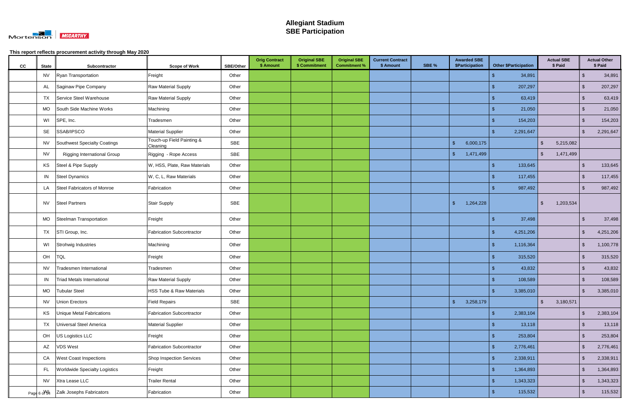

| cc | <b>State</b> | Subcontractor                        | <b>Scope of Work</b>                  | <b>SBE/Other</b> | <b>Orig Contract</b><br>\$ Amount | <b>Original SBE</b><br>\$ Commitment | <b>Original SBE</b><br><b>Commitment %</b> | <b>Current Contract</b><br>\$ Amount | SBE % | <b>Awarded SBE</b><br>\$Participation | <b>Other \$Participation</b> |         | <b>Actual SBE</b><br>\$ Paid    |                         | <b>Actual Other</b><br>\$ Paid |
|----|--------------|--------------------------------------|---------------------------------------|------------------|-----------------------------------|--------------------------------------|--------------------------------------------|--------------------------------------|-------|---------------------------------------|------------------------------|---------|---------------------------------|-------------------------|--------------------------------|
|    | <b>NV</b>    | Ryan Transportation                  | Freight                               | Other            |                                   |                                      |                                            |                                      |       |                                       | $\mathbf{s}$                 | 34,891  |                                 | \$                      | 34,891                         |
|    | AL           | Saginaw Pipe Company                 | Raw Material Supply                   | Other            |                                   |                                      |                                            |                                      |       |                                       | -\$                          | 207,297 |                                 | -\$                     | 207,297                        |
|    | TX           | Service Steel Warehouse              | Raw Material Supply                   | Other            |                                   |                                      |                                            |                                      |       |                                       | -\$                          | 63,419  |                                 | $\mathfrak{S}$          | 63,419                         |
|    | <b>MO</b>    | South Side Machine Works             | Machining                             | Other            |                                   |                                      |                                            |                                      |       |                                       |                              | 21,050  |                                 | $\mathfrak{L}$          | 21,050                         |
|    | WI           | SPE, Inc.                            | Tradesmen                             | Other            |                                   |                                      |                                            |                                      |       |                                       | S                            | 154,203 |                                 | $\mathfrak{S}$          | 154,203                        |
|    | SE           | SSAB/IPSCO                           | <b>Material Supplier</b>              | Other            |                                   |                                      |                                            |                                      |       |                                       | 2,291,647<br>-\$             |         |                                 | $\sqrt[6]{3}$           | 2,291,647                      |
|    | <b>NV</b>    | Southwest Specialty Coatings         | Touch-up Field Painting &<br>Cleaning | SBE              |                                   |                                      |                                            |                                      |       | 6,000,175<br>\$                       |                              |         | $\mathfrak{L}$<br>5,215,082     |                         |                                |
|    | <b>NV</b>    | <b>Rigging International Group</b>   | Rigging - Rope Access                 | SBE              |                                   |                                      |                                            |                                      |       | 1,471,499<br><b>S</b>                 |                              |         | $\mathfrak{L}$<br>1,471,499     |                         |                                |
|    | KS           | Steel & Pipe Supply                  | W, HSS, Plate, Raw Materials          | Other            |                                   |                                      |                                            |                                      |       |                                       | -\$                          | 133,645 |                                 | $\mathbf{\$}$           | 133,645                        |
|    | IN           | Steel Dynamics                       | W, C, L, Raw Materials                | Other            |                                   |                                      |                                            |                                      |       |                                       |                              | 117,455 |                                 | $\mathfrak{L}$          | 117,455                        |
|    | LA           | Steel Fabricators of Monroe          | Fabrication                           | Other            |                                   |                                      |                                            |                                      |       |                                       |                              | 987,492 |                                 | $\mathfrak{S}$          | 987,492                        |
|    | <b>NV</b>    | Steel Partners                       | <b>Stair Supply</b>                   | SBE              |                                   |                                      |                                            |                                      |       | 1,264,228<br>-\$                      |                              |         | $\mathbf{\hat{s}}$<br>1,203,534 |                         |                                |
|    | MO           | Steelman Transportation              | Freight                               | Other            |                                   |                                      |                                            |                                      |       |                                       | -\$                          | 37,498  |                                 | \$                      | 37,498                         |
|    | TX           | STI Group, Inc.                      | Fabrication Subcontractor             | Other            |                                   |                                      |                                            |                                      |       |                                       | 4,251,206<br>-\$             |         |                                 | $\mathfrak{L}$          | 4,251,206                      |
|    | WI           | Strohwig Industries                  | Machining                             | Other            |                                   |                                      |                                            |                                      |       |                                       | 1,116,364<br>\$              |         |                                 | \$                      | 1,100,778                      |
|    | OH           | TQL                                  | Freight                               | Other            |                                   |                                      |                                            |                                      |       |                                       |                              | 315,520 |                                 | $\mathfrak{L}$          | 315,520                        |
|    | <b>NV</b>    | Tradesmen International              | Tradesmen                             | Other            |                                   |                                      |                                            |                                      |       |                                       |                              | 43,832  |                                 | $\mathfrak{S}$          | 43,832                         |
|    | IN           | <b>Triad Metals International</b>    | Raw Material Supply                   | Other            |                                   |                                      |                                            |                                      |       |                                       |                              | 108,589 |                                 | -S                      | 108,589                        |
|    | <b>MO</b>    | <b>Tubular Steel</b>                 | <b>HSS Tube &amp; Raw Materials</b>   | Other            |                                   |                                      |                                            |                                      |       |                                       | 3,385,010<br>$\sqrt[6]{3}$   |         |                                 | $\sqrt{2}$              | 3,385,010                      |
|    | <b>NV</b>    | <b>Union Erectors</b>                | <b>Field Repairs</b>                  | SBE              |                                   |                                      |                                            |                                      |       | $\sqrt{2}$<br>3,258,179               |                              |         | $\sqrt{2}$<br>3,180,571         |                         |                                |
|    | KS           | Unique Metal Fabrications            | Fabrication Subcontractor             | Other            |                                   |                                      |                                            |                                      |       |                                       | $\sqrt{5}$<br>2,383,104      |         |                                 | $\sqrt{2}$              | 2,383,104                      |
|    | TX           | Universal Steel America              | <b>Material Supplier</b>              | Other            |                                   |                                      |                                            |                                      |       |                                       | -\$                          | 13,118  |                                 | \$                      | 13,118                         |
|    | OH           | US Logistics LLC                     | Freight                               | Other            |                                   |                                      |                                            |                                      |       |                                       | $\mathcal{S}$                | 253,804 |                                 | $\sqrt[6]{\frac{1}{2}}$ | 253,804                        |
|    | AZ           | <b>VDS West</b>                      | Fabrication Subcontractor             | Other            |                                   |                                      |                                            |                                      |       |                                       | 2,776,461<br>\$              |         |                                 | $\mathfrak{S}$          | 2,776,461                      |
|    | CA           | <b>West Coast Inspections</b>        | Shop Inspection Services              | Other            |                                   |                                      |                                            |                                      |       |                                       | -\$<br>2,338,911             |         |                                 | $\sqrt[6]{3}$           | 2,338,911                      |
|    | FL.          | <b>Worldwide Specialty Logistics</b> | Freight                               | Other            |                                   |                                      |                                            |                                      |       |                                       | $\sqrt[6]{3}$<br>1,364,893   |         |                                 | $\sqrt[6]{\frac{1}{2}}$ | 1,364,893                      |
|    | <b>NV</b>    | Xtra Lease LLC                       | <b>Trailer Rental</b>                 | Other            |                                   |                                      |                                            |                                      |       |                                       | $\mathbf{\$}$<br>1,343,323   |         |                                 | $\sqrt[6]{3}$           | 1,343,323                      |
|    |              | Page 6 of 4 Zalk Josephs Fabricators | Fabrication                           | Other            |                                   |                                      |                                            |                                      |       |                                       | -\$                          | 115,532 |                                 | $\sqrt[6]{3}$           | 115,532                        |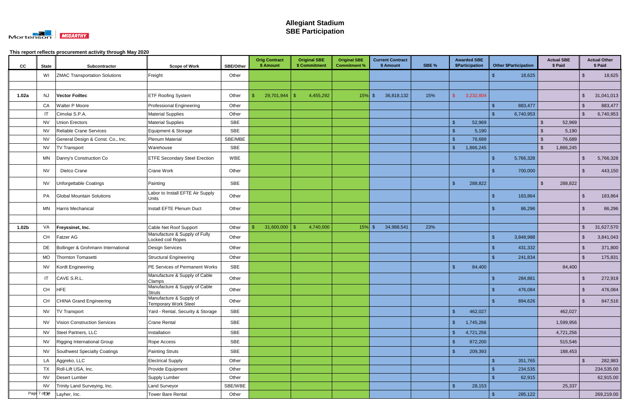

| cc                | <b>State</b>                             | Subcontractor                        | <b>Scope of Work</b>                                   | <b>SBE/Other</b> | <b>Orig Contract</b><br>\$ Amount | <b>Original SBE</b><br>\$ Commitment | <b>Original SBE</b><br><b>Commitment %</b> |               | <b>Current Contract</b><br>\$ Amount | SBE % | <b>Awarded SBE</b><br>\$Participation |           |                | <b>Other \$Participation</b> | <b>Actual SBE</b><br>\$ Paid |                           | <b>Actual Other</b><br>\$ Paid |
|-------------------|------------------------------------------|--------------------------------------|--------------------------------------------------------|------------------|-----------------------------------|--------------------------------------|--------------------------------------------|---------------|--------------------------------------|-------|---------------------------------------|-----------|----------------|------------------------------|------------------------------|---------------------------|--------------------------------|
|                   | WI                                       | <b>ZMAC Transportation Solutions</b> | Freight                                                | Other            |                                   |                                      |                                            |               |                                      |       |                                       |           |                | 18,625                       |                              | \$                        | 18,625                         |
|                   |                                          |                                      |                                                        |                  |                                   |                                      |                                            |               |                                      |       |                                       |           |                |                              |                              |                           |                                |
| 1.02a             | NJ                                       | <b>Vector Foiltec</b>                | <b>ETF Roofing System</b>                              | Other            | 29,701,944                        | 4,455,292<br>S.                      | 15%                                        | $\sqrt[6]{3}$ | 36,818,132                           | 15%   |                                       | 3,232,804 |                |                              |                              | $\frac{1}{2}$             | 31,041,013                     |
|                   | CA                                       | <b>Walter P Moore</b>                | Professional Engineering                               | Other            |                                   |                                      |                                            |               |                                      |       |                                       |           |                | 883,477                      |                              | \$                        | 883,477                        |
|                   | $\mathsf{I}$                             | Cimolai S.P.A.                       | <b>Material Supplies</b>                               | Other            |                                   |                                      |                                            |               |                                      |       |                                       |           |                | 6,740,953                    |                              | $\mathfrak{L}$            | 6,740,953                      |
|                   | <b>NV</b>                                | Union Erectors                       | <b>Material Supplies</b>                               | <b>SBE</b>       |                                   |                                      |                                            |               |                                      |       | -\$                                   | 52,969    |                |                              | 52,969                       |                           |                                |
|                   | <b>NV</b>                                | Reliable Crane Services              | Equipment & Storage                                    | <b>SBE</b>       |                                   |                                      |                                            |               |                                      |       | -\$                                   | 5,190     |                |                              | 5,190                        |                           |                                |
|                   | <b>NV</b>                                | General Design & Const. Co., Inc.    | <b>Plenum Material</b>                                 | SBE/MBE          |                                   |                                      |                                            |               |                                      |       | -\$                                   | 76,689    |                |                              | 76,689<br>\$                 |                           |                                |
|                   | <b>NV</b>                                | <b>TV Transport</b>                  | Warehouse                                              | <b>SBE</b>       |                                   |                                      |                                            |               |                                      |       | $\sqrt{3}$                            | 1,866,245 |                |                              | \$<br>1,866,245              |                           |                                |
|                   | MN                                       | Danny's Construction Co              | <b>ETFE Secondary Steel Erection</b>                   | <b>WBE</b>       |                                   |                                      |                                            |               |                                      |       |                                       |           |                | 5,766,328                    |                              | S.                        | 5,766,328                      |
|                   | <b>NV</b>                                | Dielco Crane                         | <b>Crane Work</b>                                      | Other            |                                   |                                      |                                            |               |                                      |       |                                       |           |                | 700,000                      |                              | $\mathfrak{L}$            | 443,150                        |
|                   | <b>NV</b>                                | Unforgettable Coatings               | Painting                                               | SBE              |                                   |                                      |                                            |               |                                      |       | $\mathbf{\$}$                         | 288,822   |                |                              | \$<br>288,822                |                           |                                |
|                   | PA                                       | <b>Global Mountain Solutions</b>     | Labor to Install EFTE Air Supply<br>Units              | Other            |                                   |                                      |                                            |               |                                      |       |                                       |           |                | 183,864                      |                              | \$                        | 183,864                        |
|                   | MN                                       | Harris Mechanical                    | Install EFTE Plenum Duct                               | Other            |                                   |                                      |                                            |               |                                      |       |                                       |           |                | 86,296                       |                              | \$                        | 86,296                         |
|                   |                                          |                                      |                                                        |                  |                                   |                                      |                                            |               |                                      |       |                                       |           |                |                              |                              |                           |                                |
| 1.02 <sub>b</sub> | VA                                       | Freyssinet, Inc.                     | Cable Net Roof Support                                 | Other            | 31,600,000                        | 4,740,000                            | 15%                                        | $\sqrt[6]{3}$ | 34,988,541                           | 23%   |                                       |           |                |                              |                              | $\sqrt[6]{\frac{1}{2}}$   | 31,627,570                     |
|                   | <b>CH</b>                                | <b>Fatzer AG</b>                     | Manufacture & Supply of Fully<br>Locked coil Ropes     | Other            |                                   |                                      |                                            |               |                                      |       |                                       |           | $\mathfrak{L}$ | 3,848,988                    |                              | $\boldsymbol{\mathsf{S}}$ | 3,841,043                      |
|                   | DE                                       | Bollinger & Grohmann International   | <b>Design Services</b>                                 | Other            |                                   |                                      |                                            |               |                                      |       |                                       |           |                | 431,332                      |                              | $\sqrt[3]{2}$             | 371,800                        |
|                   | <b>MO</b>                                | Thornton Tomasetti                   | Structural Engineering                                 | Other            |                                   |                                      |                                            |               |                                      |       |                                       |           |                | 241,834                      |                              | $\mathfrak{L}$            | 175,831                        |
|                   | NV                                       | Kordt Engineering                    | PE Services of Permanent Works                         | SBE              |                                   |                                      |                                            |               |                                      |       | $\mathbf{\$}$                         | 84,400    |                |                              | 84,400                       |                           |                                |
|                   | $\mathsf{I}$                             | CAVE S.R.L.                          | Manufacture & Supply of Cable<br>Clamps                | Other            |                                   |                                      |                                            |               |                                      |       |                                       |           |                | 284,881                      |                              | $\mathfrak{S}$            | 272,919                        |
|                   | $\mathsf{CH}% \left( \mathcal{M}\right)$ | HFE                                  | Manufacture & Supply of Cable<br><b>Struts</b>         | Other            |                                   |                                      |                                            |               |                                      |       |                                       |           | -\$            | 476,084                      |                              | $\sqrt[3]{2}$             | 476,084                        |
|                   | <b>CH</b>                                | CHINA Grand Engineering              | Manufacture & Supply of<br><b>Temporary Work Steel</b> | Other            |                                   |                                      |                                            |               |                                      |       |                                       |           |                | 894,626                      |                              | $\sqrt[3]{2}$             | 847,516                        |
|                   | <b>NV</b>                                | <b>TV Transport</b>                  | Yard - Rental, Security & Storage                      | SBE              |                                   |                                      |                                            |               |                                      |       | $\sqrt{3}$                            | 462,027   |                |                              | 462,027                      |                           |                                |
|                   | <b>NV</b>                                | Vision Construction Services         | <b>Crane Rental</b>                                    | SBE              |                                   |                                      |                                            |               |                                      |       | $\sqrt{3}$                            | 1,745,266 |                |                              | 1,599,956                    |                           |                                |
|                   | <b>NV</b>                                | Steel Partners, LLC                  | Installation                                           | SBE              |                                   |                                      |                                            |               |                                      |       | $\sqrt[6]{\frac{1}{2}}$               | 4,721,256 |                |                              | 4,721,256                    |                           |                                |
|                   | <b>NV</b>                                | Rigging International Group          | Rope Access                                            | <b>SBE</b>       |                                   |                                      |                                            |               |                                      |       | $\sqrt{3}$                            | 872,200   |                |                              | 515,546                      |                           |                                |
|                   | <b>NV</b>                                | Southwest Specialty Coatings         | Painting Struts                                        | SBE              |                                   |                                      |                                            |               |                                      |       | $\mathsf{\$}$                         | 209,393   |                |                              | 188,453                      |                           |                                |
|                   | LA                                       | Aggreko, LLC                         | <b>Electrical Supply</b>                               | Other            |                                   |                                      |                                            |               |                                      |       |                                       |           |                | 351,765                      |                              | $\sqrt[3]{2}$             | 282,983                        |
|                   | TX                                       | Roll-Lift USA, Inc.                  | Provide Equipment                                      | Other            |                                   |                                      |                                            |               |                                      |       |                                       |           |                | 234,535                      |                              |                           | 234,535.00                     |
|                   | <b>NV</b>                                | Desert Lumber                        | Supply Lumber                                          | Other            |                                   |                                      |                                            |               |                                      |       |                                       |           |                | 62,915                       |                              |                           | 62,915.00                      |
|                   | <b>NV</b>                                | Trinity Land Surveying, Inc.         | Land Surveyor                                          | SBE/WBE          |                                   |                                      |                                            |               |                                      |       | $\sqrt{2}$                            | 28,153    |                |                              | 25,337                       |                           |                                |
|                   | Page 7 of 34                             | Layher, Inc.                         | <b>Tower Bare Rental</b>                               | Other            |                                   |                                      |                                            |               |                                      |       |                                       |           | $\mathcal{L}$  | 285,122                      |                              |                           | 269,219.00                     |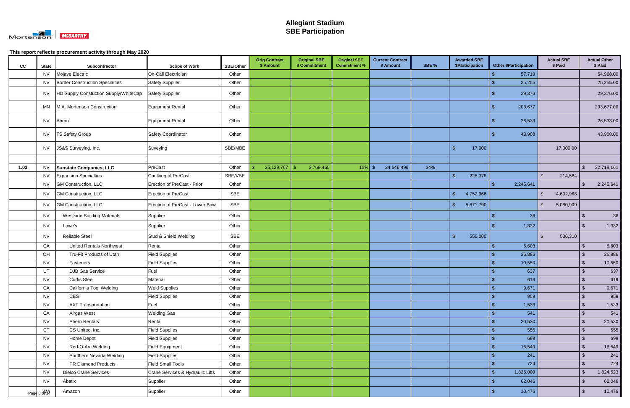

| cc   | <b>State</b> | Subcontractor                         | <b>Scope of Work</b>             | SBE/Other  | <b>Orig Contract</b><br>\$ Amount | <b>Original SBE</b><br>\$ Commitment | <b>Original SBE</b><br><b>Commitment %</b> | <b>Current Contract</b><br>\$ Amount | SBE % | <b>Awarded SBE</b><br>\$Participation | <b>Other \$Participation</b> |                | <b>Actual SBE</b><br>\$ Paid | <b>Actual Other</b><br>\$ Paid        |
|------|--------------|---------------------------------------|----------------------------------|------------|-----------------------------------|--------------------------------------|--------------------------------------------|--------------------------------------|-------|---------------------------------------|------------------------------|----------------|------------------------------|---------------------------------------|
|      | <b>NV</b>    | Mojave Electric                       | On-Call Electrician              | Other      |                                   |                                      |                                            |                                      |       |                                       | 57,719                       |                |                              | 54,968.00                             |
|      | <b>NV</b>    | Border Construction Specialties       | <b>Safety Supplier</b>           | Other      |                                   |                                      |                                            |                                      |       |                                       | 25,255                       |                |                              | 25,255.00                             |
|      | <b>NV</b>    | HD Supply Constuction Supply/WhiteCap | Safety Supplier                  | Other      |                                   |                                      |                                            |                                      |       |                                       | 29,376                       |                |                              | 29,376.00                             |
|      | MN           | M.A. Mortenson Construction           | <b>Equipment Rental</b>          | Other      |                                   |                                      |                                            |                                      |       |                                       | 203,677<br>\$.               |                |                              | 203,677.00                            |
|      | <b>NV</b>    | Ahern                                 | Equipment Rental                 | Other      |                                   |                                      |                                            |                                      |       |                                       | 26,533                       |                |                              | 26,533.00                             |
|      | <b>NV</b>    | <b>TS Safety Group</b>                | Safety Coordinator               | Other      |                                   |                                      |                                            |                                      |       |                                       | 43,908                       |                |                              | 43,908.00                             |
|      | <b>NV</b>    | JS&S Surveying, Inc.                  | Suveying                         | SBE/MBE    |                                   |                                      |                                            |                                      |       | 17,000<br>. ድ                         |                              |                | 17,000.00                    |                                       |
|      |              |                                       |                                  |            |                                   |                                      |                                            |                                      |       |                                       |                              |                |                              |                                       |
| 1.03 | <b>NV</b>    | <b>Sunstate Companies, LLC</b>        | PreCast                          | Other      | 25,129,767                        | -\$<br>3,769,465                     | 15%                                        | 34,646,499<br>-\$                    | 34%   |                                       |                              |                |                              | 32,718,161<br>$\sqrt[6]{\frac{1}{2}}$ |
|      | <b>NV</b>    | <b>Expansion Specialties</b>          | Caulking of PreCast              | SBE/VBE    |                                   |                                      |                                            |                                      |       | $\mathbf{\hat{S}}$<br>228,378         |                              | $\mathbb{S}$   | 214,584                      |                                       |
|      | <b>NV</b>    | <b>GM Construction, LLC</b>           | Erection of PreCast - Prior      | Other      |                                   |                                      |                                            |                                      |       |                                       | 2,245,641<br>ß.              |                |                              | 2,245,641<br>\$                       |
|      | <b>NV</b>    | GM Construction, LLC                  | Erection of PreCast              | <b>SBE</b> |                                   |                                      |                                            |                                      |       | $\mathbf{\hat{f}}$<br>4,752,966       |                              | $\mathfrak{L}$ | 4,692,968                    |                                       |
|      | <b>NV</b>    | GM Construction, LLC                  | Erection of PreCast - Lower Bowl | SBE        |                                   |                                      |                                            |                                      |       | 5,871,790                             |                              | $\mathfrak{L}$ | 5,080,909                    |                                       |
|      | <b>NV</b>    | <b>Westside Building Materials</b>    | Supplier                         | Other      |                                   |                                      |                                            |                                      |       |                                       | S                            | 36             |                              | 36<br>-\$                             |
|      | <b>NV</b>    | Lowe's                                | Supplier                         | Other      |                                   |                                      |                                            |                                      |       |                                       | 1,332                        |                |                              | $\mathbf{\hat{s}}$<br>1,332           |
|      | <b>NV</b>    | <b>Reliable Steel</b>                 | Stud & Shield Welding            | <b>SBE</b> |                                   |                                      |                                            |                                      |       | $\mathbf{\hat{S}}$<br>550,000         |                              | $\mathbb{S}$   | 536,310                      |                                       |
|      | CA           | <b>United Rentals Northwest</b>       | Rental                           | Other      |                                   |                                      |                                            |                                      |       |                                       | 5,603                        |                |                              | 5,603<br>$\sqrt[6]{\frac{1}{2}}$      |
|      | OH           | Tru-Fit Products of Utah              | <b>Field Supplies</b>            | Other      |                                   |                                      |                                            |                                      |       |                                       | 36,886                       |                |                              | $\sqrt[6]{\frac{1}{2}}$<br>36,886     |
|      | <b>NV</b>    | Fasteners                             | <b>Field Supplies</b>            | Other      |                                   |                                      |                                            |                                      |       |                                       | 10,550                       |                |                              | $\sqrt[6]{3}$<br>10,550               |
|      | UT           | <b>DJB Gas Service</b>                | Fuel                             | Other      |                                   |                                      |                                            |                                      |       |                                       |                              | 637            |                              | $\sqrt[6]{\frac{1}{2}}$<br>637        |
|      | <b>NV</b>    | <b>Curtis Steel</b>                   | Material                         | Other      |                                   |                                      |                                            |                                      |       |                                       |                              | 619            |                              | 619<br>$\sqrt[6]{3}$                  |
|      | CA           | California Tool Welding               | <b>Weld Supplies</b>             | Other      |                                   |                                      |                                            |                                      |       |                                       | 9,671<br>9                   |                |                              | 9,671<br>- \$                         |
|      | <b>NV</b>    | <b>CES</b>                            | <b>Field Supplies</b>            | Other      |                                   |                                      |                                            |                                      |       |                                       | $\mathbf{\$}$                | 959            |                              | $\sqrt[6]{3}$<br>959                  |
|      | <b>NV</b>    | <b>AXT Transportation</b>             | Fuel                             | Other      |                                   |                                      |                                            |                                      |       |                                       | 1,533                        |                |                              | $\sqrt[6]{\frac{1}{2}}$<br>1,533      |
|      | CA           | Airgas West                           | <b>Welding Gas</b>               | Other      |                                   |                                      |                                            |                                      |       |                                       |                              | 541            |                              | 541<br>$\sqrt[6]{\frac{1}{2}}$        |
|      | <b>NV</b>    | Ahern Rentals                         | Rental                           | Other      |                                   |                                      |                                            |                                      |       |                                       | 20,530                       |                |                              | $\sqrt[3]{5}$<br>20,530               |
|      | <b>CT</b>    | CS Unitec, Inc.                       | <b>Field Supplies</b>            | Other      |                                   |                                      |                                            |                                      |       |                                       |                              | 555            |                              | $\sqrt[6]{\frac{1}{2}}$<br>555        |
|      | <b>NV</b>    | Home Depot                            | <b>Field Supplies</b>            | Other      |                                   |                                      |                                            |                                      |       |                                       |                              | 698            |                              | $\sqrt[6]{\frac{1}{2}}$<br>698        |
|      | <b>NV</b>    | Red-O-Arc Welding                     | Field Equipment                  | Other      |                                   |                                      |                                            |                                      |       |                                       | 16,549<br>$\mathfrak{L}$     |                |                              | $\sqrt[6]{\frac{1}{2}}$<br>16,549     |
|      | <b>NV</b>    | Southern Nevada Welding               | <b>Field Supplies</b>            | Other      |                                   |                                      |                                            |                                      |       |                                       | ß.                           | 241            |                              | $\sqrt[6]{2}$<br>241                  |
|      | <b>NV</b>    | PR Diamond Products                   | <b>Field Small Tools</b>         | Other      |                                   |                                      |                                            |                                      |       |                                       | \$                           | 724            |                              | $\sqrt[6]{2}$<br>724                  |
|      | <b>NV</b>    | <b>Dielco Crane Services</b>          | Crane Services & Hydraulic Lifts | Other      |                                   |                                      |                                            |                                      |       |                                       | 1,825,000<br>$\mathfrak{L}$  |                |                              | 1,824,523<br>$\sqrt[6]{\frac{1}{2}}$  |
|      | <b>NV</b>    | Abatix                                | Supplier                         | Other      |                                   |                                      |                                            |                                      |       |                                       | 62,046<br>S                  |                |                              | 62,046<br>$\sqrt[3]{2}$               |
|      | Page 8 MA    | Amazon                                | Supplier                         | Other      |                                   |                                      |                                            |                                      |       |                                       | 10,476                       |                |                              | $\sqrt[6]{\frac{1}{2}}$<br>10,476     |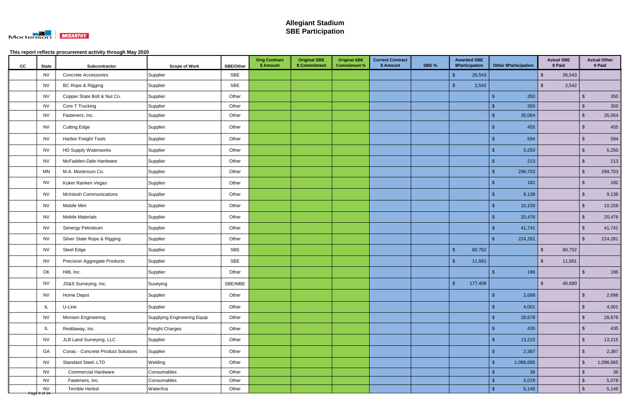

| cc | <b>State</b>              | Subcontractor                             | <b>Scope of Work</b>        | SBE/Other | <b>Orig Contract</b><br>\$ Amount | <b>Original SBE</b><br>\$ Commitment | <b>Original SBE</b><br><b>Commitment %</b> | <b>Current Contract</b><br>\$ Amount | SBE % | <b>Awarded SBE</b><br>\$Participation | <b>Other \$Participation</b> | <b>Actual SBE</b><br>\$ Paid      |                         | <b>Actual Other</b><br>\$ Paid |
|----|---------------------------|-------------------------------------------|-----------------------------|-----------|-----------------------------------|--------------------------------------|--------------------------------------------|--------------------------------------|-------|---------------------------------------|------------------------------|-----------------------------------|-------------------------|--------------------------------|
|    | <b>NV</b>                 | <b>Concrete Accessories</b>               | Supplier                    | SBE       |                                   |                                      |                                            |                                      |       | $\sqrt[6]{3}$<br>26,543               |                              | 26,543<br>$\mathfrak{L}$          |                         |                                |
|    | <b>NV</b>                 | BC Rope & Rigging                         | Supplier                    | SBE       |                                   |                                      |                                            |                                      |       | 2,542<br>୍ଥ                           |                              | 2,542<br>$\mathfrak{L}$           |                         |                                |
|    | <b>NV</b>                 | Copper State Bolt & Nut Co.               | Supplier                    | Other     |                                   |                                      |                                            |                                      |       |                                       | 350<br>-\$                   |                                   | $\sqrt[6]{3}$           | 350                            |
|    | <b>NV</b>                 | Core T Trucking                           | Supplier                    | Other     |                                   |                                      |                                            |                                      |       |                                       | 350<br>-\$                   |                                   | $\sqrt[3]{2}$           | 350                            |
|    | <b>NV</b>                 | Fasteners, Inc.                           | Supplier                    | Other     |                                   |                                      |                                            |                                      |       |                                       | 35,064<br>$\mathbf{\$}$      |                                   | $\sqrt[6]{\frac{1}{2}}$ | 35,064                         |
|    | <b>NV</b>                 | <b>Cutting Edge</b>                       | Supplier                    | Other     |                                   |                                      |                                            |                                      |       |                                       | 455<br>-\$                   |                                   | $\sqrt[6]{\frac{1}{2}}$ | 455                            |
|    | <b>NV</b>                 | <b>Harbor Freight Tools</b>               | Supplier                    | Other     |                                   |                                      |                                            |                                      |       |                                       | 594<br>$\mathfrak{L}$        |                                   | $\sqrt[6]{\frac{1}{2}}$ | 594                            |
|    | <b>NV</b>                 | <b>HD Supply Waterworks</b>               | Supplier                    | Other     |                                   |                                      |                                            |                                      |       |                                       | 5,250                        |                                   | $\sqrt[3]{2}$           | 5,250                          |
|    | <b>NV</b>                 | McFadden-Dale Hardware                    | Supplier                    | Other     |                                   |                                      |                                            |                                      |       |                                       | 213<br>\$                    |                                   | $\sqrt[6]{3}$           | 213                            |
|    | <b>MN</b>                 | M.A. Mortenson Co.                        | Supplier                    | Other     |                                   |                                      |                                            |                                      |       |                                       | 299,703                      |                                   | $\sqrt[3]{2}$           | 299,703                        |
|    | <b>NV</b>                 | Kuker Ranken Vegas                        | Supplier                    | Other     |                                   |                                      |                                            |                                      |       |                                       | 182<br>-\$                   |                                   | $\sqrt[6]{\frac{1}{2}}$ | 182                            |
|    | <b>NV</b>                 | <b>McIntosh Communications</b>            | Supplier                    | Other     |                                   |                                      |                                            |                                      |       |                                       | 9,138<br>\$                  |                                   | $\sqrt[6]{\frac{1}{2}}$ | 9,138                          |
|    | <b>NV</b>                 | Mobile Mini                               | Supplier                    | Other     |                                   |                                      |                                            |                                      |       |                                       | 10,159<br>$\mathfrak{L}$     |                                   | $\sqrt[6]{\frac{1}{2}}$ | 10,159                         |
|    | <b>NV</b>                 | <b>Mobile Materials</b>                   | Supplier                    | Other     |                                   |                                      |                                            |                                      |       |                                       | 20,476<br>-\$                |                                   | $\sqrt[6]{\frac{1}{2}}$ | 20,476                         |
|    | <b>NV</b>                 | Senergy Petroleum                         | Supplier                    | Other     |                                   |                                      |                                            |                                      |       |                                       | 41,741<br>\$                 |                                   | $\sqrt[6]{\frac{1}{2}}$ | 41,741                         |
|    | <b>NV</b>                 | Silver State Rope & Rigging               | Supplier                    | Other     |                                   |                                      |                                            |                                      |       |                                       | 224,281<br>୍ଥ ବ              |                                   | \$                      | 224,281                        |
|    | <b>NV</b>                 | Steel Edge                                | Supplier                    | SBE       |                                   |                                      |                                            |                                      |       | 80,752<br>$\sqrt[6]{5}$               |                              | $\sqrt[6]{\frac{1}{2}}$<br>80,752 |                         |                                |
|    | <b>NV</b>                 | <b>Precision Aggregate Products</b>       | Supplier                    | SBE       |                                   |                                      |                                            |                                      |       | $\sqrt{3}$<br>11,661                  |                              | $\mathbb{S}$<br>11,661            |                         |                                |
|    | OK                        | Hilti, Inc.                               | Supplier                    | Other     |                                   |                                      |                                            |                                      |       |                                       | -\$<br>196                   |                                   | $\mathbf{\$}$           | 196                            |
|    | <b>NV</b>                 | JS&S Surveying, Inc.                      | Suveying                    | SBE/MBE   |                                   |                                      |                                            |                                      |       | 177,408<br>$\sqrt[6]{3}$              |                              | $\frac{1}{2}$<br>46,680           |                         |                                |
|    | <b>NV</b>                 | Home Depot                                | Supplier                    | Other     |                                   |                                      |                                            |                                      |       |                                       | 2,698<br>$\mathbf{\$}$       |                                   | $\sqrt[6]{\frac{1}{2}}$ | 2,698                          |
|    | IL                        | U-Line                                    | Supplier                    | Other     |                                   |                                      |                                            |                                      |       |                                       | 4,001<br>$\sqrt[6]{3}$       |                                   | $\sqrt[6]{\frac{1}{2}}$ | 4,001                          |
|    | <b>NV</b>                 | Monsen Engineering                        | Supplying Engineering Equip | Other     |                                   |                                      |                                            |                                      |       |                                       | 28,678<br>\$                 |                                   | $\sqrt[6]{3}$           | 28,678                         |
|    | IL                        | Reddaway, Inc.                            | Freight Charges             | Other     |                                   |                                      |                                            |                                      |       |                                       | 435<br>$\mathbf{\$}$         |                                   | $\sqrt[6]{\frac{1}{2}}$ | 435                            |
|    | <b>NV</b>                 | JLB Land Surveying, LLC                   | Supplier                    | Other     |                                   |                                      |                                            |                                      |       |                                       | 13,215<br>$\mathbf{\hat{s}}$ |                                   | $\sqrt[6]{3}$           | 13,215                         |
|    | GA                        | <b>Conac - Concrete Product Solutions</b> | Supplier                    | Other     |                                   |                                      |                                            |                                      |       |                                       | 2,387<br>-\$                 |                                   | $\sqrt[6]{\frac{1}{2}}$ | 2,387                          |
|    | <b>NV</b>                 | Standard Steel, LTD                       | Welding                     | Other     |                                   |                                      |                                            |                                      |       |                                       | $\sqrt{3}$<br>1,096,665      |                                   | $\sqrt[6]{\frac{1}{2}}$ | 1,096,665                      |
|    | <b>NV</b>                 | <b>Commercial Hardware</b>                | Consumables                 | Other     |                                   |                                      |                                            |                                      |       |                                       | 36<br>-\$                    |                                   | $\sqrt[6]{\frac{1}{2}}$ | 36                             |
|    | <b>NV</b>                 | Fasteners, Inc.                           | Consumables                 | Other     |                                   |                                      |                                            |                                      |       |                                       | $\mathfrak{L}$<br>5,078      |                                   | $\sqrt[6]{\frac{1}{2}}$ | 5,078                          |
|    | <b>NV</b><br>Page 9 of 34 | <b>Terrible Herbst</b>                    | Water/Ice                   | Other     |                                   |                                      |                                            |                                      |       |                                       | 5,146<br>-\$                 |                                   | $\sqrt[3]{2}$           | 5,146                          |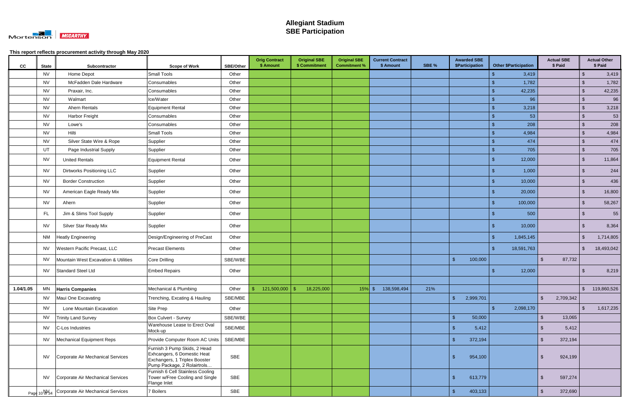

| CC        | <b>State</b> | Subcontractor                                              | <b>Scope of Work</b>                                                                                                        | <b>SBE/Other</b> | <b>Orig Contract</b><br>\$ Amount | <b>Original SBE</b><br>\$ Commitment | <b>Original SBE</b><br><b>Commitment %</b> | <b>Current Contract</b><br>\$ Amount | SBE % | <b>Awarded SBE</b><br>\$Participation |                | <b>Other \$Participation</b> |                         | <b>Actual SBE</b><br>\$ Paid |                         | <b>Actual Other</b><br>\$ Paid |
|-----------|--------------|------------------------------------------------------------|-----------------------------------------------------------------------------------------------------------------------------|------------------|-----------------------------------|--------------------------------------|--------------------------------------------|--------------------------------------|-------|---------------------------------------|----------------|------------------------------|-------------------------|------------------------------|-------------------------|--------------------------------|
|           | <b>NV</b>    | Home Depot                                                 | <b>Small Tools</b>                                                                                                          | Other            |                                   |                                      |                                            |                                      |       |                                       |                | 3,419                        |                         |                              | $\sqrt[6]{3}$           | 3,419                          |
|           | <b>NV</b>    | McFadden Dale Hardware                                     | Consumables                                                                                                                 | Other            |                                   |                                      |                                            |                                      |       |                                       |                | 1,782                        |                         |                              | $\sqrt[6]{\frac{1}{2}}$ | 1,782                          |
|           | <b>NV</b>    | Praxair, Inc.                                              | Consumables                                                                                                                 | Other            |                                   |                                      |                                            |                                      |       |                                       |                | 42,235                       |                         |                              | $\sqrt{3}$              | 42,235                         |
|           | <b>NV</b>    | Walmart                                                    | Ice/Water                                                                                                                   | Other            |                                   |                                      |                                            |                                      |       |                                       |                | 96                           |                         |                              | $\sqrt[6]{3}$           | 96                             |
|           | <b>NV</b>    | Ahern Rentals                                              | <b>Equipment Rental</b>                                                                                                     | Other            |                                   |                                      |                                            |                                      |       |                                       |                | 3,218                        |                         |                              | $\sqrt{2}$              | 3,218                          |
|           | <b>NV</b>    | <b>Harbor Freight</b>                                      | Consumables                                                                                                                 | Other            |                                   |                                      |                                            |                                      |       |                                       |                | 53                           |                         |                              | $\sqrt[6]{\frac{1}{2}}$ | 53                             |
|           | <b>NV</b>    | Lowe's                                                     | Consumables                                                                                                                 | Other            |                                   |                                      |                                            |                                      |       |                                       |                | 208                          |                         |                              | $\sqrt[6]{3}$           | 208                            |
|           | <b>NV</b>    | Hilti                                                      | <b>Small Tools</b>                                                                                                          | Other            |                                   |                                      |                                            |                                      |       |                                       |                | 4,984                        |                         |                              | $\sqrt[6]{\frac{1}{2}}$ | 4,984                          |
|           | <b>NV</b>    | Silver State Wire & Rope                                   | Supplier                                                                                                                    | Other            |                                   |                                      |                                            |                                      |       |                                       |                | 474                          |                         |                              | $\sqrt[6]{\frac{1}{2}}$ | 474                            |
|           | UT           | Page Industrial Supply                                     | Supplier                                                                                                                    | Other            |                                   |                                      |                                            |                                      |       |                                       | $\mathfrak{L}$ | 705                          |                         |                              | $\sqrt[6]{3}$           | 705                            |
|           | <b>NV</b>    | <b>United Rentals</b>                                      | Equipment Rental                                                                                                            | Other            |                                   |                                      |                                            |                                      |       |                                       | Æ              | 12,000                       |                         |                              | $\sqrt[6]{3}$           | 11,864                         |
|           | <b>NV</b>    | <b>Dirtworks Positioning LLC</b>                           | Supplier                                                                                                                    | Other            |                                   |                                      |                                            |                                      |       |                                       |                | 1,000                        |                         |                              | $\sqrt[6]{\frac{1}{2}}$ | 244                            |
|           | <b>NV</b>    | <b>Border Construction</b>                                 | Supplier                                                                                                                    | Other            |                                   |                                      |                                            |                                      |       |                                       | -S             | 10,000                       |                         |                              | $\sqrt[6]{3}$           | 436                            |
|           | <b>NV</b>    | American Eagle Ready Mix                                   | Supplier                                                                                                                    | Other            |                                   |                                      |                                            |                                      |       |                                       | S              | 20,000                       |                         |                              | $\sqrt[6]{2}$           | 16,800                         |
|           | <b>NV</b>    | Ahern                                                      | Supplier                                                                                                                    | Other            |                                   |                                      |                                            |                                      |       |                                       |                | 100,000                      |                         |                              | $\sqrt[6]{3}$           | 58,267                         |
|           | <b>FL</b>    | Jim & Slims Tool Supply                                    | Supplier                                                                                                                    | Other            |                                   |                                      |                                            |                                      |       |                                       |                | 500                          |                         |                              | $\sqrt[6]{3}$           | 55                             |
|           | <b>NV</b>    | <b>Silver Star Ready Mix</b>                               | Supplier                                                                                                                    | Other            |                                   |                                      |                                            |                                      |       |                                       |                | 10,000                       |                         |                              | $\sqrt[6]{3}$           | 8,364                          |
|           | <b>NM</b>    | <b>Heatly Engineering</b>                                  | Design/Engineering of PreCast                                                                                               | Other            |                                   |                                      |                                            |                                      |       |                                       | $\mathfrak{S}$ | 1,845,145                    |                         |                              | $\sqrt[6]{\frac{1}{2}}$ | 1,714,805                      |
|           | <b>NV</b>    | Western Pacific Precast, LLC                               | <b>Precast Elements</b>                                                                                                     | Other            |                                   |                                      |                                            |                                      |       |                                       | -\$            | 18,591,763                   |                         |                              | $\sqrt{3}$              | 18,493,042                     |
|           | <b>NV</b>    | Mountain West Excavation & Utilities                       | Core Drilling                                                                                                               | SBE/WBE          |                                   |                                      |                                            |                                      |       | $\sqrt{2}$<br>100,000                 |                |                              | $\mathfrak{L}$          | 87,732                       |                         |                                |
|           | NV           | Standard Steel Ltd                                         | <b>Embed Repairs</b>                                                                                                        | Other            |                                   |                                      |                                            |                                      |       |                                       |                | 12,000                       |                         |                              | -\$                     | 8,219                          |
|           |              |                                                            |                                                                                                                             |                  |                                   |                                      |                                            |                                      |       |                                       |                |                              |                         |                              |                         |                                |
| 1.04/1.05 |              | MN Harris Companies                                        | Mechanical & Plumbing                                                                                                       | Other            | $121,500,000$ \$                  | 18,225,000                           |                                            | $15\%$ \$<br>138,598,494             | 21%   |                                       |                |                              |                         |                              | -\$                     | 119,860,526                    |
|           | <b>NV</b>    | Maui One Excavating                                        | Trenching, Excating & Hauling                                                                                               | SBE/MBE          |                                   |                                      |                                            |                                      |       | $\mathfrak{s}$<br>2,999,701           |                |                              | $\mathfrak{s}$          | 2,709,342                    |                         |                                |
|           | <b>NV</b>    | Lone Mountain Excavation                                   | Site Prep                                                                                                                   | Other            |                                   |                                      |                                            |                                      |       |                                       | $\mathfrak{S}$ | 2,098,170                    |                         |                              | $\sqrt{2}$              | 1,617,235                      |
|           | <b>NV</b>    | <b>Trinity Land Survey</b>                                 | Box Culvert - Survey                                                                                                        | SBE/WBE          |                                   |                                      |                                            |                                      |       | $\sqrt[6]{3}$<br>50,000               |                |                              | $\mathfrak{F}$          | 13,065                       |                         |                                |
|           | <b>NV</b>    | C-Los Industries                                           | Warehouse Lease to Erect Oval<br>Mock-up                                                                                    | SBE/MBE          |                                   |                                      |                                            |                                      |       | $\mathbf{\hat{f}}$<br>5,412           |                |                              | \$                      | 5,412                        |                         |                                |
|           | <b>NV</b>    | Mechanical Equipment Reps                                  | Provide Computer Room AC Units                                                                                              | SBE/MBE          |                                   |                                      |                                            |                                      |       | $\sqrt{2}$<br>372,194                 |                |                              | $\sqrt[6]{\frac{1}{2}}$ | 372,194                      |                         |                                |
|           | <b>NV</b>    | Corporate Air Mechanical Services                          | Furnish 3 Pump Skids, 2 Head<br>Exhcangers, 6 Domestic Heat<br>Exchangers, 1 Triplex Booster<br>Pump Package, 2 Rolairtrols | SBE              |                                   |                                      |                                            |                                      |       | \$<br>954,100                         |                |                              | $\sqrt{3}$              | 924,199                      |                         |                                |
|           | <b>NV</b>    | Corporate Air Mechanical Services                          | Furnish 6 Cell Stainless Cooling<br>Tower w/Free Cooling and Single<br>Flange Inlet                                         | SBE              |                                   |                                      |                                            |                                      |       | $\mathcal{S}$<br>613,779              |                |                              | $\mathfrak{L}$          | 597,274                      |                         |                                |
|           |              | Page 10 NV <sub>34</sub> Corporate Air Mechanical Services | 7 Boilers                                                                                                                   | SBE              |                                   |                                      |                                            |                                      |       | $\mathbf{\$}$<br>403,133              |                |                              | $\sqrt[6]{2}$           | 372,690                      |                         |                                |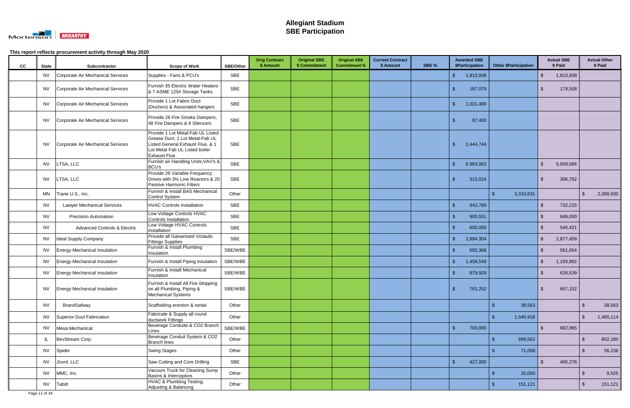

| cc | <b>State</b> | Subcontractor                           | <b>Scope of Work</b>                                                                                                                                              | SBE/Other  | <b>Orig Contract</b><br>\$ Amount | <b>Original SBE</b><br>\$ Commitment | <b>Original SBE</b><br><b>Commitment %</b> | <b>Current Contract</b><br>\$ Amount | SBE % | <b>Awarded SBE</b><br>\$Participation | <b>Other \$Participation</b> |                | <b>Actual SBE</b><br>\$ Paid |                         | <b>Actual Other</b><br>\$ Paid |
|----|--------------|-----------------------------------------|-------------------------------------------------------------------------------------------------------------------------------------------------------------------|------------|-----------------------------------|--------------------------------------|--------------------------------------------|--------------------------------------|-------|---------------------------------------|------------------------------|----------------|------------------------------|-------------------------|--------------------------------|
|    | <b>NV</b>    | Corporate Air Mechanical Services       | Supplies - Fans & PCU's                                                                                                                                           | <b>SBE</b> |                                   |                                      |                                            |                                      |       | $\mathfrak{L}$<br>1,810,938           |                              | \$             | 1,810,938                    |                         |                                |
|    | <b>NV</b>    | Corporate Air Mechanical Services       | Furnish 35 Electric Water Heaters<br>& 7 ASME 125# Storage Tanks                                                                                                  | <b>SBE</b> |                                   |                                      |                                            |                                      |       | 187,079                               |                              | -\$            | 179,508                      |                         |                                |
|    | <b>NV</b>    | Corporate Air Mechanical Services       | Provide 1 Lot Fabric Duct<br>(Ductsox) & Associated hangers                                                                                                       | <b>SBE</b> |                                   |                                      |                                            |                                      |       | 1,021,488<br>-\$                      |                              |                |                              |                         |                                |
|    | <b>NV</b>    | Corporate Air Mechanical Services       | Provide 26 Fire Smoke Dampers,<br>48 Fire Dampers & 6 Silencers                                                                                                   | SBE        |                                   |                                      |                                            |                                      |       | 87,400                                |                              |                |                              |                         |                                |
|    | <b>NV</b>    | Corporate Air Mechanical Services       | Provide 1 Lot Metal-Fab UL Listed<br>Grease Duct, 1 Lot Metal-Fab UL<br>Listed General Exhaust Flue, & 1<br>Lot Metal Fab UL Listed boiler<br><b>Exhaust Flue</b> | <b>SBE</b> |                                   |                                      |                                            |                                      |       | 2,444,744                             |                              |                |                              |                         |                                |
|    | <b>NV</b>    | LTSA, LLC                               | Furnish air Handling Units; VAV's &<br><b>BCU's</b>                                                                                                               | <b>SBE</b> |                                   |                                      |                                            |                                      |       | 6,983,062<br>. ድ                      |                              | -\$            | 6,959,066                    |                         |                                |
|    | <b>NV</b>    | LTSA, LLC                               | Provide 26 Variable Frequency<br>Drives with 3% Line Reactors & 20<br>Passive Harmonic Filters                                                                    | SBE        |                                   |                                      |                                            |                                      |       | 315,024                               |                              | -\$            | 306,762                      |                         |                                |
|    | <b>MN</b>    | Trane U.S., Inc.                        | Furnish & Install BAS Mechanical<br><b>Control System</b>                                                                                                         | Other      |                                   |                                      |                                            |                                      |       |                                       | -\$<br>3,310,631             |                |                              | $\sqrt[6]{3}$           | 2,089,930                      |
|    | NV           | <b>Lawyer Mechanical Services</b>       | <b>HVAC Controls Installation</b>                                                                                                                                 | <b>SBE</b> |                                   |                                      |                                            |                                      |       | 943,789                               |                              | $\mathbf{s}$   | 732,215                      |                         |                                |
|    | <b>NV</b>    | <b>Precision Automation</b>             | Low Voltage Controls HVAC<br>Controls Installation                                                                                                                | SBE        |                                   |                                      |                                            |                                      |       | 900,551                               |                              | $\mathbf{\$}$  | 648,000                      |                         |                                |
|    | <b>NV</b>    | <b>Advanced Controls &amp; Electric</b> | Low Voltage HVAC Controls<br>Installation                                                                                                                         | <b>SBE</b> |                                   |                                      |                                            |                                      |       | 600,000                               |                              | -\$            | 546,421                      |                         |                                |
|    | <b>NV</b>    | <b>Ideal Supply Company</b>             | Provide all Galvanized Victaulic<br><b>Fittings Supplies</b>                                                                                                      | <b>SBE</b> |                                   |                                      |                                            |                                      |       | 2,894,304                             |                              | $\mathfrak{L}$ | 2,877,459                    |                         |                                |
|    | <b>NV</b>    | <b>Energy Mechanical Insulation</b>     | Furnish & Install Plumbing<br>Insulation                                                                                                                          | SBE/WBE    |                                   |                                      |                                            |                                      |       | 655,368                               |                              | $\mathfrak{L}$ | 561,654                      |                         |                                |
|    | <b>NV</b>    | Energy Mechanical Insulation            | Furnish & Install Piping Insulation                                                                                                                               | SBE/WBE    |                                   |                                      |                                            |                                      |       | 1,458,549                             |                              | -\$            | 1,193,892                    |                         |                                |
|    | <b>NV</b>    | <b>Energy Mechanical Insulation</b>     | Furnish & Install Mechanical<br>Insulation                                                                                                                        | SBE/WBE    |                                   |                                      |                                            |                                      |       | 879,929                               |                              | -\$            | 626,539                      |                         |                                |
|    | <b>NV</b>    | <b>Energy Mechanical Insulation</b>     | Furnish & Install All Fire-Stopping<br>on all Plumbing, Piping &<br>Mechanical Systems                                                                            | SBE/WBE    |                                   |                                      |                                            |                                      |       | 761,252                               |                              |                | 667,152                      |                         |                                |
|    | <b>NV</b>    | BrandSafway                             | Scaffolding erection & rental                                                                                                                                     | Other      |                                   |                                      |                                            |                                      |       |                                       | 38,563                       |                |                              | $\sqrt[6]{3}$           | 38,563                         |
|    | <b>NV</b>    | Superior Duct Fabrication               | Fabricate & Supply all round<br>ductwork Fittings                                                                                                                 | Other      |                                   |                                      |                                            |                                      |       |                                       | 1,546,918                    |                |                              | $\sqrt[6]{3}$           | 1,465,114                      |
|    | <b>NV</b>    | Mesa Mechanical                         | Beverage Conduite & CO2 Branch<br>Lines                                                                                                                           | SBE/WBE    |                                   |                                      |                                            |                                      |       | $\mathbf{\hat{s}}$<br>700,000         |                              | $\mathfrak{L}$ | 662,965                      |                         |                                |
|    | IL           | BevStream Corp.                         | Beverage Conduit System & CO2<br><b>Branch lines</b>                                                                                                              | Other      |                                   |                                      |                                            |                                      |       |                                       | 999,562<br>-\$               |                |                              | $\sqrt[6]{\frac{1}{2}}$ | 802,180                        |
|    | <b>NV</b>    | Spider                                  | <b>Swing Stages</b>                                                                                                                                               | Other      |                                   |                                      |                                            |                                      |       |                                       | 71,058                       |                |                              | $\sqrt[6]{3}$           | 56,236                         |
|    | <b>NV</b>    | Jcord, LLC                              | Saw Cutting and Core Drilling                                                                                                                                     | SBE        |                                   |                                      |                                            |                                      |       | 427,000                               |                              | -\$            | 405,278                      |                         |                                |
|    | <b>NV</b>    | MMC, Inc.                               | Vacuum Truck for Cleaning Sump<br>Basins & Interceptors                                                                                                           | Other      |                                   |                                      |                                            |                                      |       |                                       | 20,000                       |                |                              | \$                      | 9,525                          |
|    | <b>NV</b>    | Tabitt                                  | HVAC & Plumbing Testing,<br>Adjusting & Balancing                                                                                                                 | Other      |                                   |                                      |                                            |                                      |       |                                       | 151,121                      |                |                              | \$                      | 151,121                        |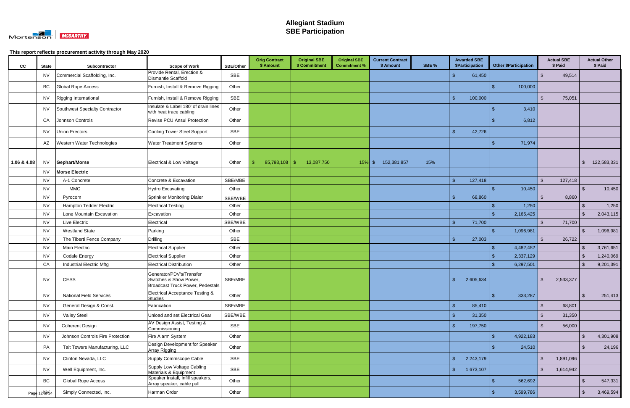

| cc          | <b>State</b>  | Subcontractor                    | <b>Scope of Work</b>                                                                   | <b>SBE/Other</b> | <b>Orig Contract</b><br>\$ Amount | <b>Original SBE</b><br>\$ Commitment | <b>Original SBE</b><br><b>Commitment %</b> | <b>Current Contract</b><br>\$ Amount | SBE % | <b>Awarded SBE</b><br>\$Participation | <b>Other \$Participation</b> |                    | <b>Actual SBE</b><br>\$ Paid |                | <b>Actual Other</b><br>\$ Paid |
|-------------|---------------|----------------------------------|----------------------------------------------------------------------------------------|------------------|-----------------------------------|--------------------------------------|--------------------------------------------|--------------------------------------|-------|---------------------------------------|------------------------------|--------------------|------------------------------|----------------|--------------------------------|
|             | <b>NV</b>     | Commercial Scaffolding, Inc.     | Provide Rental, Erection &<br>Dismantle Scaffold                                       | SBE              |                                   |                                      |                                            |                                      |       | 61,450                                |                              | $\mathcal{L}$      | 49,514                       |                |                                |
|             | BC            | Global Rope Access               | Furnish, Install & Remove Rigging                                                      | Other            |                                   |                                      |                                            |                                      |       |                                       | 100,000                      |                    |                              |                |                                |
|             | <b>NV</b>     | Rigging International            | Furnish, Install & Remove Rigging                                                      | <b>SBE</b>       |                                   |                                      |                                            |                                      |       | 100,000<br>-\$                        |                              | -\$                | 75,051                       |                |                                |
|             | <b>NV</b>     | Southwest Specialty Contractor   | Insulate & Label 180' of drain lines<br>with heat trace cabling                        | Other            |                                   |                                      |                                            |                                      |       |                                       | 3,410                        |                    |                              |                |                                |
|             | CA            | Johnson Controls                 | <b>Revise PCU Ansul Protection</b>                                                     | Other            |                                   |                                      |                                            |                                      |       |                                       | 6,812                        |                    |                              |                |                                |
|             | <b>NV</b>     | <b>Union Erectors</b>            | Cooling Tower Steel Support                                                            | SBE              |                                   |                                      |                                            |                                      |       | 42,726<br>୍ଥ                          |                              |                    |                              |                |                                |
|             | AZ            | Western Water Technologies       | <b>Water Treatment Systems</b>                                                         | Other            |                                   |                                      |                                            |                                      |       |                                       | 71,974<br>ß.                 |                    |                              |                |                                |
|             |               |                                  |                                                                                        |                  |                                   |                                      |                                            |                                      |       |                                       |                              |                    |                              |                |                                |
| 1.06 & 4.08 | <b>NV</b>     | <b>Gephart/Morse</b>             | Electrical & Low Voltage                                                               | Other            | 85,793,108                        | 13,087,750                           | $15\%$ \$                                  | 152,381,857                          | 15%   |                                       |                              |                    |                              | $\mathfrak{L}$ | 122,583,331                    |
|             | <b>NV</b>     | <b>Morse Electric</b>            |                                                                                        |                  |                                   |                                      |                                            |                                      |       |                                       |                              |                    |                              |                |                                |
|             | <b>NV</b>     | A-1 Concrete                     | Concrete & Excavation                                                                  | SBE/MBE          |                                   |                                      |                                            |                                      |       | 127,418<br><b>\$</b>                  |                              | . ድ                | 127,418                      |                |                                |
|             | <b>NV</b>     | <b>MMC</b>                       | <b>Hydro Excavating</b>                                                                | Other            |                                   |                                      |                                            |                                      |       |                                       | 10,450                       |                    |                              | $\mathfrak{L}$ | 10,450                         |
|             | <b>NV</b>     | Pyrocom                          | Sprinkler Monitoring Dialer                                                            | SBE/WBE          |                                   |                                      |                                            |                                      |       | 68,860                                |                              |                    | 8,860                        |                |                                |
|             | <b>NV</b>     | <b>Hampton Tedder Electric</b>   | <b>Electrical Testing</b>                                                              | Other            |                                   |                                      |                                            |                                      |       |                                       | 1,250                        |                    |                              | $\mathfrak{S}$ | 1,250                          |
|             | <b>NV</b>     | Lone Mountain Excavation         | Excavation                                                                             | Other            |                                   |                                      |                                            |                                      |       |                                       | 2,165,425<br>୍ୟ              |                    |                              | $\mathcal{L}$  | 2,043,115                      |
|             | <b>NV</b>     | Live Electric                    | Electrical                                                                             | SBE/WBE          |                                   |                                      |                                            |                                      |       | $\mathcal{S}$<br>71,700               |                              | $\mathfrak{L}$     | 71,700                       |                |                                |
|             | <b>NV</b>     | <b>Westland State</b>            | Parking                                                                                | Other            |                                   |                                      |                                            |                                      |       |                                       | 1,096,981<br>$\mathcal{L}$   |                    |                              | $\mathfrak{L}$ | 1,096,981                      |
|             | <b>NV</b>     | The Tiberti Fence Company        | Drilling                                                                               | <b>SBE</b>       |                                   |                                      |                                            |                                      |       | 27,003<br>-\$                         |                              |                    | 26,722                       |                |                                |
|             | <b>NV</b>     | Main Electric                    | <b>Electrical Supplier</b>                                                             | Other            |                                   |                                      |                                            |                                      |       |                                       | 4,482,452<br>-\$             |                    |                              |                | 3,761,651                      |
|             | <b>NV</b>     | <b>Codale Energy</b>             | <b>Electrical Supplier</b>                                                             | Other            |                                   |                                      |                                            |                                      |       |                                       | 2,337,129                    |                    |                              |                | 1,240,069                      |
|             | CA            | <b>Industrial Electric Mftg</b>  | <b>Electrical Distribution</b>                                                         | Other            |                                   |                                      |                                            |                                      |       |                                       | 6,297,501                    |                    |                              |                | 9,201,391                      |
|             | <b>NV</b>     | <b>CESS</b>                      | Generator/PDV's/Transfer<br>Switches & Show Power,<br>Broadcast Truck Power, Pedestals | SBE/MBE          |                                   |                                      |                                            |                                      |       | 2,605,634<br>- S                      |                              |                    | 2,533,377                    |                |                                |
|             | <b>NV</b>     | <b>National Field Services</b>   | <b>Electrical Acceptance Testing &amp;</b><br><b>Studies</b>                           | Other            |                                   |                                      |                                            |                                      |       |                                       | 333,287<br>-\$               |                    |                              | $\mathfrak{S}$ | 251,413                        |
|             | <b>NV</b>     | General Design & Const.          | Fabrication                                                                            | SBE/MBE          |                                   |                                      |                                            |                                      |       | $\sqrt{5}$<br>85,410                  |                              | $\mathfrak{L}$     | 68,801                       |                |                                |
|             | <b>NV</b>     | <b>Valley Steel</b>              | Unload and set Electrical Gear                                                         | SBE/WBE          |                                   |                                      |                                            |                                      |       | $\sqrt[6]{3}$<br>31,350               |                              | $\mathfrak{L}$     | 31,350                       |                |                                |
|             | <b>NV</b>     | <b>Coherent Design</b>           | AV Design Assist, Testing &<br>Commissioning                                           | SBE              |                                   |                                      |                                            |                                      |       | $\sqrt[6]{3}$<br>197,750              |                              | $\mathfrak{L}$     | 56,000                       |                |                                |
|             | <b>NV</b>     | Johnson Controls Fire Protection | Fire Alarm System                                                                      | Other            |                                   |                                      |                                            |                                      |       |                                       | $\mathbf{\$}$<br>4,922,183   |                    |                              | $\mathfrak{S}$ | 4,301,908                      |
|             | PA            | Tait Towers Manufacturing, LLC   | Design Development for Speaker<br>Array Rigging                                        | Other            |                                   |                                      |                                            |                                      |       |                                       | 24,510<br>-S                 |                    |                              | $\mathfrak{L}$ | 24,196                         |
|             | <b>NV</b>     | Clinton Nevada, LLC              | Supply Commscope Cable                                                                 | SBE              |                                   |                                      |                                            |                                      |       | $\sqrt[6]{3}$<br>2,243,179            |                              | $\mathbf{\hat{s}}$ | 1,891,096                    |                |                                |
|             | <b>NV</b>     | Well Equipment, Inc.             | Supply Low Voltage Cabling<br>Materials & Equipment                                    | SBE              |                                   |                                      |                                            |                                      |       | 1,673,107<br>-\$                      |                              | $\mathcal{L}$      | 1,614,942                    |                |                                |
|             | BC            | Global Rope Access               | Speaker Install, Infill speakers,<br>Array speaker, cable pull                         | Other            |                                   |                                      |                                            |                                      |       |                                       | 562,692<br>\$                |                    |                              | \$             | 547,331                        |
|             | Page 12 UM 34 | Simply Connected, Inc.           | Harman Order                                                                           | Other            |                                   |                                      |                                            |                                      |       |                                       | 3,599,786<br>-\$             |                    |                              | $\mathfrak{S}$ | 3,469,594                      |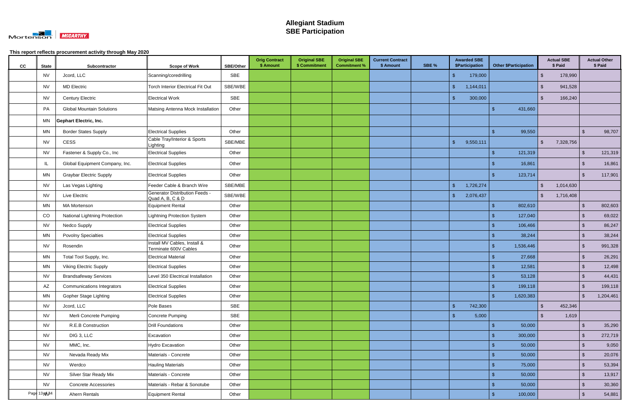

| cc | <b>State</b>           | Subcontractor                        | <b>Scope of Work</b>                                      | SBE/Other | <b>Orig Contract</b><br>\$ Amount | <b>Original SBE</b><br>\$ Commitment | <b>Original SBE</b><br><b>Commitment %</b> | <b>Current Contract</b><br>\$ Amount | SBE % | <b>Awarded SBE</b><br><b>\$Participation</b> | <b>Other \$Participation</b> |                    | <b>Actual SBE</b><br>\$ Paid |                         | <b>Actual Other</b><br>\$ Paid |
|----|------------------------|--------------------------------------|-----------------------------------------------------------|-----------|-----------------------------------|--------------------------------------|--------------------------------------------|--------------------------------------|-------|----------------------------------------------|------------------------------|--------------------|------------------------------|-------------------------|--------------------------------|
|    | <b>NV</b>              | Jcord, LLC                           | Scanning/coredrilling                                     | SBE       |                                   |                                      |                                            |                                      |       | 179,000                                      |                              | $\mathfrak{L}$     | 178,990                      |                         |                                |
|    | <b>NV</b>              | <b>MD Electric</b>                   | <b>Torch Interior Electrical Fit Out</b>                  | SBE/WBE   |                                   |                                      |                                            |                                      |       | 1,144,011<br>- S                             |                              | \$                 | 941,528                      |                         |                                |
|    | <b>NV</b>              | <b>Century Electric</b>              | <b>Electrical Work</b>                                    | SBE       |                                   |                                      |                                            |                                      |       | 300,000<br>- \$                              |                              | $\mathfrak{L}$     | 166,240                      |                         |                                |
|    | PA                     | <b>Global Mountain Solutions</b>     | Matsing Antenna Mock Installation                         | Other     |                                   |                                      |                                            |                                      |       |                                              | $\mathfrak{L}$<br>431,660    |                    |                              |                         |                                |
|    | ΜN                     | <b>Gephart Electric, Inc.</b>        |                                                           |           |                                   |                                      |                                            |                                      |       |                                              |                              |                    |                              |                         |                                |
|    | ΜN                     | <b>Border States Supply</b>          | <b>Electrical Supplies</b>                                | Other     |                                   |                                      |                                            |                                      |       |                                              | 99,550<br>ß.                 |                    |                              | -S                      | 98,707                         |
|    | <b>NV</b>              | CESS                                 | Cable Tray/Interior & Sports<br>Lighting                  | SBE/MBE   |                                   |                                      |                                            |                                      |       | 9,550,111<br>- \$                            |                              | $\mathfrak{L}$     | 7,328,756                    |                         |                                |
|    | <b>NV</b>              | Fastener & Supply Co., Inc           | <b>Electrical Supplies</b>                                | Other     |                                   |                                      |                                            |                                      |       |                                              | 121,319<br>$\mathfrak{L}$    |                    |                              | $\mathfrak{L}$          | 121,319                        |
|    | -IL                    | Global Equipment Company, Inc.       | <b>Electrical Supplies</b>                                | Other     |                                   |                                      |                                            |                                      |       |                                              | 16,861                       |                    |                              | $\mathfrak{L}$          | 16,861                         |
|    | ΜN                     | <b>Graybar Electric Supply</b>       | <b>Electrical Supplies</b>                                | Other     |                                   |                                      |                                            |                                      |       |                                              | 123,714<br>-\$               |                    |                              | \$                      | 117,901                        |
|    | <b>NV</b>              | Las Vegas Lighting                   | Feeder Cable & Branch Wire                                | SBE/MBE   |                                   |                                      |                                            |                                      |       | 1,726,274<br>-\$                             |                              | $\mathfrak{L}$     | 1,014,630                    |                         |                                |
|    | <b>NV</b>              | Live Electric                        | <b>Generator Distribution Feeds -</b><br>Quad A, B, C & D | SBE/WBE   |                                   |                                      |                                            |                                      |       | <b>\$</b><br>2,076,437                       |                              | $\mathfrak{L}$     | 1,716,408                    |                         |                                |
|    | <b>MN</b>              | <b>MA Mortenson</b>                  | <b>Equipment Rental</b>                                   | Other     |                                   |                                      |                                            |                                      |       |                                              | 802,610<br>\$                |                    |                              | \$                      | 802,603                        |
|    | CO                     | <b>National Lightning Protection</b> | Lightning Protection System                               | Other     |                                   |                                      |                                            |                                      |       |                                              | 127,040                      |                    |                              |                         | 69,022                         |
|    | <b>NV</b>              | Nedco Supply                         | <b>Electrical Supplies</b>                                | Other     |                                   |                                      |                                            |                                      |       |                                              | 106,466                      |                    |                              | \$                      | 86,247                         |
|    | MN                     | <b>Povolny Specialties</b>           | <b>Electrical Supplies</b>                                | Other     |                                   |                                      |                                            |                                      |       |                                              | 38,244<br>\$.                |                    |                              | $\mathfrak{S}$          | 38,244                         |
|    | <b>NV</b>              | Rosendin                             | Install MV Cables, Install &<br>Terminate 600V Cables     | Other     |                                   |                                      |                                            |                                      |       |                                              | 1,536,446<br>-\$             |                    |                              | -S                      | 991,328                        |
|    | ΜN                     | Total Tool Supply, Inc.              | <b>Electrical Material</b>                                | Other     |                                   |                                      |                                            |                                      |       |                                              | 27,668                       |                    |                              | $\mathbf{\$}$           | 26,291                         |
|    | <b>MN</b>              | <b>Viking Electric Supply</b>        | <b>Electrical Supplies</b>                                | Other     |                                   |                                      |                                            |                                      |       |                                              | 12,581                       |                    |                              | $\mathfrak{S}$          | 12,498                         |
|    | <b>NV</b>              | <b>Brandsafeway Services</b>         | Level 350 Electrical Installation                         | Other     |                                   |                                      |                                            |                                      |       |                                              | 53,128                       |                    |                              |                         | 44,431                         |
|    | $\mathsf{A}\mathsf{Z}$ | <b>Communications Integrators</b>    | <b>Electrical Supplies</b>                                | Other     |                                   |                                      |                                            |                                      |       |                                              | 199,118                      |                    |                              | ¢                       | 199,118                        |
|    | <b>MN</b>              | <b>Gopher Stage Lighting</b>         | <b>Electrical Supplies</b>                                | Other     |                                   |                                      |                                            |                                      |       |                                              | $\mathcal{S}$<br>1,620,383   |                    |                              | $\sqrt[6]{\frac{1}{2}}$ | 1,204,461                      |
|    | <b>NV</b>              | Jcord, LLC                           | Pole Bases                                                | SBE       |                                   |                                      |                                            |                                      |       | $\sqrt[6]{3}$<br>742,300                     |                              | $\mathbf{\hat{s}}$ | 452,346                      |                         |                                |
|    | <b>NV</b>              | Merli Concrete Pumping               | Concrete Pumping                                          | SBE       |                                   |                                      |                                            |                                      |       | $\mathbf{\$}$<br>5,000                       |                              | $\mathbf{\hat{F}}$ | 1,619                        |                         |                                |
|    | <b>NV</b>              | R.E.B Construction                   | <b>Drill Foundations</b>                                  | Other     |                                   |                                      |                                            |                                      |       |                                              | 50,000<br>$\frac{3}{2}$      |                    |                              | $\sqrt[6]{3}$           | 35,290                         |
|    | <b>NV</b>              | DIG 3, LLC                           | Excavation                                                | Other     |                                   |                                      |                                            |                                      |       |                                              | 300,000<br>-\$               |                    |                              | $\sqrt[6]{3}$           | 272,719                        |
|    | <b>NV</b>              | MMC, Inc.                            | <b>Hydro Excavation</b>                                   | Other     |                                   |                                      |                                            |                                      |       |                                              | 50,000<br>$\mathcal{S}$      |                    |                              | $\sqrt{2}$              | 9,050                          |
|    | <b>NV</b>              | Nevada Ready Mix                     | Materials - Concrete                                      | Other     |                                   |                                      |                                            |                                      |       |                                              | 50,000<br>-\$                |                    |                              | $\sqrt{2}$              | 20,076                         |
|    | <b>NV</b>              | Werdco                               | <b>Hauling Materials</b>                                  | Other     |                                   |                                      |                                            |                                      |       |                                              | 75,000<br>\$                 |                    |                              | $\mathfrak{S}$          | 53,394                         |
|    | <b>NV</b>              | Silver Star Ready Mix                | Materials - Concrete                                      | Other     |                                   |                                      |                                            |                                      |       |                                              | 50,000<br>\$                 |                    |                              | $\mathfrak{S}$          | 13,917                         |
|    | <b>NV</b>              | Concrete Accessories                 | Materials - Rebar & Sonotube                              | Other     |                                   |                                      |                                            |                                      |       |                                              | 50,000                       |                    |                              | \$                      | 30,360                         |
|    | Page 13 NAS4           | Ahern Rentals                        | Equipment Rental                                          | Other     |                                   |                                      |                                            |                                      |       |                                              | 100,000<br>-\$               |                    |                              | $\mathfrak{S}$          | 54,881                         |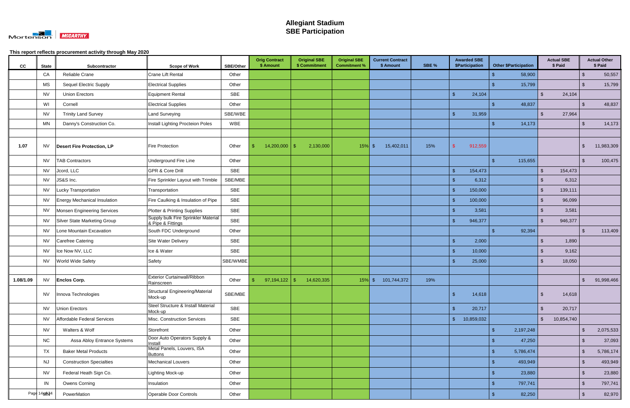

| cc        | <b>State</b> | Subcontractor                     | <b>Scope of Work</b>                                     | SBE/Other  | <b>Orig Contract</b><br>\$ Amount | <b>Original SBE</b><br>\$ Commitment | <b>Original SBE</b><br><b>Commitment %</b> | <b>Current Contract</b><br>\$ Amount | SBE % | <b>Awarded SBE</b><br>\$Participation |                | <b>Other \$Participation</b> |                         | <b>Actual SBE</b><br>\$ Paid |                | <b>Actual Other</b><br>\$ Paid |
|-----------|--------------|-----------------------------------|----------------------------------------------------------|------------|-----------------------------------|--------------------------------------|--------------------------------------------|--------------------------------------|-------|---------------------------------------|----------------|------------------------------|-------------------------|------------------------------|----------------|--------------------------------|
|           | CA           | Reliable Crane                    | <b>Crane Lift Rental</b>                                 | Other      |                                   |                                      |                                            |                                      |       |                                       | \$             | 58,900                       |                         |                              | $\sqrt{2}$     | 50,557                         |
|           | <b>MS</b>    | <b>Sequel Electric Supply</b>     | <b>Electrical Supplies</b>                               | Other      |                                   |                                      |                                            |                                      |       |                                       |                | 15,799                       |                         |                              | $\mathfrak{L}$ | 15,799                         |
|           | <b>NV</b>    | <b>Union Erectors</b>             | <b>Equipment Rental</b>                                  | SBE        |                                   |                                      |                                            |                                      |       | $\mathbf{\hat{f}}$<br>24,104          |                |                              | $\mathfrak{L}$          | 24,104                       |                |                                |
|           | WI           | Cornell                           | <b>Electrical Supplies</b>                               | Other      |                                   |                                      |                                            |                                      |       |                                       |                | 48,837                       |                         |                              | $\mathcal{S}$  | 48,837                         |
|           | <b>NV</b>    | <b>Trinity Land Survey</b>        | <b>Land Surveying</b>                                    | SBE/WBE    |                                   |                                      |                                            |                                      |       | $\mathcal{S}$<br>31,959               |                |                              | $\mathfrak{L}$          | 27,964                       |                |                                |
|           | <b>MN</b>    | Danny's Construction Co.          | Install Lighting Procteion Poles                         | <b>WBE</b> |                                   |                                      |                                            |                                      |       |                                       | -S             | 14,173                       |                         |                              | $\sqrt{2}$     | 14,173                         |
|           |              |                                   |                                                          |            |                                   |                                      |                                            |                                      |       |                                       |                |                              |                         |                              |                |                                |
| 1.07      | <b>NV</b>    | <b>Desert Fire Protection, LP</b> | <b>Fire Protection</b>                                   | Other      | $14,200,000$ \ \$                 | 2,130,000                            | 15%                                        | 15,402,011<br>$\mathfrak{F}$         | 15%   | 912,559                               |                |                              |                         |                              | \$             | 11,983,309                     |
|           | <b>NV</b>    | <b>TAB Contractors</b>            | Underground Fire Line                                    | Other      |                                   |                                      |                                            |                                      |       |                                       | \$             | 115,655                      |                         |                              | \$             | 100,475                        |
|           | <b>NV</b>    | Jcord, LLC                        | <b>GPR &amp; Core Drill</b>                              | SBE        |                                   |                                      |                                            |                                      |       | $\mathbf{\hat{s}}$<br>154,473         |                |                              | \$                      | 154,473                      |                |                                |
|           | <b>NV</b>    | JS&S Inc.                         | Fire Sprinkler Layout with Trimble                       | SBE/MBE    |                                   |                                      |                                            |                                      |       | $\mathbf{\hat{s}}$<br>6,312           |                |                              | \$                      | 6,312                        |                |                                |
|           | <b>NV</b>    | <b>Lucky Transportation</b>       | Transportation                                           | SBE        |                                   |                                      |                                            |                                      |       | $\mathbf{\hat{F}}$<br>150,000         |                |                              | \$                      | 139,111                      |                |                                |
|           | <b>NV</b>    | Energy Mechanical Insulation      | Fire Caulking & Insulation of Pipe                       | SBE        |                                   |                                      |                                            |                                      |       | $\mathbf{\hat{s}}$<br>100,000         |                |                              | $\mathfrak{L}$          | 96,099                       |                |                                |
|           | <b>NV</b>    | Monsen Engineering Services       | Plotter & Printing Supplies                              | SBE        |                                   |                                      |                                            |                                      |       | $\hat{\tau}$<br>3,581                 |                |                              | .\$                     | 3,581                        |                |                                |
|           | <b>NV</b>    | Silver State Marketing Group      | Supply bulk Fire Sprinkler Material<br>& Pipe & Fittings | SBE        |                                   |                                      |                                            |                                      |       | $\mathbf{\hat{F}}$<br>946,377         |                |                              | $\mathfrak{L}$          | 946,377                      |                |                                |
|           | <b>NV</b>    | Lone Mountain Excavation          | South FDC Underground                                    | Other      |                                   |                                      |                                            |                                      |       |                                       | $\mathfrak{L}$ | 92,394                       |                         |                              | $\mathcal{S}$  | 113,409                        |
|           | <b>NV</b>    | Carefree Catering                 | Site Water Delivery                                      | SBE        |                                   |                                      |                                            |                                      |       | $\mathbf{\$}$<br>2,000                |                |                              | $\mathfrak{L}$          | 1,890                        |                |                                |
|           | <b>NV</b>    | Ice Now NV, LLC                   | Ice & Water                                              | <b>SBE</b> |                                   |                                      |                                            |                                      |       | $\hat{\mathcal{L}}$<br>10,000         |                |                              | \$                      | 9,162                        |                |                                |
|           | <b>NV</b>    | <b>World Wide Safety</b>          | Safety                                                   | SBE/WMBE   |                                   |                                      |                                            |                                      |       | 25,000                                |                |                              | $\mathfrak{L}$          | 18,050                       |                |                                |
|           |              |                                   |                                                          |            |                                   |                                      |                                            |                                      |       |                                       |                |                              |                         |                              |                |                                |
| 1.08/1.09 | <b>NV</b>    | <b>Enclos Corp.</b>               | <b>Exterior Curtainwall/Ribbon</b><br>Rainscreen         | Other      | 97,194,122                        | 14,620,335<br>-\$                    | 15%                                        | $\sqrt{3}$<br>101,744,372            | 19%   |                                       |                |                              |                         |                              | \$             | 91,998,466                     |
|           | <b>NV</b>    | Innova Technologies               | <b>Structural Engineering/Material</b><br>Mock-up        | SBE/MBE    |                                   |                                      |                                            |                                      |       | $\mathbf{\hat{f}}$<br>14,618          |                |                              | $\sqrt[6]{\frac{1}{2}}$ | 14,618                       |                |                                |
|           | <b>NV</b>    | Union Erectors                    | Steel Structure & Install Material<br>Mock-up            | SBE        |                                   |                                      |                                            |                                      |       | $\mathfrak{S}$<br>20,717              |                |                              | $\mathfrak{L}$          | 20,717                       |                |                                |
|           | <b>NV</b>    | Affordable Federal Services       | Misc. Construction Services                              | SBE        |                                   |                                      |                                            |                                      |       | $\mathfrak{L}$<br>10,859,032          |                |                              | \$                      | 10,854,740                   |                |                                |
|           | <b>NV</b>    | Walters & Wolf                    | Storefront                                               | Other      |                                   |                                      |                                            |                                      |       |                                       | $\mathcal{S}$  | 2,197,248                    |                         |                              | $\sqrt{2}$     | 2,075,533                      |
|           | <b>NC</b>    | Assa Abloy Entrance Systems       | Door Auto Operators Supply &<br>Install                  | Other      |                                   |                                      |                                            |                                      |       |                                       |                | 47,250                       |                         |                              | $\sqrt[3]{2}$  | 37,093                         |
|           | <b>TX</b>    | <b>Baker Metal Products</b>       | Metal Panels, Louvers, ISA                               | Other      |                                   |                                      |                                            |                                      |       |                                       | $\sqrt{3}$     | 5,786,474                    |                         |                              | $\sqrt{2}$     | 5,786,174                      |
|           | <b>NJ</b>    | <b>Construction Specialties</b>   | <b>Buttons</b><br><b>Mechanical Louvers</b>              | Other      |                                   |                                      |                                            |                                      |       |                                       | Ŝ.             | 493,949                      |                         |                              | $\sqrt{2}$     | 493,949                        |
|           | <b>NV</b>    | Federal Heath Sign Co.            | Lighting Mock-up                                         | Other      |                                   |                                      |                                            |                                      |       |                                       |                | 23,880                       |                         |                              | $\sqrt[6]{3}$  | 23,880                         |
|           | IN           | Owens Corning                     | Insulation                                               | Other      |                                   |                                      |                                            |                                      |       |                                       |                | 797,741                      |                         |                              | $\sqrt{2}$     | 797,741                        |
|           | Page 14/0/04 | PowerMation                       | Operable Door Controls                                   | Other      |                                   |                                      |                                            |                                      |       |                                       | -S             | 82,250                       |                         |                              | $\sqrt{2}$     | 82,970                         |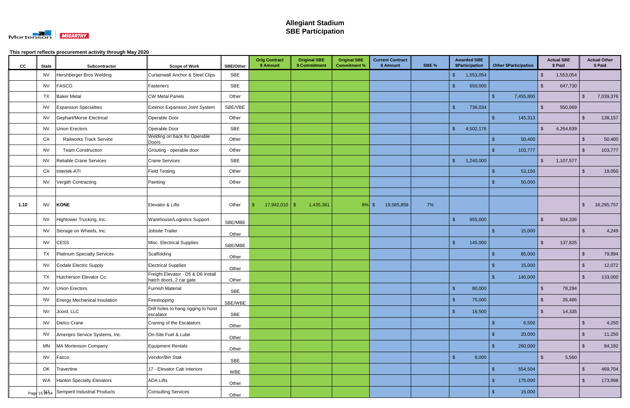

| cc   | <b>State</b> | Subcontractor                              | <b>Scope of Work</b>                                          | <b>SBE/Other</b> | <b>Orig Contract</b><br>\$ Amount | <b>Original SBE</b><br>\$ Commitment | <b>Original SBE</b><br><b>Commitment %</b> | <b>Current Contract</b><br>\$ Amount | SBE % | <b>Awarded SBE</b><br>\$Participation | <b>Other \$Participation</b>    | <b>Actual SBE</b><br>\$ Paid  |                         | <b>Actual Other</b><br>\$ Paid |
|------|--------------|--------------------------------------------|---------------------------------------------------------------|------------------|-----------------------------------|--------------------------------------|--------------------------------------------|--------------------------------------|-------|---------------------------------------|---------------------------------|-------------------------------|-------------------------|--------------------------------|
|      | <b>NV</b>    | Hershberger Bros Welding                   | <b>Curtainwall Anchor &amp; Steel Clips</b>                   | SBE              |                                   |                                      |                                            |                                      |       | $\sqrt[6]{3}$<br>1,553,054            |                                 | $\mathfrak{L}$<br>1,553,054   |                         |                                |
|      | <b>NV</b>    | <b>FASCO</b>                               | Fasteners                                                     | <b>SBE</b>       |                                   |                                      |                                            |                                      |       | 650,000<br>$\sqrt[6]{3}$              |                                 | $\mathbf{\hat{s}}$<br>647,730 |                         |                                |
|      | TX           | <b>Baker Metal</b>                         | <b>CW Metal Panels</b>                                        | Other            |                                   |                                      |                                            |                                      |       |                                       | $\mathbf{\hat{s}}$<br>7,455,800 |                               | $\mathbf{\$}$           | 7,039,376                      |
|      | <b>NV</b>    | <b>Expansion Specialties</b>               | <b>Exterior Expansion Joint System</b>                        | SBE/VBE          |                                   |                                      |                                            |                                      |       | $\sqrt[6]{5}$<br>736,034              |                                 | $\mathfrak{L}$<br>550,069     |                         |                                |
|      | <b>NV</b>    | Gephart/Morse Electrical                   | Operable Door                                                 | Other            |                                   |                                      |                                            |                                      |       |                                       | 145,313<br>$\mathbf{\$}$        |                               | $\mathfrak{S}$          | 138,157                        |
|      | <b>NV</b>    | <b>Union Erectors</b>                      | Operable Door                                                 | <b>SBE</b>       |                                   |                                      |                                            |                                      |       | 4,502,176<br><b>\$</b>                |                                 | $\mathbb{S}$<br>4,264,639     |                         |                                |
|      | CA           | <b>Railworks Track Service</b>             | Welding on back for Operable<br><b>Doors</b>                  | Other            |                                   |                                      |                                            |                                      |       |                                       | 50,400<br>-\$                   |                               | $\mathfrak{L}$          | 50,400                         |
|      | <b>NV</b>    | <b>Team Construction</b>                   | Grouting - operable door                                      | Other            |                                   |                                      |                                            |                                      |       |                                       | 103,777<br>ß.                   |                               | $\mathbf{\$}$           | 103,777                        |
|      | <b>NV</b>    | Reliable Crane Services                    | <b>Crane Services</b>                                         | SBE              |                                   |                                      |                                            |                                      |       | 1,240,000<br>-\$                      |                                 | \$<br>1,107,577               |                         |                                |
|      | CA           | Intertek-ATI                               | <b>Field Testing</b>                                          | Other            |                                   |                                      |                                            |                                      |       |                                       | 53,150                          |                               | $\mathfrak{L}$          | 19,050                         |
|      | <b>NV</b>    | Vergith Contracting                        | Painting                                                      | Other            |                                   |                                      |                                            |                                      |       |                                       | 50,000                          |                               |                         |                                |
|      |              |                                            |                                                               |                  |                                   |                                      |                                            |                                      |       |                                       |                                 |                               |                         |                                |
| 1.10 | <b>NV</b>    | <b>KONE</b>                                | Elevator & Lifts                                              | Other            | $17,942,010$ \ \$                 | 1,435,361                            | 8%                                         | 19,585,859<br>$\mathcal{S}$          | 7%    |                                       |                                 |                               | \$                      | 16,295,757                     |
|      | <b>NV</b>    | Hightower Trucking, Inc.                   | Warehouse/Logistics Support                                   | SBE/MBE          |                                   |                                      |                                            |                                      |       | 955,000<br>-\$                        |                                 | $\mathfrak{L}$<br>934,326     |                         |                                |
|      | <b>NV</b>    | Storage on Wheels, Inc.                    | Jobsite Trailer                                               | Other            |                                   |                                      |                                            |                                      |       |                                       | $\mathcal{S}$<br>15,000         |                               | $\mathbf{\$}$           | 4,249                          |
|      | <b>NV</b>    | <b>CESS</b>                                | Misc. Electrical Supplies                                     | SBE/MBE          |                                   |                                      |                                            |                                      |       | 145,000<br>- \$                       |                                 | $\mathbf{\hat{s}}$<br>137,825 |                         |                                |
|      | TX           | Platinum Specialty Services                | Scaffolding                                                   | Other            |                                   |                                      |                                            |                                      |       |                                       | 85,000<br>\$                    |                               | \$                      | 79,994                         |
|      | <b>NV</b>    | Codale Electric Supply                     | <b>Electrical Supplies</b>                                    | Other            |                                   |                                      |                                            |                                      |       |                                       | 15,000<br>-\$                   |                               | $\mathfrak{S}$          | 12,072                         |
|      | <b>TX</b>    | Hutcherson Elevator Co.                    | Freight Elevator - D5 & D6 Install<br>hatch doors, 2 car gate | Other            |                                   |                                      |                                            |                                      |       |                                       | 140,000<br>-\$                  |                               | \$                      | 133,000                        |
|      | <b>NV</b>    | <b>Union Erectors</b>                      | <b>Furnish Material</b>                                       | SBE              |                                   |                                      |                                            |                                      |       | - \$<br>80,000                        |                                 | \$<br>78,294                  |                         |                                |
|      | <b>NV</b>    | <b>Energy Mechanical Insulation</b>        | Firestopping                                                  | SBE/WBE          |                                   |                                      |                                            |                                      |       | $\sqrt{3}$<br>75,000                  |                                 | $\mathbf{\hat{s}}$<br>26,486  |                         |                                |
|      | <b>NV</b>    | Jcord, LLC                                 | Drill holes to hang rigging to hoist<br>escalator             | SBE              |                                   |                                      |                                            |                                      |       | $\sqrt{3}$<br>16,500                  |                                 | 14,335<br>$\mathbf{\hat{s}}$  |                         |                                |
|      | <b>NV</b>    | Dielco Crane                               | Craning of the Escalators                                     | Other            |                                   |                                      |                                            |                                      |       |                                       | 6,500<br>-\$                    |                               | $\mathcal{S}$           | 4,250                          |
|      | <b>NV</b>    | Ameripro Service Systems, Inc.             | On-Site Fuel & Lube                                           | Other            |                                   |                                      |                                            |                                      |       |                                       | 20,000<br>$\mathfrak{L}$        |                               | $\sqrt[3]{2}$           | 11,250                         |
|      | MN           | MA Mortenson Company                       | <b>Equipment Rentals</b>                                      |                  |                                   |                                      |                                            |                                      |       |                                       | 260,000<br>-\$                  |                               | $\sqrt[6]{\frac{1}{2}}$ | 84,192                         |
|      | <b>NV</b>    | Fasco                                      | Vendor/Bin Stak                                               | Other            |                                   |                                      |                                            |                                      |       | 8,000<br>$\sqrt[6]{5}$                |                                 | 5,560<br>$\mathbf{\hat{s}}$   |                         |                                |
|      | OK           | Travertine                                 | 17 - Elevator Cab Interiors                                   | <b>SBE</b>       |                                   |                                      |                                            |                                      |       |                                       | $\mathbf{\$}$<br>554,504        |                               | $\mathfrak{S}$          | 469,704                        |
|      | WA           | Hankin Specialty Elevators                 | <b>ADA Lifts</b>                                              | WBE              |                                   |                                      |                                            |                                      |       |                                       | 175,000<br>\$                   |                               | \$                      | 173,998                        |
|      |              |                                            |                                                               | Other            |                                   |                                      |                                            |                                      |       |                                       |                                 |                               |                         |                                |
|      |              | Page 15 St 34 Semperit Industrial Products | <b>Consulting Services</b>                                    | Other            |                                   |                                      |                                            |                                      |       |                                       | 15,000<br>$\sqrt{3}$            |                               |                         |                                |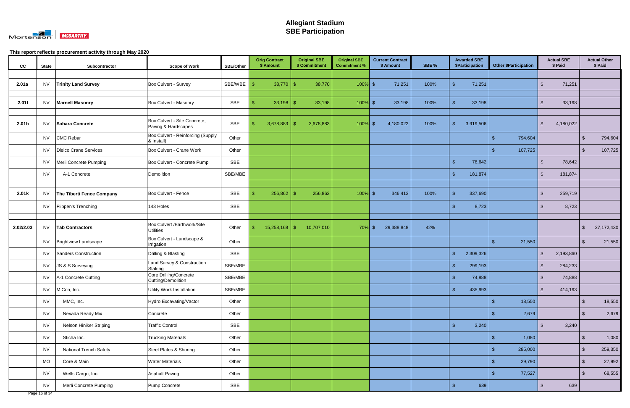

| cc        | <b>State</b> | Subcontractor                 | <b>Scope of Work</b>                                | <b>SBE/Other</b> | <b>Orig Contract</b><br>\$ Amount | <b>Original SBE</b><br>\$ Commitment | <b>Original SBE</b><br><b>Commitment %</b> | <b>Current Contract</b><br>\$ Amount | SBE % | <b>Awarded SBE</b><br>\$Participation | <b>Other \$Participation</b> | <b>Actual SBE</b><br>\$ Paid    | <b>Actual Other</b><br>\$ Paid     |
|-----------|--------------|-------------------------------|-----------------------------------------------------|------------------|-----------------------------------|--------------------------------------|--------------------------------------------|--------------------------------------|-------|---------------------------------------|------------------------------|---------------------------------|------------------------------------|
|           |              |                               |                                                     |                  |                                   |                                      |                                            |                                      |       |                                       |                              |                                 |                                    |
| 2.01a     | <b>NV</b>    | <b>Trinity Land Survey</b>    | Box Culvert - Survey                                | SBE/WBE          | 38,770                            | 38,770<br>ß.                         | $100\%$ \$                                 | 71,251                               | 100%  | 71,251<br>- SS                        |                              | 71,251<br>$\mathfrak{L}$        |                                    |
|           |              |                               |                                                     |                  |                                   |                                      |                                            |                                      |       |                                       |                              |                                 |                                    |
| 2.01f     | <b>NV</b>    | <b>Marnell Masonry</b>        | Box Culvert - Masonry                               | SBE              |                                   | 33,198                               | $100\%$ \$                                 | 33,198                               | 100%  | 33,198                                |                              | 33,198<br>$\mathfrak{L}$        |                                    |
|           |              |                               |                                                     |                  |                                   |                                      |                                            |                                      |       |                                       |                              |                                 |                                    |
| 2.01h     | <b>NV</b>    | <b>Sahara Concrete</b>        | Box Culvert - Site Concrete,<br>Paving & Hardscapes | SBE              | 3,678,883                         | 3,678,883<br>\$.                     | $100\%$ \$                                 | 4,180,022                            | 100%  | 3,919,506<br>-\$                      |                              | $\mathbf{\hat{s}}$<br>4,180,022 |                                    |
|           | <b>NV</b>    | <b>CMC Rebar</b>              | Box Culvert - Reinforcing (Supply<br>& Install)     | Other            |                                   |                                      |                                            |                                      |       |                                       | 794,604<br>-\$               |                                 | 794,604<br>$\mathbf{\$}$           |
|           | <b>NV</b>    | Dielco Crane Services         | Box Culvert - Crane Work                            | Other            |                                   |                                      |                                            |                                      |       |                                       | 107,725<br>-\$               |                                 | 107,725<br>$\mathfrak{S}$          |
|           | <b>NV</b>    | Merli Concrete Pumping        | Box Culvert - Concrete Pump                         | <b>SBE</b>       |                                   |                                      |                                            |                                      |       | - \$<br>78,642                        |                              | 78,642<br>$\mathfrak{L}$        |                                    |
|           | <b>NV</b>    | A-1 Concrete                  | Demolition                                          | SBE/MBE          |                                   |                                      |                                            |                                      |       | 181,874<br>-\$                        |                              | 181,874<br>. ድ                  |                                    |
|           |              |                               |                                                     |                  |                                   |                                      |                                            |                                      |       |                                       |                              |                                 |                                    |
| 2.01k     | <b>NV</b>    | The Tiberti Fence Company     | Box Culvert - Fence                                 | SBE              | 256,862                           | 256,862<br>\$.                       | $100\%$ \$                                 | 346,413                              | 100%  | 337,690<br>- \$                       |                              | 259,719<br>-\$                  |                                    |
|           | NV           | Flippen's Trenching           | 143 Holes                                           | <b>SBE</b>       |                                   |                                      |                                            |                                      |       | 8,723<br>- \$                         |                              | 8,723<br>. ድ                    |                                    |
|           |              |                               |                                                     |                  |                                   |                                      |                                            |                                      |       |                                       |                              |                                 |                                    |
| 2.02/2.03 | <b>NV</b>    | <b>Tab Contractors</b>        | Box Culvert /Earthwork/Site<br><b>Utilities</b>     | Other            |                                   | 10,707,010                           | $70\%$ \$                                  | 29,388,848                           | 42%   |                                       |                              |                                 | 27,172,430<br>$\mathfrak{S}$       |
|           | <b>NV</b>    | <b>Brightview Landscape</b>   | Box Culvert - Landscape &<br>Irrigation             | Other            |                                   |                                      |                                            |                                      |       |                                       | 21,550<br>-\$                |                                 | 21,550<br>-S                       |
|           | <b>NV</b>    | Sanders Construction          | Drilling & Blasting                                 | <b>SBE</b>       |                                   |                                      |                                            |                                      |       | 2,309,326<br>-\$                      |                              | \$<br>2,193,860                 |                                    |
|           | <b>NV</b>    | JS & S Surveying              | Land Survey & Construction<br>Staking               | SBE/MBE          |                                   |                                      |                                            |                                      |       | $\mathfrak{g}$<br>299,193             |                              | $\mathbf{\hat{s}}$<br>284,233   |                                    |
|           | <b>NV</b>    | A-1 Concrete Cutting          | Core Drilling/Concrete<br>Cutting/Demolition        | SBE/MBE          |                                   |                                      |                                            |                                      |       | 74,888<br>-\$                         |                              | 74,888<br>\$                    |                                    |
|           | <b>NV</b>    | M Con, Inc.                   | <b>Utility Work Installation</b>                    | SBE/MBE          |                                   |                                      |                                            |                                      |       | $\sqrt[6]{3}$<br>435,993              |                              | $\sqrt[6]{3}$<br>414,193        |                                    |
|           | <b>NV</b>    | MMC, Inc.                     | Hydro Excavating/Vactor                             | Other            |                                   |                                      |                                            |                                      |       |                                       | 18,550<br>$\sqrt[6]{3}$      |                                 | 18,550<br>$\sqrt[6]{3}$            |
|           | <b>NV</b>    | Nevada Ready Mix              | Concrete                                            | Other            |                                   |                                      |                                            |                                      |       |                                       | 2,679<br>$\mathbf{\$}$       |                                 | 2,679<br>$\mathfrak{S}$            |
|           | <b>NV</b>    | Nelson Hiniker Striping       | <b>Traffic Control</b>                              | SBE              |                                   |                                      |                                            |                                      |       | $\sqrt{3}$<br>3,240                   |                              | 3,240<br>-\$                    |                                    |
|           | <b>NV</b>    | Sticha Inc.                   | <b>Trucking Materials</b>                           | Other            |                                   |                                      |                                            |                                      |       |                                       | 1,080<br>$\sqrt[6]{3}$       |                                 | 1,080<br>$\sqrt[6]{3}$             |
|           | <b>NV</b>    | <b>National Trench Safety</b> | Steel Plates & Shoring                              | Other            |                                   |                                      |                                            |                                      |       |                                       | $\mathbf{\$}$<br>285,000     |                                 | $\sqrt[6]{\frac{1}{2}}$<br>259,350 |
|           | <b>MO</b>    | Core & Main                   | <b>Water Materials</b>                              | Other            |                                   |                                      |                                            |                                      |       |                                       | 29,790<br>-\$                |                                 | $\sqrt{2}$<br>27,992               |
|           | <b>NV</b>    | Wells Cargo, Inc.             | <b>Asphalt Paving</b>                               | Other            |                                   |                                      |                                            |                                      |       |                                       | 77,527<br>-\$                |                                 | 68,555<br>$\sqrt[6]{\frac{1}{2}}$  |
|           | <b>NV</b>    | Merli Concrete Pumping        | Pump Concrete                                       | SBE              |                                   |                                      |                                            |                                      |       | 639<br>$\sqrt{3}$                     |                              | 639<br>-\$                      |                                    |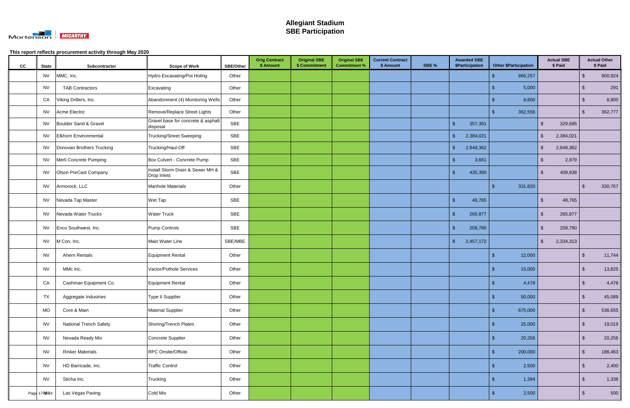

| cc | <b>State</b> | Subcontractor                 | <b>Scope of Work</b>                            | <b>SBE/Other</b> | <b>Orig Contract</b><br>\$ Amount | <b>Original SBE</b><br>\$ Commitment | <b>Original SBE</b><br><b>Commitment %</b> | <b>Current Contract</b><br>\$ Amount | SBE % | <b>Awarded SBE</b><br>\$Participation |      | <b>Other \$Participation</b> |               | <b>Actual SBE</b><br>\$ Paid |                         | <b>Actual Other</b><br>\$ Paid |
|----|--------------|-------------------------------|-------------------------------------------------|------------------|-----------------------------------|--------------------------------------|--------------------------------------------|--------------------------------------|-------|---------------------------------------|------|------------------------------|---------------|------------------------------|-------------------------|--------------------------------|
|    | <b>NV</b>    | MMC, Inc.                     | Hydro Excavating/Pot Holing                     | Other            |                                   |                                      |                                            |                                      |       |                                       | -\$  | 866,257                      |               |                              | $\sqrt[6]{\frac{1}{2}}$ | 900,924                        |
|    | <b>NV</b>    | <b>TAB Contractors</b>        | Excavating                                      | Other            |                                   |                                      |                                            |                                      |       |                                       | - \$ | 5,000                        |               |                              | $\sqrt[6]{3}$           | 291                            |
|    | CA           | Viking Drillers, Inc.         | Abandonment (4) Monitoring Wells                | Other            |                                   |                                      |                                            |                                      |       |                                       |      | 8,800                        |               |                              | $\sqrt{3}$              | 8,800                          |
|    | <b>NV</b>    | Acme Electric                 | Remove/Replace Street Lights                    | Other            |                                   |                                      |                                            |                                      |       |                                       |      | 362,556                      |               |                              | $\sqrt[6]{3}$           | 362,777                        |
|    | <b>NV</b>    | Boulder Sand & Gravel         | Gravel base for concrete & asphalt<br>disposal  | <b>SBE</b>       |                                   |                                      |                                            |                                      |       | $\mathcal{S}$<br>357,361              |      |                              | $\sqrt[6]{2}$ | 329,685                      |                         |                                |
|    | NV           | Elkhorn Environmental         | <b>Trucking/Street Sweeping</b>                 | SBE              |                                   |                                      |                                            |                                      |       | $\sqrt{2}$<br>2,384,021               |      |                              | $\sqrt[6]{2}$ | 2,384,021                    |                         |                                |
|    | <b>NV</b>    | Donovan Brothers Trucking     | Trucking/Haul-Off                               | SBE              |                                   |                                      |                                            |                                      |       | $\sqrt[6]{\frac{1}{2}}$<br>2,848,362  |      |                              | $\sqrt[6]{2}$ | 2,848,362                    |                         |                                |
|    | <b>NV</b>    | Merli Concrete Pumping        | Box Culvert - Concrete Pump                     | <b>SBE</b>       |                                   |                                      |                                            |                                      |       | $\sqrt{2}$<br>3,661                   |      |                              | $\sqrt[6]{2}$ | 2,979                        |                         |                                |
|    | <b>NV</b>    | Olson PreCast Company         | Install Storm Drain & Sewer MH &<br>Drop Inlets | SBE              |                                   |                                      |                                            |                                      |       | $\sqrt[6]{3}$<br>435,390              |      |                              | $\sqrt[6]{2}$ | 409,938                      |                         |                                |
|    | <b>NV</b>    | Armorock, LLC                 | Manhole Materials                               | Other            |                                   |                                      |                                            |                                      |       |                                       | \$   | 331,820                      |               |                              | -\$                     | 330,767                        |
|    | <b>NV</b>    | Nevada Tap Master             | Wet Tap                                         | SBE              |                                   |                                      |                                            |                                      |       | $\sqrt{2}$<br>48,765                  |      |                              | $\mathbb{S}$  | 48,765                       |                         |                                |
|    | <b>NV</b>    | Nevada Water Trucks           | <b>Water Truck</b>                              | SBE              |                                   |                                      |                                            |                                      |       | $\mathbf{\$}$<br>265,877              |      |                              | \$            | 265,877                      |                         |                                |
|    | <b>NV</b>    | Enco Southwest, Inc.          | Pump Controls                                   | SBE              |                                   |                                      |                                            |                                      |       | $\sqrt[6]{3}$<br>208,780              |      |                              | $\sqrt[6]{2}$ | 208,780                      |                         |                                |
|    | <b>NV</b>    | M Con, Inc.                   | Main Water Line                                 | SBE/MBE          |                                   |                                      |                                            |                                      |       | 2,457,172<br>$\frac{1}{2}$            |      |                              | $\sqrt[6]{2}$ | 2,334,313                    |                         |                                |
|    | <b>NV</b>    | Ahern Rentals                 | Equipment Rental                                | Other            |                                   |                                      |                                            |                                      |       |                                       | -\$  | 12,000                       |               |                              | $\sqrt[3]{2}$           | 11,744                         |
|    | <b>NV</b>    | MMc Inc.                      | Vactor/Pothole Services                         | Other            |                                   |                                      |                                            |                                      |       |                                       |      | 15,000                       |               |                              | $\sqrt[6]{3}$           | 13,825                         |
|    | CA           | Cashman Equipment Co.         | Equipment Rental                                | Other            |                                   |                                      |                                            |                                      |       |                                       |      | 4,478                        |               |                              | $\sqrt[3]{2}$           | 4,478                          |
|    | <b>TX</b>    | Aggregate Industries          | Type II Supplier                                | Other            |                                   |                                      |                                            |                                      |       |                                       | -\$  | 50,000                       |               |                              | $\sqrt[6]{\frac{1}{2}}$ | 45,089                         |
|    | <b>MO</b>    | Core & Main                   | <b>Material Supplier</b>                        | Other            |                                   |                                      |                                            |                                      |       |                                       | -\$  | 675,000                      |               |                              | $\sqrt[6]{3}$           | 536,655                        |
|    | <b>NV</b>    | <b>National Trench Safety</b> | Shoring/Trench Plates                           | Other            |                                   |                                      |                                            |                                      |       |                                       | -\$  | 25,000                       |               |                              | $\sqrt[6]{3}$           | 19,019                         |
|    | <b>NV</b>    | Nevada Ready Mix              | Concrete Supplier                               | Other            |                                   |                                      |                                            |                                      |       |                                       | -\$  | 20,256                       |               |                              | $\sqrt[6]{3}$           | 20,256                         |
|    | <b>NV</b>    | <b>Rinker Materials</b>       | RPC Onsite/Offsite                              | Other            |                                   |                                      |                                            |                                      |       |                                       | -\$  | 200,000                      |               |                              | $\sqrt[6]{2}$           | 186,463                        |
|    | <b>NV</b>    | HD Barricade, Inc.            | <b>Traffic Control</b>                          | Other            |                                   |                                      |                                            |                                      |       |                                       |      | 2,500                        |               |                              | $\sqrt[6]{2}$           | 2,400                          |
|    | <b>NV</b>    | Sticha Inc.                   | Trucking                                        | Other            |                                   |                                      |                                            |                                      |       |                                       | -\$  | 1,394                        |               |                              | $\sqrt[3]{2}$           | 1,338                          |
|    | Page 17 NAS4 | Las Vegas Paving              | Cold Mix                                        | Other            |                                   |                                      |                                            |                                      |       |                                       |      | 2,500                        |               |                              | $\sqrt[6]{3}$           | 500                            |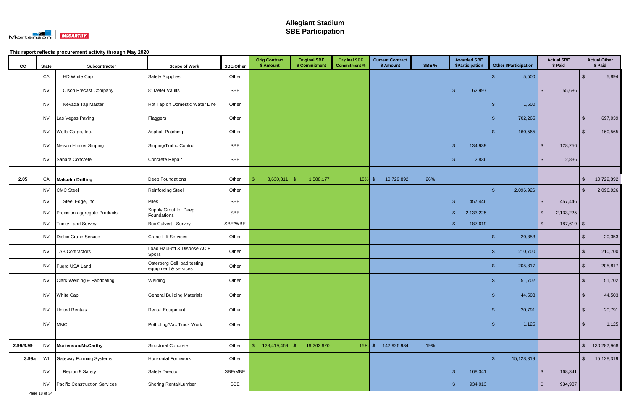

| cc        | <b>State</b> | Subcontractor                        | <b>Scope of Work</b>                                | SBE/Other  | <b>Orig Contract</b><br>\$ Amount | <b>Original SBE</b><br>\$ Commitment | <b>Original SBE</b><br><b>Commitment %</b> | <b>Current Contract</b><br>\$ Amount | SBE % | <b>Awarded SBE</b><br>\$Participation | <b>Other \$Participation</b> | <b>Actual SBE</b><br>\$ Paid |              |                         | <b>Actual Other</b><br>\$ Paid |
|-----------|--------------|--------------------------------------|-----------------------------------------------------|------------|-----------------------------------|--------------------------------------|--------------------------------------------|--------------------------------------|-------|---------------------------------------|------------------------------|------------------------------|--------------|-------------------------|--------------------------------|
|           | CA           | HD White Cap                         | <b>Safety Supplies</b>                              | Other      |                                   |                                      |                                            |                                      |       |                                       | 5,500<br>\$                  |                              |              | -\$                     | 5,894                          |
|           | <b>NV</b>    | <b>Olson Precast Company</b>         | 8" Meter Vaults                                     | SBE        |                                   |                                      |                                            |                                      |       | $\mathbf{\hat{s}}$<br>62,997          |                              | $\mathbb{S}$                 | 55,686       |                         |                                |
|           | <b>NV</b>    | Nevada Tap Master                    | Hot Tap on Domestic Water Line                      | Other      |                                   |                                      |                                            |                                      |       |                                       | 1,500<br>-\$                 |                              |              |                         |                                |
|           | <b>NV</b>    | Las Vegas Paving                     | Flaggers                                            | Other      |                                   |                                      |                                            |                                      |       |                                       | 702,265<br>S                 |                              |              | $\sqrt[6]{3}$           | 697,039                        |
|           | <b>NV</b>    | Wells Cargo, Inc.                    | <b>Asphalt Patching</b>                             | Other      |                                   |                                      |                                            |                                      |       |                                       | 160,565<br>-\$               |                              |              | $\sqrt[6]{3}$           | 160,565                        |
|           | <b>NV</b>    | Nelson Hiniker Striping              | Striping/Traffic Control                            | <b>SBE</b> |                                   |                                      |                                            |                                      |       | $\mathcal{S}$<br>134,939              |                              | $\mathbb{S}$                 | 128,256      |                         |                                |
|           | <b>NV</b>    | Sahara Concrete                      | Concrete Repair                                     | <b>SBE</b> |                                   |                                      |                                            |                                      |       | 2,836<br>. ድ                          |                              | \$                           | 2,836        |                         |                                |
|           |              |                                      |                                                     |            |                                   |                                      |                                            |                                      |       |                                       |                              |                              |              |                         |                                |
| 2.05      | CA           | <b>Malcolm Drilling</b>              | Deep Foundations                                    | Other      | 8,630,311                         | 1,588,177<br><sup>\$</sup>           | 18%                                        | $\mathfrak{F}$<br>10,729,892         | 26%   |                                       |                              |                              |              | $\sqrt[6]{2}$           | 10,729,892                     |
|           | <b>NV</b>    | <b>CMC Steel</b>                     | <b>Reinforcing Steel</b>                            | Other      |                                   |                                      |                                            |                                      |       |                                       | 2,096,926<br>-\$             |                              |              | $\sqrt[6]{3}$           | 2,096,926                      |
|           | <b>NV</b>    | Steel Edge, Inc.                     | Piles                                               | <b>SBE</b> |                                   |                                      |                                            |                                      |       | $\mathbf{\hat{S}}$<br>457,446         |                              | $\mathbf{\$}$                | 457,446      |                         |                                |
|           | <b>NV</b>    | Precision aggregate Products         | Supply Grout for Deep<br>Foundations                | <b>SBE</b> |                                   |                                      |                                            |                                      |       | $\sqrt[6]{\frac{1}{2}}$<br>2,133,225  |                              | $\sqrt[6]{2}$<br>2,133,225   |              |                         |                                |
|           | <b>NV</b>    | <b>Trinity Land Survey</b>           | Box Culvert - Survey                                | SBE/WBE    |                                   |                                      |                                            |                                      |       | $\mathbf{\hat{s}}$<br>187,619         |                              | $\mathbb{S}$                 | $187,619$ \$ |                         | $\sim 100$                     |
|           | <b>NV</b>    | Dielco Crane Service                 | <b>Crane Lift Services</b>                          | Other      |                                   |                                      |                                            |                                      |       |                                       | 20,353<br>-\$                |                              |              | $\sqrt[6]{3}$           | 20,353                         |
|           | <b>NV</b>    | <b>TAB Contractors</b>               | Load Haul-off & Dispose ACIP<br>Spoils              | Other      |                                   |                                      |                                            |                                      |       |                                       | 210,700                      |                              |              | $\sqrt[6]{3}$           | 210,700                        |
|           | <b>NV</b>    | Fugro USA Land                       | Osterberg Cell load testing<br>equipment & services | Other      |                                   |                                      |                                            |                                      |       |                                       | 205,817<br>Æ                 |                              |              | $\sqrt{3}$              | 205,817                        |
|           | <b>NV</b>    | Clark Welding & Fabricating          | Welding                                             | Other      |                                   |                                      |                                            |                                      |       |                                       | 51,702                       |                              |              | -\$                     | 51,702                         |
|           | <b>NV</b>    | White Cap                            | <b>General Building Materials</b>                   | Other      |                                   |                                      |                                            |                                      |       |                                       | 44,503<br>-\$                |                              |              | $\sqrt[6]{3}$           | 44,503                         |
|           | <b>NV</b>    | <b>United Rentals</b>                | Rental Equipment                                    | Other      |                                   |                                      |                                            |                                      |       |                                       | 20,791<br>-S                 |                              |              | $\sqrt[6]{\frac{1}{2}}$ | 20,791                         |
|           | <b>NV</b>    | <b>MMC</b>                           | Potholing/Vac Truck Work                            | Other      |                                   |                                      |                                            |                                      |       |                                       | 1,125<br>- \$                |                              |              | $\sqrt[3]{2}$           | 1,125                          |
|           |              |                                      |                                                     |            |                                   |                                      |                                            |                                      |       |                                       |                              |                              |              |                         |                                |
| 2.99/3.99 | <b>NV</b>    | Mortenson/McCarthy                   | Structural Concrete                                 | Other      |                                   | 19,262,920                           | $15%$ \$                                   | 142,926,934                          | 19%   |                                       |                              |                              |              | $\sqrt[6]{\frac{1}{2}}$ | 130,282,968                    |
| 3.99a     | WI           | <b>Gateway Forming Systems</b>       | Horizontal Formwork                                 | Other      |                                   |                                      |                                            |                                      |       |                                       | $\mathcal{S}$<br>15,128,319  |                              |              | $\sqrt[6]{\frac{1}{2}}$ | 15,128,319                     |
|           | <b>NV</b>    | Region 9 Safety                      | <b>Safety Director</b>                              | SBE/MBE    |                                   |                                      |                                            |                                      |       | $\sqrt{2}$<br>168,341                 |                              | $\sqrt[6]{\frac{1}{2}}$      | 168,341      |                         |                                |
|           | <b>NV</b>    | <b>Pacific Construction Services</b> | Shoring Rental/Lumber                               | SBE        |                                   |                                      |                                            |                                      |       | $\sqrt[6]{\frac{1}{2}}$<br>934,013    |                              | $\sqrt[6]{2}$                | 934,987      |                         |                                |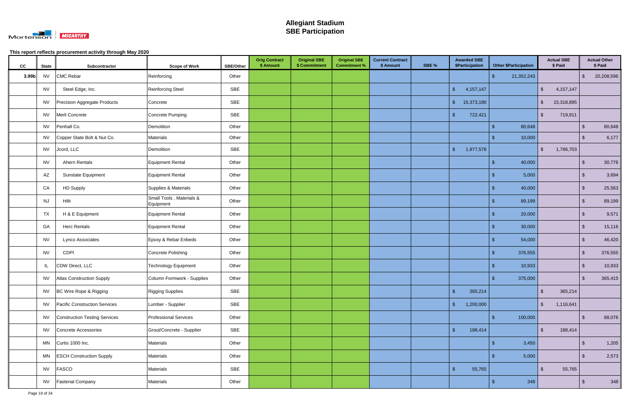

| cc    | <b>State</b> | Subcontractor                    | <b>Scope of Work</b>                  | <b>SBE/Other</b> | <b>Orig Contract</b><br>\$ Amount | <b>Original SBE</b><br>\$ Commitment | <b>Original SBE</b><br><b>Commitment %</b> | <b>Current Contract</b><br>\$ Amount | SBE % | <b>Awarded SBE</b><br>\$Participation |            | <b>Other \$Participation</b> |                         | <b>Actual SBE</b><br>\$ Paid |                         | <b>Actual Other</b><br>\$ Paid |
|-------|--------------|----------------------------------|---------------------------------------|------------------|-----------------------------------|--------------------------------------|--------------------------------------------|--------------------------------------|-------|---------------------------------------|------------|------------------------------|-------------------------|------------------------------|-------------------------|--------------------------------|
| 3.99b | <b>NV</b>    | <b>CMC Rebar</b>                 | Reinforcing                           | Other            |                                   |                                      |                                            |                                      |       |                                       | -\$        | 21,352,243                   |                         |                              | $\sqrt[6]{\frac{1}{2}}$ | 20,208,596                     |
|       | <b>NV</b>    | Steel Edge, Inc.                 | Reinforcing Steel                     | SBE              |                                   |                                      |                                            |                                      |       | 4, 157, 147<br>$\sqrt{2}$             |            |                              | $\sqrt[6]{2}$           | 4, 157, 147                  |                         |                                |
|       | <b>NV</b>    | Precision Aggregate Products     | Concrete                              | SBE              |                                   |                                      |                                            |                                      |       | 15,373,190<br>$\sqrt[6]{3}$           |            |                              | $\sqrt[6]{2}$           | 15,318,895                   |                         |                                |
|       | <b>NV</b>    | Merli Concrete                   | Concrete Pumping                      | SBE              |                                   |                                      |                                            |                                      |       | $\mathbf{\hat{s}}$<br>722,421         |            |                              | $\mathbb{S}$            | 719,911                      |                         |                                |
|       | <b>NV</b>    | Penhall Co.                      | Demolition                            | Other            |                                   |                                      |                                            |                                      |       |                                       | -\$        | 80,648                       |                         |                              | $\sqrt[6]{3}$           | 80,648                         |
|       | <b>NV</b>    | Copper State Bolt & Nut Co.      | Materials                             | Other            |                                   |                                      |                                            |                                      |       |                                       |            | 10,000                       |                         |                              | $\sqrt{3}$              | 6,177                          |
|       | <b>NV</b>    | Jcord, LLC                       | Demolition                            | SBE              |                                   |                                      |                                            |                                      |       | 1,977,578<br>$\mathbf{\hat{s}}$       |            |                              | $\sqrt[6]{\frac{1}{2}}$ | 1,786,703                    |                         |                                |
|       | <b>NV</b>    | Ahern Rentals                    | Equipment Rental                      | Other            |                                   |                                      |                                            |                                      |       |                                       | -\$        | 40,000                       |                         |                              | $\sqrt[6]{2}$           | 30,776                         |
|       | AZ           | Sunstate Equipment               | Equipment Rental                      | Other            |                                   |                                      |                                            |                                      |       |                                       | - \$       | 5,000                        |                         |                              | $\sqrt[6]{2}$           | 3,694                          |
|       | CA           | <b>HD Supply</b>                 | Supplies & Materials                  | Other            |                                   |                                      |                                            |                                      |       |                                       |            | 40,000                       |                         |                              | $\sqrt[3]{2}$           | 25,563                         |
|       | <b>NJ</b>    | Hilti                            | Small Tools, Materials &<br>Equipment | Other            |                                   |                                      |                                            |                                      |       |                                       | Æ          | 89,199                       |                         |                              | $\sqrt[6]{3}$           | 89,199                         |
|       | <b>TX</b>    | H & E Equipment                  | Equipment Rental                      | Other            |                                   |                                      |                                            |                                      |       |                                       |            | 20,000                       |                         |                              | $\sqrt[6]{3}$           | 9,571                          |
|       | GA           | <b>Herc Rentals</b>              | Equipment Rental                      | Other            |                                   |                                      |                                            |                                      |       |                                       |            | 30,000                       |                         |                              | $\sqrt[6]{2}$           | 15,116                         |
|       | <b>NV</b>    | Lynco Associates                 | Epoxy & Rebar Enbeds                  | Other            |                                   |                                      |                                            |                                      |       |                                       | -\$        | 54,000                       |                         |                              | $\sqrt[6]{2}$           | 46,420                         |
|       | <b>NV</b>    | <b>CDPI</b>                      | Concrete Polishing                    | Other            |                                   |                                      |                                            |                                      |       |                                       | - \$       | 376,555                      |                         |                              | $\sqrt[3]{2}$           | 376,555                        |
|       | IL           | CDW Direct, LLC                  | <b>Technology Equipment</b>           | Other            |                                   |                                      |                                            |                                      |       |                                       | - \$       | 10,933                       |                         |                              | $\sqrt[6]{2}$           | 10,933                         |
|       | <b>NV</b>    | <b>Atlas Construction Supply</b> | Column Formwork - Supplies            | Other            |                                   |                                      |                                            |                                      |       |                                       | S          | 375,000                      |                         |                              | $\sqrt[6]{3}$           | 365,415                        |
|       | <b>NV</b>    | BC Wire Rope & Rigging           | <b>Rigging Supplies</b>               | <b>SBE</b>       |                                   |                                      |                                            |                                      |       | $\sqrt{2}$<br>365,214                 |            |                              | $\sqrt{2}$              | 365,214                      |                         |                                |
|       | <b>NV</b>    | Pacific Construction Services    | Lumber - Supplier                     | SBE              |                                   |                                      |                                            |                                      |       | $\sqrt{2}$<br>1,200,000               |            |                              | $\sqrt[6]{2}$           | 1,116,641                    |                         |                                |
|       | <b>NV</b>    | Construction Testing Services    | <b>Professional Services</b>          | Other            |                                   |                                      |                                            |                                      |       |                                       | -\$        | 100,000                      |                         |                              | $\sqrt{3}$              | 88,076                         |
|       | <b>NV</b>    | Concrete Accessories             | Grout/Concrete - Supplier             | SBE              |                                   |                                      |                                            |                                      |       | 188,414<br>$\sqrt{2}$                 |            |                              | $\sqrt[6]{2}$           | 188,414                      |                         |                                |
|       | <b>MN</b>    | Curtis 1000 Inc.                 | <b>Materials</b>                      | Other            |                                   |                                      |                                            |                                      |       |                                       | $\sqrt{5}$ | 3,450                        |                         |                              | $\sqrt[6]{\frac{1}{2}}$ | 1,205                          |
|       | MN           | <b>ESCH Construction Supply</b>  | <b>Materials</b>                      | Other            |                                   |                                      |                                            |                                      |       |                                       | -\$        | 5,000                        |                         |                              | $\sqrt[6]{2}$           | 2,573                          |
|       | <b>NV</b>    | FASCO                            | <b>Materials</b>                      | SBE              |                                   |                                      |                                            |                                      |       | $\sqrt{2}$<br>55,765                  |            |                              | $\sqrt{2}$              | 55,765                       |                         |                                |
|       | <b>NV</b>    | <b>Fastenal Company</b>          | Materials                             | Other            |                                   |                                      |                                            |                                      |       |                                       | -\$        | 348                          |                         |                              | $\sqrt{3}$              | 348                            |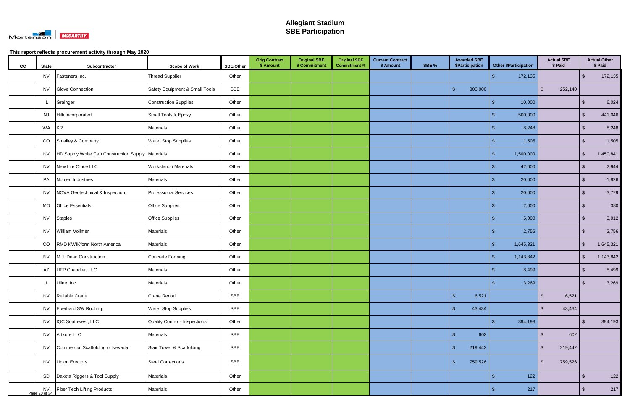

| cc | <b>State</b>        | Subcontractor                                     | <b>Scope of Work</b>           | <b>SBE/Other</b> | <b>Orig Contract</b><br>\$ Amount | <b>Original SBE</b><br>\$ Commitment | <b>Original SBE</b><br><b>Commitment %</b> | <b>Current Contract</b><br>\$ Amount | SBE % | <b>Awarded SBE</b><br>\$Participation | <b>Other \$Participation</b> |                         | <b>Actual SBE</b><br>\$ Paid |                         | <b>Actual Other</b><br>\$ Paid |
|----|---------------------|---------------------------------------------------|--------------------------------|------------------|-----------------------------------|--------------------------------------|--------------------------------------------|--------------------------------------|-------|---------------------------------------|------------------------------|-------------------------|------------------------------|-------------------------|--------------------------------|
|    | <b>NV</b>           | Fasteners Inc.                                    | Thread Supplier                | Other            |                                   |                                      |                                            |                                      |       |                                       | ්<br>172,135                 |                         |                              | $\sqrt[6]{3}$           | 172,135                        |
|    | <b>NV</b>           | <b>Glove Connection</b>                           | Safety Equipment & Small Tools | SBE              |                                   |                                      |                                            |                                      |       | $\sqrt{2}$<br>300,000                 |                              | $\sqrt{2}$              | 252,140                      |                         |                                |
|    | IL                  | Grainger                                          | <b>Construction Supplies</b>   | Other            |                                   |                                      |                                            |                                      |       |                                       | 10,000<br>-\$                |                         |                              | $\sqrt[6]{3}$           | 6,024                          |
|    | <b>NJ</b>           | Hilti Incorporated                                | Small Tools & Epoxy            | Other            |                                   |                                      |                                            |                                      |       |                                       | 500,000                      |                         |                              | $\sqrt[6]{3}$           | 441,046                        |
|    | WA                  | <b>KR</b>                                         | Materials                      | Other            |                                   |                                      |                                            |                                      |       |                                       | 8,248                        |                         |                              | -\$                     | 8,248                          |
|    | CO                  | Smalley & Company                                 | <b>Water Stop Supplies</b>     | Other            |                                   |                                      |                                            |                                      |       |                                       | 1,505                        |                         |                              | $\sqrt[6]{3}$           | 1,505                          |
|    | <b>NV</b>           | HD Supply White Cap Construction Supply Materials |                                | Other            |                                   |                                      |                                            |                                      |       |                                       | 1,500,000<br>-\$             |                         |                              | $\sqrt[6]{3}$           | 1,450,841                      |
|    | <b>NV</b>           | New Life Office LLC                               | <b>Workstation Materials</b>   | Other            |                                   |                                      |                                            |                                      |       |                                       | 42,000<br>\$                 |                         |                              | $\sqrt[3]{2}$           | 2,944                          |
|    | PA                  | Norcen Industries                                 | Materials                      | Other            |                                   |                                      |                                            |                                      |       |                                       | 20,000<br>-S                 |                         |                              | $\sqrt{2}$              | 1,826                          |
|    | <b>NV</b>           | NOVA Geotechnical & Inspection                    | <b>Professional Services</b>   | Other            |                                   |                                      |                                            |                                      |       |                                       | 20,000<br>ß.                 |                         |                              | $\sqrt[6]{3}$           | 3,779                          |
|    | MO                  | <b>Office Essentials</b>                          | <b>Office Supplies</b>         | Other            |                                   |                                      |                                            |                                      |       |                                       | 2,000<br>-S                  |                         |                              | $\sqrt[6]{3}$           | 380                            |
|    | <b>NV</b>           | <b>Staples</b>                                    | <b>Office Supplies</b>         | Other            |                                   |                                      |                                            |                                      |       |                                       | 5,000<br>-S                  |                         |                              | $\sqrt[6]{3}$           | 3,012                          |
|    | <b>NV</b>           | William Vollmer                                   | Materials                      | Other            |                                   |                                      |                                            |                                      |       |                                       | 2,756                        |                         |                              | $\sqrt[6]{3}$           | 2,756                          |
|    | CO                  | RMD KWIKform North America                        | Materials                      | Other            |                                   |                                      |                                            |                                      |       |                                       | 1,645,321<br>-\$             |                         |                              | $\sqrt{2}$              | 1,645,321                      |
|    | <b>NV</b>           | M.J. Dean Construction                            | Concrete Forming               | Other            |                                   |                                      |                                            |                                      |       |                                       | 1,143,842<br>-\$             |                         |                              | $\sqrt[6]{\frac{1}{2}}$ | 1,143,842                      |
|    | AZ                  | UFP Chandler, LLC                                 | Materials                      | Other            |                                   |                                      |                                            |                                      |       |                                       | 8,499                        |                         |                              | -\$                     | 8,499                          |
|    | IL.                 | Uline, Inc.                                       | Materials                      | Other            |                                   |                                      |                                            |                                      |       |                                       | 3,269                        |                         |                              | $\sqrt[6]{3}$           | 3,269                          |
|    | <b>NV</b>           | Reliable Crane                                    | <b>Crane Rental</b>            | SBE              |                                   |                                      |                                            |                                      |       | $\sqrt{2}$<br>6,521                   |                              | $\sqrt[6]{2}$           | 6,521                        |                         |                                |
|    | <b>NV</b>           | Eberhard SW Roofing                               | <b>Water Stop Supplies</b>     | SBE              |                                   |                                      |                                            |                                      |       | $\sqrt{2}$<br>43,434                  |                              | $\sqrt{2}$              | 43,434                       |                         |                                |
|    | <b>NV</b>           | IQC Southwest, LLC                                | Quality Control - Inspections  | Other            |                                   |                                      |                                            |                                      |       |                                       | 394,193<br>\$                |                         |                              | $\sqrt[3]{5}$           | 394,193                        |
|    | <b>NV</b>           | Artkore LLC                                       | Materials                      | SBE              |                                   |                                      |                                            |                                      |       | $\sqrt{2}$<br>602                     |                              | $\mathbf{s}$            | 602                          |                         |                                |
|    | <b>NV</b>           | Commercial Scaffolding of Nevada                  | Stair Tower & Scaffolding      | SBE              |                                   |                                      |                                            |                                      |       | $\sqrt{2}$<br>219,442                 |                              | $\sqrt[6]{\frac{1}{2}}$ | 219,442                      |                         |                                |
|    | <b>NV</b>           | Union Erectors                                    | <b>Steel Corrections</b>       | SBE              |                                   |                                      |                                            |                                      |       | $\sqrt{2}$<br>759,526                 |                              | $\sqrt[6]{2}$           | 759,526                      |                         |                                |
|    | SD                  | Dakota Riggers & Tool Supply                      | Materials                      | Other            |                                   |                                      |                                            |                                      |       |                                       | $122$<br>$\sqrt[6]{3}$       |                         |                              | 15                      | 122                            |
|    | NV<br>Page 20 of 34 | <b>Fiber Tech Lifting Products</b>                | Materials                      | Other            |                                   |                                      |                                            |                                      |       |                                       | 217<br>-\$                   |                         |                              | $\sqrt[3]{2}$           | 217                            |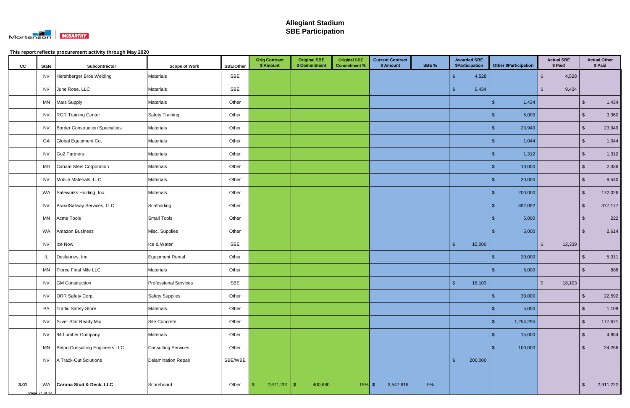

| cc   | <b>State</b>        | Subcontractor                          | <b>Scope of Work</b>         | SBE/Other | <b>Orig Contract</b><br>\$ Amount | <b>Original SBE</b><br>\$ Commitment | <b>Original SBE</b><br><b>Commitment %</b> | <b>Current Contract</b><br>\$ Amount | SBE % | <b>Awarded SBE</b><br>\$Participation | <b>Other \$Participation</b> | <b>Actual SBE</b><br>\$ Paid |                         | <b>Actual Other</b><br>\$ Paid |
|------|---------------------|----------------------------------------|------------------------------|-----------|-----------------------------------|--------------------------------------|--------------------------------------------|--------------------------------------|-------|---------------------------------------|------------------------------|------------------------------|-------------------------|--------------------------------|
|      | <b>NV</b>           | Hershberger Bros Welding               | Materials                    | SBE       |                                   |                                      |                                            |                                      |       | 4,528<br>- \$                         |                              | 4,528<br>$\sqrt[6]{2}$       |                         |                                |
|      | <b>NV</b>           | June Rose, LLC                         | <b>Materials</b>             | SBE       |                                   |                                      |                                            |                                      |       | 9,434<br><b>S</b>                     |                              | 9,434<br>$\mathbb{S}$        |                         |                                |
|      | <b>MN</b>           | <b>Mars Supply</b>                     | <b>Materials</b>             | Other     |                                   |                                      |                                            |                                      |       |                                       | 1,434<br>-\$                 |                              | $\sqrt[6]{\frac{1}{2}}$ | 1,434                          |
|      | <b>NV</b>           | <b>RGR Training Center</b>             | Safety Training              | Other     |                                   |                                      |                                            |                                      |       |                                       | 5,000<br>-\$                 |                              | $\sqrt[3]{2}$           | 3,360                          |
|      | <b>NV</b>           | <b>Border Construction Specialties</b> | Materials                    | Other     |                                   |                                      |                                            |                                      |       |                                       | 23,949<br>୍ଥ                 |                              | $\sqrt[3]{2}$           | 23,949                         |
|      | GA                  | Global Equipment Co.                   | Materials                    | Other     |                                   |                                      |                                            |                                      |       |                                       | 1,044                        |                              | $\sqrt[6]{3}$           | 1,044                          |
|      | <b>NV</b>           | Go <sub>2</sub> Partners               | Materials                    | Other     |                                   |                                      |                                            |                                      |       |                                       | 1,312<br>-\$                 |                              | $\sqrt[6]{3}$           | 1,312                          |
|      | MD                  | Canam Steel Corporation                | <b>Materials</b>             | Other     |                                   |                                      |                                            |                                      |       |                                       | 10,000<br>\$                 |                              | $\sqrt[6]{3}$           | 2,336                          |
|      | <b>NV</b>           | Mobile Materials, LLC                  | <b>Materials</b>             | Other     |                                   |                                      |                                            |                                      |       |                                       | 20,000<br>-\$                |                              | $\sqrt[6]{\frac{1}{2}}$ | 9,540                          |
|      | WA                  | Safeworks Holding, Inc.                | Materials                    | Other     |                                   |                                      |                                            |                                      |       |                                       | -\$<br>200,000               |                              | $\sqrt[3]{2}$           | 172,026                        |
|      | <b>NV</b>           | BrandSafway Services, LLC              | Scaffolding                  | Other     |                                   |                                      |                                            |                                      |       |                                       | $\mathfrak{L}$<br>392,092    |                              | $\sqrt[6]{\frac{1}{2}}$ | 377,177                        |
|      | <b>MN</b>           | Acme Tools                             | <b>Small Tools</b>           | Other     |                                   |                                      |                                            |                                      |       |                                       | 5,000<br>-\$                 |                              | $\sqrt[6]{3}$           | 222                            |
|      | WA                  | Amazon Business                        | Misc. Supplies               | Other     |                                   |                                      |                                            |                                      |       |                                       | 5,000<br>ி                   |                              | $\sqrt[3]{2}$           | 2,614                          |
|      | <b>NV</b>           | Ice Now                                | Ice & Water                  | SBE       |                                   |                                      |                                            |                                      |       | 15,000<br>$\sqrt{3}$                  |                              | $\mathfrak{L}$<br>12,339     |                         |                                |
|      | IL                  | Deslauries, Inc.                       | Equipment Rental             | Other     |                                   |                                      |                                            |                                      |       |                                       | 20,000<br>-\$                |                              | -\$                     | 5,311                          |
|      | MN                  | Tforce Final Mile LLC                  | Materials                    | Other     |                                   |                                      |                                            |                                      |       |                                       | 5,000                        |                              | \$                      | 886                            |
|      | <b>NV</b>           | <b>GM Construction</b>                 | <b>Professional Services</b> | SBE       |                                   |                                      |                                            |                                      |       | 18,103<br>- \$                        |                              | $\sqrt[6]{3}$<br>18,103      |                         |                                |
|      | <b>NV</b>           | ORR Safety Corp.                       | Safety Supplies              | Other     |                                   |                                      |                                            |                                      |       |                                       | 30,000<br>$\sqrt[3]{2}$      |                              | $\sqrt{2}$              | 22,592                         |
|      | PA                  | <b>Traffic Safety Store</b>            | Materials                    | Other     |                                   |                                      |                                            |                                      |       |                                       | 5,000<br>-\$                 |                              | $\sqrt[6]{3}$           | 1,109                          |
|      | <b>NV</b>           | Silver Star Ready Mix                  | Site Concrete                | Other     |                                   |                                      |                                            |                                      |       |                                       | 1,254,294<br>$\mathbf{\$}$   |                              | $\sqrt[6]{3}$           | 177,671                        |
|      | <b>NV</b>           | 84 Lumber Company                      | Materials                    | Other     |                                   |                                      |                                            |                                      |       |                                       | 15,000<br>-\$                |                              | $\sqrt[3]{2}$           | 4,854                          |
|      | <b>MN</b>           | Beton Consulting Engineers LLC         | Consulting Services          | Other     |                                   |                                      |                                            |                                      |       |                                       | 100,000<br>$\mathbf{\$}$     |                              | \$                      | 24,266                         |
|      | <b>NV</b>           | A Track-Out Solutions                  | Delamination Repair          | SBE/WBE   |                                   |                                      |                                            |                                      |       | 200,000<br>$\mathfrak{g}$             |                              |                              |                         |                                |
|      |                     |                                        |                              |           |                                   |                                      |                                            |                                      |       |                                       |                              |                              |                         |                                |
| 3.01 | WA<br>Page 21 of 34 | Corona Stud & Deck, LLC                | Scoreboard                   | Other     | $2,671,201$ \$                    | 400,680                              | $15%$ \$                                   | 3,547,818                            | 5%    |                                       |                              |                              | \$                      | 2,911,222                      |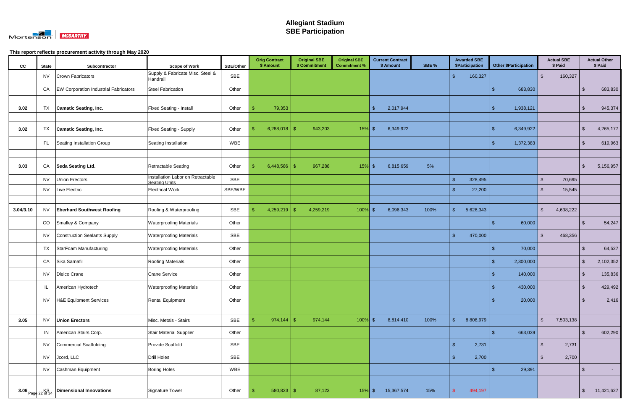

| cc        | <b>State</b> | Subcontractor                                          | <b>Scope of Work</b>                                      | <b>SBE/Other</b> | <b>Orig Contract</b><br>\$ Amount | <b>Original SBE</b><br>\$ Commitment | <b>Original SBE</b><br><b>Commitment %</b> | <b>Current Contract</b><br>\$ Amount | SBE % | <b>Awarded SBE</b><br>\$Participation | <b>Other \$Participation</b> | <b>Actual SBE</b><br>\$ Paid    |                         | <b>Actual Other</b><br>\$ Paid |
|-----------|--------------|--------------------------------------------------------|-----------------------------------------------------------|------------------|-----------------------------------|--------------------------------------|--------------------------------------------|--------------------------------------|-------|---------------------------------------|------------------------------|---------------------------------|-------------------------|--------------------------------|
|           | <b>NV</b>    | Crown Fabricators                                      | Supply & Fabricate Misc. Steel &<br>Handrail              | SBE              |                                   |                                      |                                            |                                      |       | 160,327<br>-\$                        |                              | $\mathbf{\hat{s}}$<br>160,327   |                         |                                |
|           | CA           | <b>EW Corporation Industrial Fabricators</b>           | Steel Fabrication                                         | Other            |                                   |                                      |                                            |                                      |       |                                       | \$<br>683,830                |                                 | \$                      | 683,830                        |
|           |              |                                                        |                                                           |                  |                                   |                                      |                                            |                                      |       |                                       |                              |                                 |                         |                                |
| 3.02      | TX           | Camatic Seating, Inc.                                  | <b>Fixed Seating - Install</b>                            | Other            | 79,353                            |                                      |                                            | $\mathfrak{L}$<br>2,017,944          |       |                                       | 1,938,121<br>-\$             |                                 | $\mathfrak{L}$          | 945,374                        |
|           |              |                                                        |                                                           |                  |                                   |                                      |                                            |                                      |       |                                       |                              |                                 |                         |                                |
| 3.02      | TX           | Camatic Seating, Inc.                                  | <b>Fixed Seating - Supply</b>                             | Other            | 6,288,018   \$                    | 943,203                              | 15%                                        | 6,349,922<br>\$                      |       |                                       | 6,349,922<br>-\$             |                                 | \$                      | 4,265,177                      |
|           | FL.          | Seating Installation Group                             | Seating Installation                                      | WBE              |                                   |                                      |                                            |                                      |       |                                       | 1,372,383<br>-\$             |                                 |                         | 619,963                        |
|           |              |                                                        |                                                           |                  |                                   |                                      |                                            |                                      |       |                                       |                              |                                 |                         |                                |
| 3.03      | CA           | Seda Seating Ltd.                                      | <b>Retractable Seating</b>                                | Other            | $6,448,586$ \$                    | 967,288                              | 15%                                        | 6,815,659<br>\$                      | 5%    |                                       |                              |                                 | \$                      | 5,156,957                      |
|           | <b>NV</b>    | Union Erectors                                         | Installation Labor on Retractable<br><b>Seating Units</b> | SBE              |                                   |                                      |                                            |                                      |       | 328,495<br><b>S</b>                   |                              | $\mathbb{S}$<br>70,695          |                         |                                |
|           | <b>NV</b>    | Live Electric                                          | <b>Electrical Work</b>                                    | SBE/WBE          |                                   |                                      |                                            |                                      |       | 27,200                                |                              | 15,545<br>$\mathbf{R}$          |                         |                                |
|           |              |                                                        |                                                           |                  |                                   |                                      |                                            |                                      |       |                                       |                              |                                 |                         |                                |
| 3.04/3.10 | <b>NV</b>    | <b>Eberhard Southwest Roofing</b>                      | Roofing & Waterproofing                                   | SBE              | 4,259,219                         | 4,259,219<br>-\$                     | 100%                                       | 6,096,343<br>-\$                     | 100%  | 5,626,343                             |                              | $\mathbf{\hat{s}}$<br>4,638,222 |                         |                                |
|           | CO           | Smalley & Company                                      | <b>Waterproofing Materials</b>                            | Other            |                                   |                                      |                                            |                                      |       |                                       | 60,000<br>-\$                |                                 |                         | 54,247                         |
|           | <b>NV</b>    | Construction Sealants Supply                           | <b>Waterproofing Materials</b>                            | SBE              |                                   |                                      |                                            |                                      |       | 470,000<br>-\$                        |                              | 468,356<br>$\mathfrak{L}$       |                         |                                |
|           | TX           | StarFoam Manufacturing                                 | <b>Waterproofing Materials</b>                            | Other            |                                   |                                      |                                            |                                      |       |                                       | 70,000<br>-\$                |                                 | -S                      | 64,527                         |
|           | CA           | Sika Sarnafil                                          | <b>Roofing Materials</b>                                  | Other            |                                   |                                      |                                            |                                      |       |                                       | 2,300,000<br>-\$             |                                 | \$                      | 2,102,352                      |
|           | <b>NV</b>    | Dielco Crane                                           | <b>Crane Service</b>                                      | Other            |                                   |                                      |                                            |                                      |       |                                       | 140,000                      |                                 | \$                      | 135,836                        |
|           | IL.          | American Hydrotech                                     | <b>Waterproofing Materials</b>                            | Other            |                                   |                                      |                                            |                                      |       |                                       | $\sqrt{3}$<br>430,000        |                                 | - \$                    | 429,492                        |
|           | <b>NV</b>    | H&E Equipment Services                                 | Rental Equipment                                          | Other            |                                   |                                      |                                            |                                      |       |                                       | 20,000<br>-\$                |                                 | \$                      | 2,416                          |
|           |              |                                                        |                                                           |                  |                                   |                                      |                                            |                                      |       |                                       |                              |                                 |                         |                                |
| 3.05      | <b>NV</b>    | <b>Union Erectors</b>                                  | Misc. Metals - Stairs                                     | SBE              |                                   | 974,144                              | $100\%$ \$                                 | 8,814,410                            | 100%  | 8,808,979<br>- \$                     |                              | $\sqrt{2}$<br>7,503,138         |                         |                                |
|           | IN           | American Stairs Corp.                                  | Stair Material Supplier                                   | Other            |                                   |                                      |                                            |                                      |       |                                       | $\sqrt[6]{3}$<br>663,039     |                                 | $\sqrt[3]{2}$           | 602,290                        |
|           | <b>NV</b>    | Commercial Scaffolding                                 | Provide Scaffold                                          | SBE              |                                   |                                      |                                            |                                      |       | 2,731<br>$\sqrt{3}$                   |                              | $\mathbb{S}$<br>2,731           |                         |                                |
|           | <b>NV</b>    | Jcord, LLC                                             | <b>Drill Holes</b>                                        | SBE              |                                   |                                      |                                            |                                      |       | 2,700                                 |                              | 2,700<br>-\$                    |                         |                                |
|           | <b>NV</b>    | Cashman Equipment                                      | <b>Boring Holes</b>                                       | WBE              |                                   |                                      |                                            |                                      |       |                                       | 29,391<br>-\$                |                                 | $\sqrt[6]{\frac{1}{2}}$ | $\sim$ $-$                     |
|           |              |                                                        |                                                           |                  |                                   |                                      |                                            |                                      |       |                                       |                              |                                 |                         |                                |
|           |              | 3.06 $_{\text{Page 22 of 34}}$ Dimensional Innovations | Signature Tower                                           | Other            | $580,823$ \$                      | 87,123                               | $15%$ \$                                   | 15,367,574                           | 15%   | 494,197                               |                              |                                 | $\sqrt[6]{2}$           | 11,421,627                     |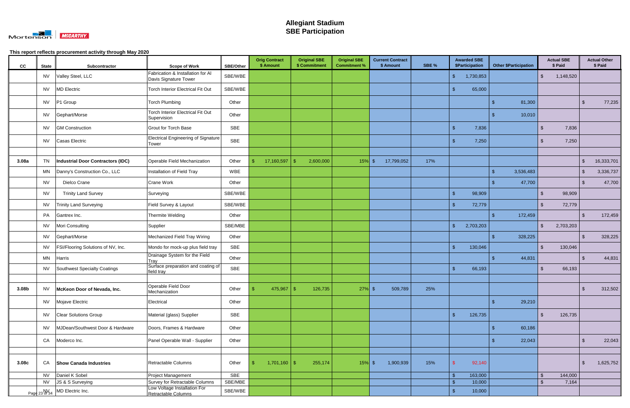

| cc    | <b>State</b> | Subcontractor                      | <b>Scope of Work</b>                                       | <b>SBE/Other</b> | <b>Orig Contract</b><br>\$ Amount | <b>Original SBE</b><br>\$ Commitment | <b>Original SBE</b><br><b>Commitment %</b> | <b>Current Contract</b><br>\$ Amount | SBE % | <b>Awarded SBE</b><br>\$Participation | <b>Other \$Participation</b> |                         | <b>Actual SBE</b><br>\$ Paid |               | <b>Actual Other</b><br>\$ Paid |
|-------|--------------|------------------------------------|------------------------------------------------------------|------------------|-----------------------------------|--------------------------------------|--------------------------------------------|--------------------------------------|-------|---------------------------------------|------------------------------|-------------------------|------------------------------|---------------|--------------------------------|
|       | <b>NV</b>    | Valley Steel, LLC                  | Fabrication & Installation for Al<br>Davis Signature Tower | SBE/WBE          |                                   |                                      |                                            |                                      |       | 1,730,853<br>-\$                      |                              | $\sqrt[6]{\frac{1}{2}}$ | 1,148,520                    |               |                                |
|       | <b>NV</b>    | <b>MD Electric</b>                 | <b>Torch Interior Electrical Fit Out</b>                   | SBE/WBE          |                                   |                                      |                                            |                                      |       | 65,000                                |                              |                         |                              |               |                                |
|       | <b>NV</b>    | P1 Group                           | <b>Torch Plumbing</b>                                      | Other            |                                   |                                      |                                            |                                      |       |                                       | 81,300<br>-\$                |                         |                              | $\sqrt[6]{3}$ | 77,235                         |
|       | <b>NV</b>    | Gephart/Morse                      | <b>Torch Interior Electrical Fit Out</b><br>Supervision    | Other            |                                   |                                      |                                            |                                      |       |                                       | 10,010                       |                         |                              |               |                                |
|       | <b>NV</b>    | <b>GM Construction</b>             | <b>Grout for Torch Base</b>                                | SBE              |                                   |                                      |                                            |                                      |       | 7,836                                 |                              | $\mathfrak{L}$          | 7,836                        |               |                                |
|       | <b>NV</b>    | Casas Electric                     | <b>Electrical Engineering of Signature</b><br><b>Tower</b> | <b>SBE</b>       |                                   |                                      |                                            |                                      |       | 7,250                                 |                              | -\$                     | 7,250                        |               |                                |
| 3.08a | <b>TN</b>    | Industrial Door Contractors (IDC)  | Operable Field Mechanization                               | Other            | 17,160,597                        | 2,600,000<br>\$.                     | 15%                                        | 17,799,052<br>-\$                    | 17%   |                                       |                              |                         |                              | $\sqrt[6]{3}$ | 16,333,701                     |
|       | <b>MN</b>    | Danny's Construction Co., LLC      | Installation of Field Tray                                 | WBE              |                                   |                                      |                                            |                                      |       |                                       | 3,536,483<br>\$              |                         |                              | $\sqrt[3]{2}$ | 3,336,737                      |
|       | <b>NV</b>    | Dielco Crane                       | Crane Work                                                 | Other            |                                   |                                      |                                            |                                      |       |                                       | 47,700                       |                         |                              | $\sqrt[6]{3}$ | 47,700                         |
|       | <b>NV</b>    | <b>Trinity Land Survey</b>         | Surveying                                                  | SBE/WBE          |                                   |                                      |                                            |                                      |       | 98,909<br><b>S</b>                    |                              | $\mathbb{S}$            | 98,909                       |               |                                |
|       | <b>NV</b>    | <b>Trinity Land Surveying</b>      | Field Survey & Layout                                      | SBE/WBE          |                                   |                                      |                                            |                                      |       | 72,779                                |                              | $\mathbf{s}$            | 72,779                       |               |                                |
|       | PA           | Gantrex Inc.                       | Thermite Welding                                           | Other            |                                   |                                      |                                            |                                      |       |                                       | $\mathbf{\$}$<br>172,459     |                         |                              | $\sqrt[3]{2}$ | 172,459                        |
|       | <b>NV</b>    | Mori Consulting                    | Supplier                                                   | SBE/MBE          |                                   |                                      |                                            |                                      |       | 2,703,203<br>$\mathbf{\hat{R}}$       |                              | $\mathbb{S}$            | 2,703,203                    |               |                                |
|       | <b>NV</b>    | Gephart/Morse                      | Mechanized Field Tray Wiring                               | Other            |                                   |                                      |                                            |                                      |       |                                       | 328,225<br>\$                |                         |                              | $\sqrt[3]{2}$ | 328,225                        |
|       | <b>NV</b>    | FSI/Flooring Solutions of NV, Inc. | Mondo for mock-up plus field tray                          | SBE              |                                   |                                      |                                            |                                      |       | 130,046<br>$\mathbf{\hat{s}}$         |                              | $\mathbb{S}$            | 130,046                      |               |                                |
|       | MN           | Harris                             | Drainage System for the Field<br>Tray                      | Other            |                                   |                                      |                                            |                                      |       |                                       | 44,831                       |                         |                              | \$            | 44,831                         |
|       | <b>NV</b>    | Southwest Specialty Coatings       | Surface preparation and coating of<br>field tray           | <b>SBE</b>       |                                   |                                      |                                            |                                      |       | 66,193                                |                              | -\$                     | 66,193                       |               |                                |
|       |              |                                    |                                                            |                  |                                   |                                      |                                            |                                      |       |                                       |                              |                         |                              |               |                                |
| 3.08b | <b>NV</b>    | McKeon Door of Nevada, Inc.        | Operable Field Door<br>Mechanization                       | Other            | $475,967$ \$                      | 126,735                              | $27\%$ \$                                  | 509,789                              | 25%   |                                       |                              |                         |                              | $\sqrt{3}$    | 312,502                        |
|       | <b>NV</b>    | Mojave Electric                    | Electrical                                                 | Other            |                                   |                                      |                                            |                                      |       |                                       | 29,210<br>-\$                |                         |                              |               |                                |
|       | <b>NV</b>    | <b>Clear Solutions Group</b>       | Material (glass) Supplier                                  | SBE              |                                   |                                      |                                            |                                      |       | 126,735<br>$\mathcal{S}$              |                              | $\mathfrak{L}$          | 126,735                      |               |                                |
|       | <b>NV</b>    | MJDean/Southwest Door & Hardware   | Doors, Frames & Hardware                                   | Other            |                                   |                                      |                                            |                                      |       |                                       | 60,186<br>-\$                |                         |                              |               |                                |
|       | CA           | Moderco Inc.                       | Panel Operable Wall - Supplier                             | Other            |                                   |                                      |                                            |                                      |       |                                       | 22,043                       |                         |                              | - \$          | 22,043                         |
|       |              |                                    |                                                            |                  |                                   |                                      |                                            |                                      |       |                                       |                              |                         |                              |               |                                |
| 3.08c | CA           | <b>Show Canada Industries</b>      | Retractable Columns                                        | Other            | $1,701,160$ \$                    | 255,174                              | $15%$ \$                                   | 1,900,939                            | 15%   | 92,140                                |                              |                         |                              | \$            | 1,625,752                      |
|       | <b>NV</b>    | Daniel K Sobel                     | Project Management                                         | <b>SBE</b>       |                                   |                                      |                                            |                                      |       | 163,000<br>- \$                       |                              | $\mathbf{\$}$           | 144,000                      |               |                                |
|       | <b>NV</b>    | JS & S Surveying                   | Survey for Retractable Columns                             | SBE/MBE          |                                   |                                      |                                            |                                      |       | 10,000<br>$\sqrt{3}$                  |                              | $\mathfrak{L}$          | 7,164                        |               |                                |
|       |              | Page 23 of 34 MD Electric Inc.     | Low Voltage Installation For<br>Retractable Columns        | SBE/WBE          |                                   |                                      |                                            |                                      |       | <b>\$</b><br>10,000                   |                              |                         |                              |               |                                |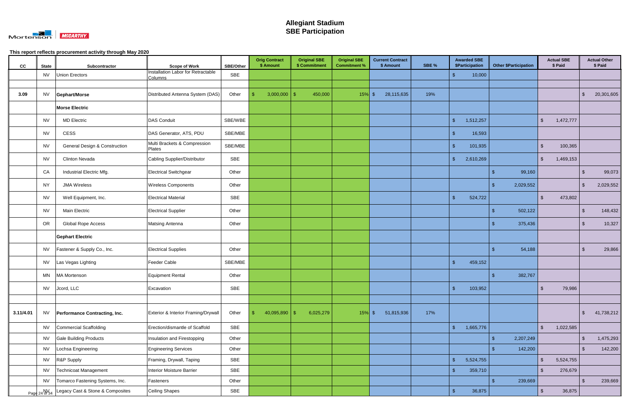

| cc        | <b>State</b> | Subcontractor                                  | <b>Scope of Work</b>                          | <b>SBE/Other</b> | <b>Orig Contract</b><br>\$ Amount | <b>Original SBE</b><br>\$ Commitment | <b>Original SBE</b><br><b>Commitment %</b> | <b>Current Contract</b><br>\$ Amount | SBE % | <b>Awarded SBE</b><br><b>\$Participation</b> | <b>Other \$Participation</b> | <b>Actual SBE</b><br>\$ Paid |               | <b>Actual Other</b><br>\$ Paid |
|-----------|--------------|------------------------------------------------|-----------------------------------------------|------------------|-----------------------------------|--------------------------------------|--------------------------------------------|--------------------------------------|-------|----------------------------------------------|------------------------------|------------------------------|---------------|--------------------------------|
|           | <b>NV</b>    | <b>Union Erectors</b>                          | Installation Labor for Retractable<br>Columns | <b>SBE</b>       |                                   |                                      |                                            |                                      |       | 10,000                                       |                              |                              |               |                                |
|           |              |                                                |                                               |                  |                                   |                                      |                                            |                                      |       |                                              |                              |                              |               |                                |
| 3.09      | <b>NV</b>    | Gephart/Morse                                  | Distributed Antenna System (DAS)              | Other            | $3,000,000$ \$                    | 450,000                              | $15\%$ \$                                  | 28,115,635                           | 19%   |                                              |                              |                              | $\sqrt[6]{3}$ | 20,301,605                     |
|           |              | <b>Morse Electric</b>                          |                                               |                  |                                   |                                      |                                            |                                      |       |                                              |                              |                              |               |                                |
|           | <b>NV</b>    | <b>MD Electric</b>                             | <b>DAS Conduit</b>                            | SBE/WBE          |                                   |                                      |                                            |                                      |       | 1,512,257<br>-\$                             |                              | $\sqrt[6]{2}$<br>1,472,777   |               |                                |
|           | <b>NV</b>    | CESS                                           | DAS Generator, ATS, PDU                       | SBE/MBE          |                                   |                                      |                                            |                                      |       | 16,593                                       |                              |                              |               |                                |
|           | <b>NV</b>    | <b>General Design &amp; Construction</b>       | Multi Brackets & Compression<br>Plates        | SBE/MBE          |                                   |                                      |                                            |                                      |       | 101,935<br>\$                                |                              | $\mathbf{s}$<br>100,365      |               |                                |
|           | <b>NV</b>    | <b>Clinton Nevada</b>                          | Cabling Supplier/Distributor                  | SBE              |                                   |                                      |                                            |                                      |       | 2,610,269<br>-\$                             |                              | $\sqrt[6]{2}$<br>1,469,153   |               |                                |
|           | CA           | Industrial Electric Mfg.                       | <b>Electrical Switchgear</b>                  | Other            |                                   |                                      |                                            |                                      |       |                                              | 99,160<br>-\$                |                              | -\$           | 99,073                         |
|           | <b>NY</b>    | <b>JMA Wireless</b>                            | <b>Wireless Components</b>                    | Other            |                                   |                                      |                                            |                                      |       |                                              | 2,029,552<br>\$              |                              | $\sqrt[6]{3}$ | 2,029,552                      |
|           | <b>NV</b>    | Well Equipment, Inc.                           | <b>Electrical Material</b>                    | <b>SBE</b>       |                                   |                                      |                                            |                                      |       | 524,722<br>-\$                               |                              | $\sqrt[6]{2}$<br>473,802     |               |                                |
|           | <b>NV</b>    | <b>Main Electric</b>                           | <b>Electrical Supplier</b>                    | Other            |                                   |                                      |                                            |                                      |       |                                              | 502,122<br>-S                |                              | $\sqrt[3]{2}$ | 148,432                        |
|           | OR           | <b>Global Rope Access</b>                      | <b>Matsing Antenna</b>                        | Other            |                                   |                                      |                                            |                                      |       |                                              | 375,436<br>ß.                |                              | $\sqrt[3]{2}$ | 10,327                         |
|           |              | <b>Gephart Electric</b>                        |                                               |                  |                                   |                                      |                                            |                                      |       |                                              |                              |                              |               |                                |
|           | <b>NV</b>    | Fastener & Supply Co., Inc.                    | <b>Electrical Supplies</b>                    | Other            |                                   |                                      |                                            |                                      |       |                                              | 54,188                       |                              | -\$           | 29,866                         |
|           | <b>NV</b>    | Las Vegas Lighting                             | Feeder Cable                                  | SBE/MBE          |                                   |                                      |                                            |                                      |       | 459,152<br>- \$                              |                              |                              |               |                                |
|           | MN           | MA Mortenson                                   | <b>Equipment Rental</b>                       | Other            |                                   |                                      |                                            |                                      |       |                                              | 382,767                      |                              |               |                                |
|           | <b>NV</b>    | Jcord, LLC                                     | Excavation                                    | SBE              |                                   |                                      |                                            |                                      |       | 103,952                                      |                              | \$<br>79,986                 |               |                                |
|           |              |                                                |                                               |                  |                                   |                                      |                                            |                                      |       |                                              |                              |                              |               |                                |
| 3.11/4.01 | <b>NV</b>    | <b>Performance Contracting, Inc.</b>           | Exterior & Interior Framing/Drywall           | Other            | $40,095,890$ \$                   | 6,025,279                            | 15%                                        | $\sqrt{5}$<br>51,815,936             | 17%   |                                              |                              |                              | \$            | 41,738,212                     |
|           | <b>NV</b>    | Commercial Scaffolding                         | Erection/dismantle of Scaffold                | SBE              |                                   |                                      |                                            |                                      |       | $\mathbf{\hat{s}}$<br>1,665,776              |                              | $\sqrt{2}$<br>1,022,585      |               |                                |
|           | <b>NV</b>    | <b>Gale Building Products</b>                  | Insulation and Firestopping                   | Other            |                                   |                                      |                                            |                                      |       |                                              | 2,207,249<br>-\$             |                              | $\sqrt[6]{3}$ | 1,475,293                      |
|           | <b>NV</b>    | Lochsa Engineering                             | <b>Engineering Services</b>                   | Other            |                                   |                                      |                                            |                                      |       |                                              | 142,200                      |                              | $\sqrt[6]{3}$ | 142,200                        |
|           | <b>NV</b>    | R&P Supply                                     | Framing, Drywall, Taping                      | SBE              |                                   |                                      |                                            |                                      |       | 5,524,755<br>\$                              |                              | $\mathfrak{S}$<br>5,524,755  |               |                                |
|           | <b>NV</b>    | Technicoat Management                          | <b>Interior Moisture Barrier</b>              | SBE              |                                   |                                      |                                            |                                      |       | $\mathbf{\hat{s}}$<br>359,710                |                              | $\mathbf{\$}$<br>276,679     |               |                                |
|           | <b>NV</b>    | Tomarco Fastening Systems, Inc.                | Fasteners                                     | Other            |                                   |                                      |                                            |                                      |       |                                              | 239,669<br>\$                |                              | $\sqrt[6]{3}$ | 239,669                        |
|           |              | Page 24 of 34 Legacy Cast & Stone & Composites | <b>Ceiling Shapes</b>                         | SBE              |                                   |                                      |                                            |                                      |       | $\mathbf{\hat{s}}$<br>36,875                 |                              | $\sqrt[6]{2}$<br>36,875      |               |                                |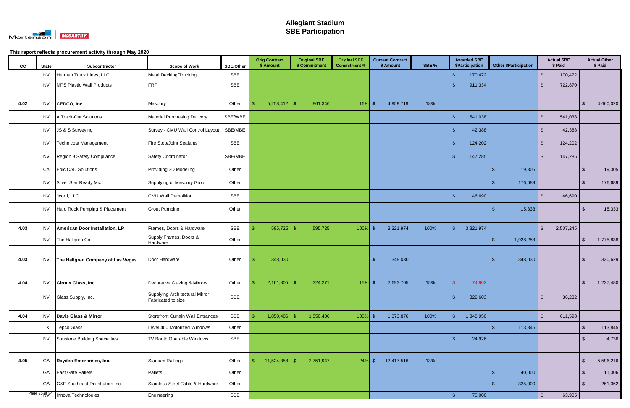

| cc   | <b>State</b> | Subcontractor                      | <b>Scope of Work</b>                                 | SBE/Other  | <b>Orig Contract</b><br>\$ Amount | <b>Original SBE</b><br>\$ Commitment | <b>Original SBE</b><br><b>Commitment %</b> | \$ Amount     | <b>Current Contract</b> | SBE % |                    | <b>Awarded SBE</b><br>\$Participation |      | <b>Other \$Participation</b> |                         | <b>Actual SBE</b><br>\$ Paid |                         | <b>Actual Other</b><br>\$ Paid |
|------|--------------|------------------------------------|------------------------------------------------------|------------|-----------------------------------|--------------------------------------|--------------------------------------------|---------------|-------------------------|-------|--------------------|---------------------------------------|------|------------------------------|-------------------------|------------------------------|-------------------------|--------------------------------|
|      | <b>NV</b>    | Herman Truck Lines, LLC            | Metal Decking/Trucking                               | SBE        |                                   |                                      |                                            |               |                         |       | $\mathbf{\$}$      | 170,472                               |      |                              | $\mathbf{\$}$           | 170,472                      |                         |                                |
|      | <b>NV</b>    | MPS Plastic Wall Products          | FRP                                                  | <b>SBE</b> |                                   |                                      |                                            |               |                         |       |                    | 911,334                               |      |                              | $\sqrt[6]{2}$           | 722,870                      |                         |                                |
|      |              |                                    |                                                      |            |                                   |                                      |                                            |               |                         |       |                    |                                       |      |                              |                         |                              |                         |                                |
| 4.02 | <b>NV</b>    | CEDCO, Inc.                        | Masonry                                              | Other      | $5,258,412$ \$                    | 861,346                              | 16%                                        | - S           | 4,959,719               | 18%   |                    |                                       |      |                              |                         |                              | -\$                     | 4,660,020                      |
|      | <b>NV</b>    | A Track-Out Solutions              | <b>Material Purchasing Delivery</b>                  | SBE/WBE    |                                   |                                      |                                            |               |                         |       | -\$                | 541,038                               |      |                              | $\sqrt[6]{2}$           | 541,038                      |                         |                                |
|      | <b>NV</b>    | JS & S Surveying                   | Survey - CMU Wall Control Layout                     | SBE/MBE    |                                   |                                      |                                            |               |                         |       |                    | 42,388                                |      |                              | $\mathbb{S}$            | 42,388                       |                         |                                |
|      | <b>NV</b>    | Technicoat Management              | Fire Stop/Joint Sealants                             | SBE        |                                   |                                      |                                            |               |                         |       | -\$                | 124,202                               |      |                              | $\mathbb{S}$            | 124,202                      |                         |                                |
|      | <b>NV</b>    | Region 9 Safety Compliance         | Safety Coordinator                                   | SBE/MBE    |                                   |                                      |                                            |               |                         |       | -\$                | 147,285                               |      |                              | $\sqrt[6]{\frac{1}{2}}$ | 147,285                      |                         |                                |
|      | CA           | Epic CAD Solutions                 | Providing 3D Modeling                                | Other      |                                   |                                      |                                            |               |                         |       |                    |                                       | -\$  | 19,305                       |                         |                              | $\sqrt{3}$              | 19,305                         |
|      | <b>NV</b>    | Silver Star Ready Mix              | Supplying of Masonry Grout                           | Other      |                                   |                                      |                                            |               |                         |       |                    |                                       |      | 176,689                      |                         |                              | \$                      | 176,689                        |
|      | <b>NV</b>    | Jcord, LLC                         | <b>CMU Wall Demolition</b>                           | SBE        |                                   |                                      |                                            |               |                         |       |                    | 46,690                                |      |                              | -\$                     | 46,690                       |                         |                                |
|      | <b>NV</b>    | Hard Rock Pumping & Placement      | <b>Grout Pumping</b>                                 | Other      |                                   |                                      |                                            |               |                         |       |                    |                                       | - \$ | 15,333                       |                         |                              | $\sqrt[6]{3}$           | 15,333                         |
|      |              |                                    |                                                      |            |                                   |                                      |                                            |               |                         |       |                    |                                       |      |                              |                         |                              |                         |                                |
| 4.03 | <b>NV</b>    | American Door Installation, LP     | Frames, Doors & Hardware                             | SBE        | 595,725                           | 595,725<br>\$                        | 100%                                       | - S           | 3,321,974               | 100%  | $\mathbf{\hat{s}}$ | 3,321,974                             |      |                              | $\sqrt[6]{2}$           | 2,507,245                    |                         |                                |
|      | <b>NV</b>    | The Hallgren Co.                   | Supply Frames, Doors &<br>Hardware                   | Other      |                                   |                                      |                                            |               |                         |       |                    |                                       | -\$  | 1,928,258                    |                         |                              | $\sqrt[6]{3}$           | 1,775,838                      |
|      |              |                                    |                                                      |            |                                   |                                      |                                            |               |                         |       |                    |                                       |      |                              |                         |                              |                         |                                |
| 4.03 | <b>NV</b>    | The Hallgren Company of Las Vegas  | Door Hardware                                        | Other      | 348,030                           |                                      |                                            | $\mathbf{\$}$ | 348,030                 |       |                    |                                       | -\$  | 348,030                      |                         |                              | \$                      | 330,629                        |
|      |              |                                    |                                                      |            |                                   |                                      |                                            |               |                         |       |                    |                                       |      |                              |                         |                              |                         |                                |
| 4.04 | <b>NV</b>    | Giroux Glass, Inc.                 | Decorative Glazing & Mirrors                         | Other      | $2,161,805$ \$                    | 324,271                              | 15%                                        | -\$           | 2,693,705               | 15%   |                    | 74,902                                |      |                              |                         |                              | $\sqrt[6]{\frac{1}{2}}$ | 1,227,480                      |
|      | <b>NV</b>    | Glass Supply, Inc.                 | Supplying Architectural Mirror<br>Fabricated to size | SBE        |                                   |                                      |                                            |               |                         |       | $\mathbf{\hat{S}}$ | 329,603                               |      |                              | $\mathfrak{S}$          | 36,232                       |                         |                                |
|      |              |                                    |                                                      |            |                                   |                                      |                                            |               |                         |       |                    |                                       |      |                              |                         |                              |                         |                                |
| 4.04 | <b>NV</b>    | Davis Glass & Mirror               | Storefront Curtain Wall Entrances                    | SBE        | $1,850,406$ \$                    | 1,850,406                            | $100\%$ \$                                 |               | 1,373,876               | 100%  | $\mathbf{\$}$      | 1,348,950                             |      |                              | $\mathbb{S}$            | 611,598                      |                         |                                |
|      | TX           | Tepco Glass                        | Level 400 Motorized Windows                          | Other      |                                   |                                      |                                            |               |                         |       |                    |                                       | -\$  | 113,845                      |                         |                              | $\sqrt[6]{3}$           | 113,845                        |
|      | <b>NV</b>    | Sunstone Building Specialties      | TV Booth Operable Windows                            | SBE        |                                   |                                      |                                            |               |                         |       | $\mathbf{\hat{f}}$ | 24,926                                |      |                              |                         |                              | $\sqrt[6]{3}$           | 4,736                          |
|      |              |                                    |                                                      |            |                                   |                                      |                                            |               |                         |       |                    |                                       |      |                              |                         |                              |                         |                                |
| 4.05 | GA           | Raydeo Enterprises, Inc.           | Stadium Railings                                     | Other      | $11,524,358$ \$                   | 2,751,947                            | $24\%$ \$                                  |               | 12,417,516              | 13%   |                    |                                       |      |                              |                         |                              | $\sqrt[6]{3}$           | 5,596,216                      |
|      | GA           | East Gate Pallets                  | Pallets                                              | Other      |                                   |                                      |                                            |               |                         |       |                    |                                       | -\$  | 40,000                       |                         |                              | $\sqrt[6]{3}$           | 11,306                         |
|      | GA           | G&F Southeast Distributors Inc.    | Stainless Steel Cable & Hardware                     | Other      |                                   |                                      |                                            |               |                         |       |                    |                                       |      | 325,000                      |                         |                              | \$                      | 261,362                        |
|      |              | Page 25 N\24   Innova Technologies | Engineering                                          | SBE        |                                   |                                      |                                            |               |                         |       | $\mathbf{\hat{s}}$ | 70,000                                |      |                              | $\sqrt[6]{2}$           | 63,905                       |                         |                                |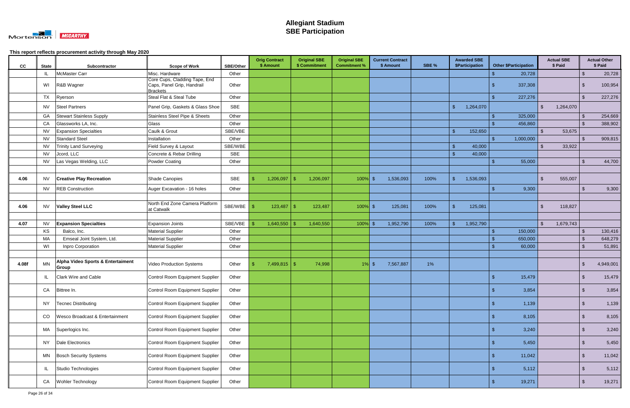

| cc    | <b>State</b> | Subcontractor                              | <b>Scope of Work</b>                                                           | <b>SBE/Other</b> |    | <b>Orig Contract</b><br>\$ Amount |               | <b>Original SBE</b><br>\$ Commitment | <b>Original SBE</b><br><b>Commitment %</b> |          | <b>Current Contract</b><br>\$ Amount | SBE % |                    | <b>Awarded SBE</b><br>\$Participation |                | <b>Other \$Participation</b> |               | <b>Actual SBE</b><br>\$ Paid |                | <b>Actual Other</b><br>\$ Paid |
|-------|--------------|--------------------------------------------|--------------------------------------------------------------------------------|------------------|----|-----------------------------------|---------------|--------------------------------------|--------------------------------------------|----------|--------------------------------------|-------|--------------------|---------------------------------------|----------------|------------------------------|---------------|------------------------------|----------------|--------------------------------|
|       |              | McMaster Carr                              | Misc. Hardware                                                                 | Other            |    |                                   |               |                                      |                                            |          |                                      |       |                    |                                       |                | 20,728                       |               |                              | \$             | 20,728                         |
|       | WI           | R&B Wagner                                 | Core Cups, Cladding Tape, End<br>Caps, Panel Grip, Handrail<br><b>Brackets</b> | Other            |    |                                   |               |                                      |                                            |          |                                      |       |                    |                                       |                | 337,308                      |               |                              |                | 100,954                        |
|       | <b>TX</b>    | Ryerson                                    | Steal Flat & Steal Tube                                                        | Other            |    |                                   |               |                                      |                                            |          |                                      |       |                    |                                       |                | 227,276                      |               |                              | $\mathfrak{L}$ | 227,276                        |
|       | NV.          | <b>Steel Partners</b>                      | Panel Grip, Gaskets & Glass Shoe                                               | <b>SBE</b>       |    |                                   |               |                                      |                                            |          |                                      |       |                    | 1,264,070                             |                |                              | \$            | 1,264,070                    |                |                                |
|       | GA           | <b>Stewart Stainless Supply</b>            | Stainless Steel Pipe & Sheets                                                  | Other            |    |                                   |               |                                      |                                            |          |                                      |       |                    |                                       |                | 325,000                      |               |                              |                | 254,669                        |
|       | CA           | Glassworks LA, Inc.                        | Glass                                                                          | Other            |    |                                   |               |                                      |                                            |          |                                      |       |                    |                                       |                | 456,860                      |               |                              |                | 388,902                        |
|       | <b>NV</b>    | <b>Expansion Specialties</b>               | Caulk & Grout                                                                  | SBE/VBE          |    |                                   |               |                                      |                                            |          |                                      |       | $\mathbf{\hat{S}}$ | 152,650                               |                |                              | . ድ           | 53,675                       |                |                                |
|       | <b>NV</b>    | <b>Standard Steel</b>                      | Installation                                                                   | Other            |    |                                   |               |                                      |                                            |          |                                      |       |                    |                                       | - 1            | 1,000,000                    |               |                              | $\mathcal{L}$  | 909,815                        |
|       | <b>NV</b>    | <b>Trinity Land Surveying</b>              | Field Survey & Layout                                                          | SBE/WBE          |    |                                   |               |                                      |                                            |          |                                      |       | . ድ                | 40,000                                |                |                              | $\mathbf{R}$  | 33,922                       |                |                                |
|       | <b>NV</b>    | Jcord, LLC                                 | Concrete & Rebar Drilling                                                      | SBE              |    |                                   |               |                                      |                                            |          |                                      |       |                    | 40,000                                |                |                              |               |                              |                |                                |
|       | <b>NV</b>    | Las Vegas Welding, LLC                     | Powder Coating                                                                 | Other            |    |                                   |               |                                      |                                            |          |                                      |       |                    |                                       | S              | 55,000                       |               |                              | \$             | 44,700                         |
|       |              |                                            |                                                                                |                  |    |                                   |               |                                      |                                            |          |                                      |       |                    |                                       |                |                              |               |                              |                |                                |
| 4.06  | <b>NV</b>    | <b>Creative Play Recreation</b>            | Shade Canopies                                                                 | SBE              |    | 1,206,097                         | <sup>\$</sup> | 1,206,097                            | $100\%$ \$                                 |          | 1,536,093                            | 100%  | -\$                | 1,536,093                             |                |                              | \$            | 555,007                      |                |                                |
|       | NV.          | <b>REB Construction</b>                    | Auger Excavation - 16 holes                                                    | Other            |    |                                   |               |                                      |                                            |          |                                      |       |                    |                                       | $\mathfrak{L}$ | 9,300                        |               |                              | $\mathfrak{L}$ | 9,300                          |
|       |              |                                            |                                                                                |                  |    |                                   |               |                                      |                                            |          |                                      |       |                    |                                       |                |                              |               |                              |                |                                |
| 4.06  | NV           | <b>Valley Steel LLC</b>                    | North End Zone Camera Platform<br>at Catwalk                                   | SBE/WBE          | -S | 123,487                           | <sup>\$</sup> | 123,487                              | $100\%$ \$                                 |          | 125,081                              | 100%  |                    | 125,081                               |                |                              | \$            | 118,827                      |                |                                |
|       |              |                                            |                                                                                |                  |    |                                   |               |                                      |                                            |          |                                      |       |                    |                                       |                |                              |               |                              |                |                                |
| 4.07  | <b>NV</b>    | <b>Expansion Specialties</b>               | <b>Expansion Joints</b>                                                        | SBE/VBE          |    | 1,640,550                         | -9            | 1,640,550                            | 100%                                       | - \$     | 1,952,790                            | 100%  | ¢                  | 1,952,790                             |                |                              | $\mathcal{S}$ | 1,679,743                    |                |                                |
|       | KS           | Balco, Inc.                                | <b>Material Supplier</b>                                                       | Other            |    |                                   |               |                                      |                                            |          |                                      |       |                    |                                       |                | 150,000                      |               |                              | $\mathfrak{L}$ | 130,416                        |
|       | MA           | Emseal Joint System, Ltd.                  | Material Supplier                                                              | Other            |    |                                   |               |                                      |                                            |          |                                      |       |                    |                                       |                | 650,000                      |               |                              | -\$            | 648,279                        |
|       | WI           | Inpro Corporation                          | <b>Material Supplier</b>                                                       | Other            |    |                                   |               |                                      |                                            |          |                                      |       |                    |                                       |                | 60,000                       |               |                              | \$             | 51,891                         |
|       |              |                                            |                                                                                |                  |    |                                   |               |                                      |                                            |          |                                      |       |                    |                                       |                |                              |               |                              |                |                                |
| 4.08f | MN           | Alpha Video Sports & Entertaiment<br>Group | <b>Video Production Systems</b>                                                | Other            |    | $7,499,815$ \$                    |               | 74,998                               | 1%                                         | <b>S</b> | 7,567,887                            | $1\%$ |                    |                                       |                |                              |               |                              | ß.             | 4,949,001                      |
|       |              | <b>Clark Wire and Cable</b>                | Control Room Equipment Supplier                                                | Other            |    |                                   |               |                                      |                                            |          |                                      |       |                    |                                       | - 3            | 15,479                       |               |                              |                | 15,479                         |
|       | ${\sf CA}$   | Bittree In.                                | Control Room Equipment Supplier                                                | Other            |    |                                   |               |                                      |                                            |          |                                      |       |                    |                                       | -\$            | 3,854                        |               |                              | $\sqrt{2}$     | 3,854                          |
|       | <b>NY</b>    | Tecnec Distributing                        | Control Room Equipment Supplier                                                | Other            |    |                                   |               |                                      |                                            |          |                                      |       |                    |                                       | -\$            | 1,139                        |               |                              | $\sqrt[3]{2}$  | 1,139                          |
|       | CO           | Wesco Broadcast & Entertainment            | Control Room Equipment Supplier                                                | Other            |    |                                   |               |                                      |                                            |          |                                      |       |                    |                                       |                | 8,105                        |               |                              | $\mathfrak{S}$ | 8,105                          |
|       | МA           | Superlogics Inc.                           | Control Room Equipment Supplier                                                | Other            |    |                                   |               |                                      |                                            |          |                                      |       |                    |                                       | -\$            | 3,240                        |               |                              | -\$            | 3,240                          |
|       | <b>NY</b>    | Dale Electronics                           | Control Room Equipment Supplier                                                | Other            |    |                                   |               |                                      |                                            |          |                                      |       |                    |                                       | - \$           | 5,450                        |               |                              | $\sqrt[6]{3}$  | 5,450                          |
|       | MN           | <b>Bosch Security Systems</b>              | Control Room Equipment Supplier                                                | Other            |    |                                   |               |                                      |                                            |          |                                      |       |                    |                                       | -\$            | 11,042                       |               |                              | $\sqrt{2}$     | 11,042                         |
|       | -IL          | Studio Technologies                        | Control Room Equipment Supplier                                                | Other            |    |                                   |               |                                      |                                            |          |                                      |       |                    |                                       | -\$            | 5,112                        |               |                              | $\sqrt[3]{2}$  | 5,112                          |
|       | CA           | Wohler Technology                          | Control Room Equipment Supplier                                                | Other            |    |                                   |               |                                      |                                            |          |                                      |       |                    |                                       |                | 19,271                       |               |                              |                | 19,271                         |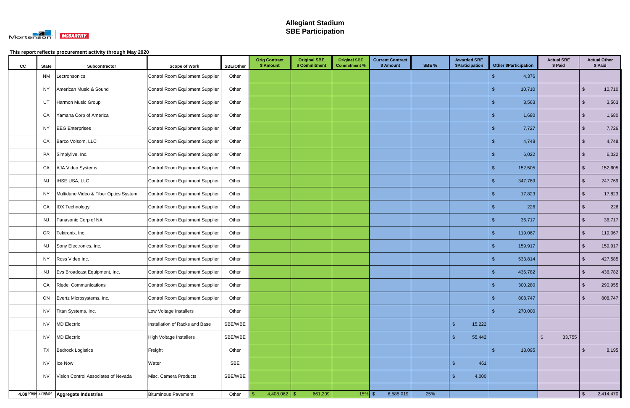

| cc | <b>State</b> | Subcontractor                            | <b>Scope of Work</b>            | <b>SBE/Other</b> | <b>Orig Contract</b><br>\$ Amount | <b>Original SBE</b><br>\$ Commitment | <b>Original SBE</b><br><b>Commitment %</b> | <b>Current Contract</b><br>\$ Amount | SBE % | <b>Awarded SBE</b><br>\$Participation | <b>Other \$Participation</b> | <b>Actual SBE</b><br>\$ Paid |               | <b>Actual Other</b><br>\$ Paid |
|----|--------------|------------------------------------------|---------------------------------|------------------|-----------------------------------|--------------------------------------|--------------------------------------------|--------------------------------------|-------|---------------------------------------|------------------------------|------------------------------|---------------|--------------------------------|
|    | <b>NM</b>    | Lectronsonics                            | Control Room Equipment Supplier | Other            |                                   |                                      |                                            |                                      |       |                                       | 4,376<br>-\$                 |                              |               |                                |
|    | NY           | American Music & Sound                   | Control Room Equipment Supplier | Other            |                                   |                                      |                                            |                                      |       |                                       | 10,710<br>-\$                |                              | $\sqrt[6]{3}$ | 10,710                         |
|    | UT           | Harmon Music Group                       | Control Room Equipment Supplier | Other            |                                   |                                      |                                            |                                      |       |                                       | 3,563                        |                              | \$            | 3,563                          |
|    | CA           | Yamaha Corp of America                   | Control Room Equipment Supplier | Other            |                                   |                                      |                                            |                                      |       |                                       | 1,680                        |                              | $\sqrt[6]{3}$ | 1,680                          |
|    | <b>NY</b>    | <b>EEG</b> Enterprises                   | Control Room Equipment Supplier | Other            |                                   |                                      |                                            |                                      |       |                                       | 7,727<br>- 5                 |                              | \$            | 7,726                          |
|    | CA           | Barco Volsom, LLC                        | Control Room Equipment Supplier | Other            |                                   |                                      |                                            |                                      |       |                                       | 4,748                        |                              | \$            | 4,748                          |
|    | PA           | Simplylive, Inc.                         | Control Room Equipment Supplier | Other            |                                   |                                      |                                            |                                      |       |                                       | 6,022<br>-\$                 |                              | $\sqrt[6]{3}$ | 6,022                          |
|    | CA           | AJA Video Systems                        | Control Room Equipment Supplier | Other            |                                   |                                      |                                            |                                      |       |                                       | 152,505<br>-\$               |                              | $\sqrt[6]{3}$ | 152,605                        |
|    | <b>NJ</b>    | <b>IHSE USA, LLC</b>                     | Control Room Equipment Supplier | Other            |                                   |                                      |                                            |                                      |       |                                       | 347,769<br>-\$               |                              | $\sqrt[6]{3}$ | 247,769                        |
|    | <b>NY</b>    | Multidune Video & Fiber Optics System    | Control Room Equipment Supplier | Other            |                                   |                                      |                                            |                                      |       |                                       | 17,823<br>-\$                |                              | $\sqrt[6]{3}$ | 17,823                         |
|    | CA           | <b>IDX Technology</b>                    | Control Room Equipment Supplier | Other            |                                   |                                      |                                            |                                      |       |                                       | 226                          |                              | $\sqrt[6]{3}$ | 226                            |
|    | <b>NJ</b>    | Panasonic Corp of NA                     | Control Room Equipment Supplier | Other            |                                   |                                      |                                            |                                      |       |                                       | 36,717                       |                              | \$            | 36,717                         |
|    | OR           | Tektronix, Inc.                          | Control Room Equipment Supplier | Other            |                                   |                                      |                                            |                                      |       |                                       | 119,067                      |                              | $\mathbf{\$}$ | 119,067                        |
|    | <b>NJ</b>    | Sony Electronics, Inc.                   | Control Room Equipment Supplier | Other            |                                   |                                      |                                            |                                      |       |                                       | 159,917<br>- \$              |                              | -\$           | 159,917                        |
|    | NY.          | Ross Video Inc.                          | Control Room Equipment Supplier | Other            |                                   |                                      |                                            |                                      |       |                                       | 533,814<br>-\$               |                              | $\sqrt[6]{3}$ | 427,585                        |
|    | <b>NJ</b>    | Evs Broadcast Equipment, Inc.            | Control Room Equipment Supplier | Other            |                                   |                                      |                                            |                                      |       |                                       | 436,782<br>- \$              |                              | $\sqrt[6]{3}$ | 436,782                        |
|    | CA           | <b>Riedel Communications</b>             | Control Room Equipment Supplier | Other            |                                   |                                      |                                            |                                      |       |                                       | 300,280                      |                              | . \$          | 290,955                        |
|    | ON           | Evertz Microsystems, Inc.                | Control Room Equipment Supplier | Other            |                                   |                                      |                                            |                                      |       |                                       | 808,747<br>\$                |                              | $\mathbf{\$}$ | 808,747                        |
|    | <b>NV</b>    | Titan Systems, Inc.                      | Low Voltage Installers          | Other            |                                   |                                      |                                            |                                      |       |                                       | 270,000                      |                              |               |                                |
|    | <b>NV</b>    | <b>MD</b> Electric                       | Installation of Racks and Base  | SBE/WBE          |                                   |                                      |                                            |                                      |       | 15,222<br>$\mathcal{S}$               |                              |                              |               |                                |
|    | <b>NV</b>    | <b>MD</b> Electric                       | High Voltage Installers         | SBE/WBE          |                                   |                                      |                                            |                                      |       | 55,442                                |                              | 33,755<br>$\mathfrak{L}$     |               |                                |
|    | <b>TX</b>    | <b>Bedrock Logistics</b>                 | Freight                         | Other            |                                   |                                      |                                            |                                      |       |                                       | 13,095<br>-\$                |                              | \$.           | 8,195                          |
|    | <b>NV</b>    | Ice Now                                  | Water                           | SBE              |                                   |                                      |                                            |                                      |       | 461<br><b>S</b>                       |                              |                              |               |                                |
|    | <b>NV</b>    | Vision Control Associates of Nevada      | Misc. Camera Products           | SBE/WBE          |                                   |                                      |                                            |                                      |       | 4,000                                 |                              |                              |               |                                |
|    |              | 4.09 Page 27 N\B4   Aggregate Industries | Bituminous Pavement             | Other            | 4,408,062   \$                    | 661,209                              | $15%$ \$                                   | 6,585,019                            | 25%   |                                       |                              |                              | $\mathcal{S}$ | 2,414,470                      |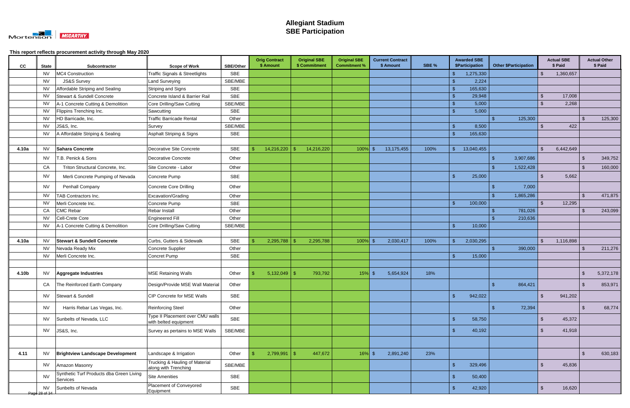

| cc    | <b>State</b>               | Subcontractor                                        | <b>Scope of Work</b>                                      | <b>SBE/Other</b> | <b>Orig Contract</b><br>\$ Amount | <b>Original SBE</b> | \$ Commitment | <b>Original SBE</b><br><b>Commitment %</b> | <b>Current Contract</b><br>\$ Amount | SBE % |                | <b>Awarded SBE</b><br>\$Participation |     | <b>Other \$Participation</b> |                    | <b>Actual SBE</b><br>\$ Paid |                    | <b>Actual Other</b><br>\$ Paid |
|-------|----------------------------|------------------------------------------------------|-----------------------------------------------------------|------------------|-----------------------------------|---------------------|---------------|--------------------------------------------|--------------------------------------|-------|----------------|---------------------------------------|-----|------------------------------|--------------------|------------------------------|--------------------|--------------------------------|
|       | <b>NV</b>                  | MC4 Construction                                     | Traffic Signals & Streetlights                            | <b>SBE</b>       |                                   |                     |               |                                            |                                      |       |                | 1,275,330                             |     |                              |                    | 1,360,657                    |                    |                                |
|       | <b>NV</b>                  | <b>JS&amp;S Survey</b>                               | Land Surveying                                            | SBE/MBE          |                                   |                     |               |                                            |                                      |       |                | 2,224                                 |     |                              |                    |                              |                    |                                |
|       | <b>NV</b>                  | Affordable Striping and Sealing                      | Striping and Signs                                        | <b>SBE</b>       |                                   |                     |               |                                            |                                      |       |                | 165,630                               |     |                              |                    |                              |                    |                                |
|       | <b>NV</b>                  | <b>Stewart &amp; Sundell Concrete</b>                | Concrete Island & Barrier Rail                            | <b>SBE</b>       |                                   |                     |               |                                            |                                      |       |                | 29,948                                |     |                              | $\mathfrak{L}$     | 17,008                       |                    |                                |
|       | <b>NV</b>                  | A-1 Concrete Cutting & Demolition                    | Core Drilling/Saw Cutting                                 | SBE/MBE          |                                   |                     |               |                                            |                                      |       |                | 5,000                                 |     |                              |                    | 2,268                        |                    |                                |
|       | <b>NV</b>                  | Flippins Trenching Inc.                              | Sawcutting                                                | <b>SBE</b>       |                                   |                     |               |                                            |                                      |       |                | 5,000                                 |     |                              |                    |                              |                    |                                |
|       | <b>NV</b>                  | HD Barricade, Inc.                                   | <b>Traffic Barricade Rental</b>                           | Other            |                                   |                     |               |                                            |                                      |       |                |                                       |     | 125,300                      |                    |                              | . Գ                | 125,300                        |
|       | <b>NV</b>                  | JS&S, Inc.                                           | Survey                                                    | SBE/MBE          |                                   |                     |               |                                            |                                      |       | -\$            | 8,500                                 |     |                              | $\mathbf{R}$       | 422                          |                    |                                |
|       | <b>NV</b>                  | A Affordable Striping & Sealing                      | Asphalt Striping & Signs                                  | <b>SBE</b>       |                                   |                     |               |                                            |                                      |       |                | 165,630                               |     |                              |                    |                              |                    |                                |
|       |                            |                                                      |                                                           |                  |                                   |                     |               |                                            |                                      |       |                |                                       |     |                              |                    |                              |                    |                                |
| 4.10a | <b>NV</b>                  | <b>Sahara Concrete</b>                               | Decorative Site Concrete                                  | <b>SBE</b>       | 14,216,220                        |                     | 14,216,220    | $100\%$ \$                                 | 13,175,455                           | 100%  | . ድ            | 13,040,455                            |     |                              | $\mathfrak{L}$     | 6,442,649                    |                    |                                |
|       | <b>NV</b>                  | T.B. Penick & Sons                                   | Decorative Concrete                                       | Other            |                                   |                     |               |                                            |                                      |       |                |                                       | -\$ | 3,907,686                    |                    |                              | - \$               | 349,752                        |
|       | CA                         | Triton Structural Concrete, Inc.                     | Site Concrete - Labor                                     | Other            |                                   |                     |               |                                            |                                      |       |                |                                       |     | 1,522,428                    |                    |                              | -\$                | 160,000                        |
|       | <b>NV</b>                  | Merli Concrete Pumping of Nevada                     | Concrete Pump                                             | <b>SBE</b>       |                                   |                     |               |                                            |                                      |       | ୍ଥ             | 25,000                                |     |                              | $\mathfrak{L}$     | 5,662                        |                    |                                |
|       | <b>NV</b>                  | Penhall Company                                      | <b>Concrete Core Drilling</b>                             | Other            |                                   |                     |               |                                            |                                      |       |                |                                       |     | 7,000                        |                    |                              |                    |                                |
|       | <b>NV</b>                  | TAB Contractors Inc.                                 | Excavation/Grading                                        | Other            |                                   |                     |               |                                            |                                      |       |                |                                       | -\$ | 1,865,286                    |                    |                              | \$                 | 471,875                        |
|       | <b>NV</b>                  | Merli Concrete Inc.                                  | Concrete Pump                                             | <b>SBE</b>       |                                   |                     |               |                                            |                                      |       |                | 100,000                               |     |                              |                    | 12,295                       |                    |                                |
|       | CA                         | <b>CMC Rebar</b>                                     | Rebar Install                                             | Other            |                                   |                     |               |                                            |                                      |       |                |                                       |     | 781,026                      |                    |                              | - \$               | 243,099                        |
|       | <b>NV</b>                  | Cell-Crete Core                                      | <b>Engineered Fill</b>                                    | Other            |                                   |                     |               |                                            |                                      |       |                |                                       |     | 210,636                      |                    |                              |                    |                                |
|       | <b>NV</b>                  | A-1 Concrete Cutting & Demolition                    | Core Drilling/Saw Cutting                                 | SBE/MBE          |                                   |                     |               |                                            |                                      |       |                | 10,000                                |     |                              |                    |                              |                    |                                |
|       |                            |                                                      |                                                           |                  |                                   |                     |               |                                            |                                      |       |                |                                       |     |                              |                    |                              |                    |                                |
| 4.10a | <b>NV</b>                  | <b>Stewart &amp; Sundell Concrete</b>                | Curbs, Gutters & Sidewalk                                 | SBE              | 2,295,788                         |                     | 2,295,788     | $100\%$ \$                                 | 2,030,417                            | 100%  | -\$            | 2,030,295                             |     |                              | $\mathbf{\hat{f}}$ | 1,116,898                    |                    |                                |
|       | <b>NV</b>                  | Nevada Ready Mix                                     | Concrete Supplier                                         | Other            |                                   |                     |               |                                            |                                      |       |                |                                       | ፍ   | 390,000                      |                    |                              | $\mathbf{\hat{s}}$ | 211,276                        |
|       | <b>NV</b>                  | Merli Concrete Inc.                                  | Concret Pump                                              | SBE              |                                   |                     |               |                                            |                                      |       |                | 15,000                                |     |                              |                    |                              |                    |                                |
|       |                            |                                                      |                                                           |                  |                                   |                     |               |                                            |                                      |       |                |                                       |     |                              |                    |                              |                    |                                |
| 4.10b | NV                         | Aggregate Industries                                 | <b>MSE Retaining Walls</b>                                | Other            |                                   |                     | 793,792       | $15\%$ \$                                  | 5,654,924                            | 18%   |                |                                       |     |                              |                    |                              | -\$                | 5,372,178                      |
|       | CA                         | The Reinforced Earth Company                         | Design/Provide MSE Wall Material                          | Other            |                                   |                     |               |                                            |                                      |       |                |                                       | -\$ | 864,421                      |                    |                              | \$                 | 853,971                        |
|       | <b>NV</b>                  | Stewart & Sundell                                    | CIP Concrete for MSE Walls                                | <b>SBE</b>       |                                   |                     |               |                                            |                                      |       | $\sqrt{3}$     | 942,022                               |     |                              | $\mathbb{S}$       | 941,202                      |                    |                                |
|       | <b>NV</b>                  | Harris Rebar Las Vegas, Inc.                         | <b>Reinforcing Steel</b>                                  | Other            |                                   |                     |               |                                            |                                      |       |                |                                       | ්   | 72,394                       |                    |                              | -\$                | 68,774                         |
|       | <b>NV</b>                  | Sunbelts of Nevada, LLC                              | Type II Placement over CMU walls<br>with belted equipment | <b>SBE</b>       |                                   |                     |               |                                            |                                      |       | - \$           | 58,750                                |     |                              | \$                 | 45,372                       |                    |                                |
|       | <b>NV</b>                  | JS&S, Inc.                                           | Survey as pertains to MSE Walls                           | SBE/MBE          |                                   |                     |               |                                            |                                      |       | <b>S</b>       | 40,192                                |     |                              | $\mathfrak{L}$     | 41,918                       |                    |                                |
|       |                            |                                                      |                                                           |                  |                                   |                     |               |                                            |                                      |       |                |                                       |     |                              |                    |                              |                    |                                |
| 4.11  | <b>NV</b>                  | <b>Brightview Landscape Development</b>              | Landscape & Irrigation                                    | Other            | 2,799,991                         |                     | 447,672       | $16\%$ \$                                  | 2,891,240                            | 23%   |                |                                       |     |                              |                    |                              | $\mathbf{\hat{s}}$ | 630,183                        |
|       | <b>NV</b>                  | Amazon Masonry                                       | Trucking & Hauling of Material<br>along with Trenching    | SBE/MBE          |                                   |                     |               |                                            |                                      |       | - \$           | 329,496                               |     |                              | $\mathbf{\hat{S}}$ | 45,836                       |                    |                                |
|       | <b>NV</b>                  | Synthetic Turf Products dba Green Living<br>Services | <b>Site Amenities</b>                                     | SBE              |                                   |                     |               |                                            |                                      |       | $\mathfrak{g}$ | 50,400                                |     |                              |                    |                              |                    |                                |
|       | <b>NV</b><br>Page 28 of 34 | Sunbelts of Nevada                                   | Placement of Conveyored<br>Equipment                      | SBE              |                                   |                     |               |                                            |                                      |       | - \$           | 42,920                                |     |                              | $\sqrt{2}$         | 16,620                       |                    |                                |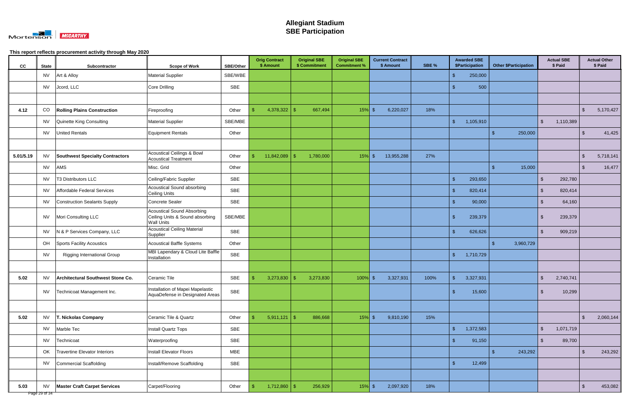

| cc        | <b>State</b> | Subcontractor                          | <b>Scope of Work</b>                                                                      | <b>SBE/Other</b> | <b>Orig Contract</b><br>\$ Amount | <b>Original SBE</b><br>\$ Commitment | <b>Original SBE</b><br><b>Commitment %</b> | <b>Current Contract</b><br>\$ Amount | SBE % | <b>Awarded SBE</b><br><b>\$Participation</b> | <b>Other \$Participation</b> | <b>Actual SBE</b><br>\$ Paid         | <b>Actual Other</b><br>\$ Paid |
|-----------|--------------|----------------------------------------|-------------------------------------------------------------------------------------------|------------------|-----------------------------------|--------------------------------------|--------------------------------------------|--------------------------------------|-------|----------------------------------------------|------------------------------|--------------------------------------|--------------------------------|
|           | <b>NV</b>    | Art & Alloy                            | <b>Material Supplier</b>                                                                  | SBE/WBE          |                                   |                                      |                                            |                                      |       | 250,000                                      |                              |                                      |                                |
|           | <b>NV</b>    | Jcord, LLC                             | Core Drilling                                                                             | SBE              |                                   |                                      |                                            |                                      |       | 500                                          |                              |                                      |                                |
|           |              |                                        |                                                                                           |                  |                                   |                                      |                                            |                                      |       |                                              |                              |                                      |                                |
| 4.12      | CO           | <b>Rolling Plains Construction</b>     | Fireproofing                                                                              | Other            | 4,378,322                         | $\mathcal{S}$<br>667,494             | $15%$ \$                                   | 6,220,027                            | 18%   |                                              |                              |                                      | 5,170,427<br>$\mathbf{F}$      |
|           | <b>NV</b>    | Quinette King Consulting               | <b>Material Supplier</b>                                                                  | SBE/MBE          |                                   |                                      |                                            |                                      |       | 1,105,910<br>- \$                            |                              | $\mathfrak{L}$<br>1,110,389          |                                |
|           | <b>NV</b>    | <b>United Rentals</b>                  | Equipment Rentals                                                                         | Other            |                                   |                                      |                                            |                                      |       |                                              | $\mathbf{\$}$<br>250,000     |                                      | $\mathcal{S}$<br>41,425        |
|           |              |                                        |                                                                                           |                  |                                   |                                      |                                            |                                      |       |                                              |                              |                                      |                                |
| 5.01/5.19 | <b>NV</b>    | <b>Southwest Specialty Contractors</b> | <b>Acoustical Ceilings &amp; Bowl</b><br><b>Acoustical Treatment</b>                      | Other            | 11,842,089                        | 1,780,000<br>-S                      | 15%                                        | 13,955,288<br>-\$                    | 27%   |                                              |                              |                                      | 5,718,141<br>$\mathfrak{L}$    |
|           | <b>NV</b>    | AMS                                    | Misc. Grid                                                                                | Other            |                                   |                                      |                                            |                                      |       |                                              | 15,000<br>-\$                |                                      | 16,477<br>\$                   |
|           | <b>NV</b>    | T3 Distributors LLC                    | Ceiling/Fabric Supplier                                                                   | <b>SBE</b>       |                                   |                                      |                                            |                                      |       | $\mathfrak{g}$<br>293,650                    |                              | $\mathbf{\hat{s}}$<br>292,780        |                                |
|           | <b>NV</b>    | Affordable Federal Services            | <b>Acoustical Sound absorbing</b><br>Ceiling Units                                        | <b>SBE</b>       |                                   |                                      |                                            |                                      |       | 820,414                                      |                              | 820,414<br>$\mathfrak{L}$            |                                |
|           | <b>NV</b>    | Construction Sealants Supply           | Concrete Sealer                                                                           | <b>SBE</b>       |                                   |                                      |                                            |                                      |       | 90,000                                       |                              | 64,160<br>$\mathbf{r}$               |                                |
|           | <b>NV</b>    | Mori Consulting LLC                    | <b>Acoustical Sound Absorbing</b><br>Ceiling Units & Sound absorbing<br><b>Wall Units</b> | SBE/MBE          |                                   |                                      |                                            |                                      |       | 239,379                                      |                              | 239,379<br>-\$                       |                                |
|           | <b>NV</b>    | N & P Services Company, LLC            | <b>Acoustical Ceiling Material</b><br>Supplier                                            | SBE              |                                   |                                      |                                            |                                      |       | 626,626<br>- \$                              |                              | $\mathfrak{L}$<br>909,219            |                                |
|           | OH           | Sports Facility Acoustics              | <b>Acoustical Baffle Systems</b>                                                          | Other            |                                   |                                      |                                            |                                      |       |                                              | -\$<br>3,960,729             |                                      |                                |
|           | <b>NV</b>    | <b>Rigging International Group</b>     | MBI Lapendary & Cloud Lite Baffle<br>Installation                                         | SBE              |                                   |                                      |                                            |                                      |       | 1,710,729<br>-\$                             |                              |                                      |                                |
|           |              |                                        |                                                                                           |                  |                                   |                                      |                                            |                                      |       |                                              |                              |                                      |                                |
| 5.02      | <b>NV</b>    | Architectural Southwest Stone Co.      | Ceramic Tile                                                                              | SBE              | 3,273,830                         | 3,273,830<br>\$                      | 100%                                       | 3,327,931<br>-\$                     | 100%  | 3,327,931<br><b>\$</b>                       |                              | 2,740,741<br>$\sqrt[6]{\frac{1}{2}}$ |                                |
|           | <b>NV</b>    | Technicoat Management Inc.             | Installation of Mapei Mapelastic<br>AquaDefense in Designated Areas                       | SBE              |                                   |                                      |                                            |                                      |       | 15,600<br>$\mathfrak{g}$                     |                              | $\mathbf{\hat{s}}$<br>10,299         |                                |
|           |              |                                        |                                                                                           |                  |                                   |                                      |                                            |                                      |       |                                              |                              |                                      |                                |
| 5.02      | <b>NV</b>    | T. Nickolas Company                    | Ceramic Tile & Quartz                                                                     | Other            | $5,911,121$ \$                    | 886,668                              | $15\%$ \$                                  | 9,810,190                            | 15%   |                                              |                              |                                      | $\mathfrak{S}$<br>2,060,144    |
|           | <b>NV</b>    | Marble Tec                             | Install Quartz Tops                                                                       | SBE              |                                   |                                      |                                            |                                      |       | $\sqrt{3}$<br>1,372,583                      |                              | $\mathcal{S}$<br>1,071,719           |                                |
|           | <b>NV</b>    | Technicoat                             | Waterproofing                                                                             | SBE              |                                   |                                      |                                            |                                      |       | 91,150<br>-\$                                |                              | 89,700<br>$\mathfrak{L}$             |                                |
|           | OK           | <b>Travertine Elevator Interiors</b>   | Install Elevator Floors                                                                   | <b>MBE</b>       |                                   |                                      |                                            |                                      |       |                                              | $\sqrt[6]{3}$<br>243,292     |                                      | 243,292<br>$\mathfrak{S}$      |
|           | <b>NV</b>    | Commercial Scaffolding                 | Install/Remove Scaffolding                                                                | SBE              |                                   |                                      |                                            |                                      |       | 12,499<br>- \$                               |                              |                                      |                                |
|           |              |                                        |                                                                                           |                  |                                   |                                      |                                            |                                      |       |                                              |                              |                                      |                                |
| 5.03      | <b>NV</b>    | <b>Master Craft Carpet Services</b>    | Carpet/Flooring                                                                           | Other            | $1,712,860$ \$<br>  S             | 256,929                              | $15%$ \$                                   | 2,097,920                            | 18%   |                                              |                              |                                      | 453,082<br>$\mathfrak{S}$      |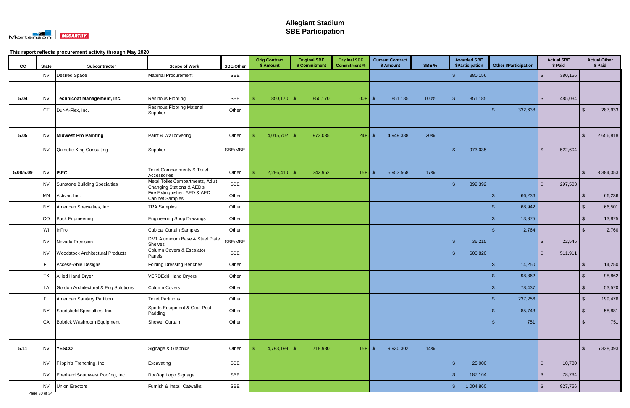

| cc        | <b>State</b> | Subcontractor                           | <b>Scope of Work</b>                                          | <b>SBE/Other</b> | <b>Orig Contract</b><br>\$ Amount | <b>Original SBE</b><br>\$ Commitment | <b>Original SBE</b><br><b>Commitment %</b> | <b>Current Contract</b><br>\$ Amount | SBE % | <b>Awarded SBE</b><br>\$Participation | <b>Other \$Participation</b> | <b>Actual SBE</b><br>\$ Paid      | <b>Actual Other</b><br>\$ Paid     |
|-----------|--------------|-----------------------------------------|---------------------------------------------------------------|------------------|-----------------------------------|--------------------------------------|--------------------------------------------|--------------------------------------|-------|---------------------------------------|------------------------------|-----------------------------------|------------------------------------|
|           | <b>NV</b>    | Desired Space                           | <b>Material Procurement</b>                                   | SBE              |                                   |                                      |                                            |                                      |       | 380,156                               |                              | 380,156                           |                                    |
|           |              |                                         |                                                               |                  |                                   |                                      |                                            |                                      |       |                                       |                              |                                   |                                    |
| 5.04      | <b>NV</b>    | Technicoat Management, Inc.             | Resinous Flooring                                             | SBE              | $850,170$ \$                      | 850,170                              | $100\%$ \$                                 | 851,185                              | 100%  | 851,185<br>-\$                        |                              | 485,034<br>-\$                    |                                    |
|           | <b>CT</b>    | Dur-A-Flex, Inc.                        | <b>Resinous Flooring Material</b><br>Supplier                 | Other            |                                   |                                      |                                            |                                      |       |                                       | 332,638                      |                                   | 287,933<br>.S                      |
|           |              |                                         |                                                               |                  |                                   |                                      |                                            |                                      |       |                                       |                              |                                   |                                    |
| 5.05      | <b>NV</b>    | <b>Midwest Pro Painting</b>             | Paint & Wallcovering                                          | Other            | 4,015,702   \$                    | 973,035                              | $24\%$ \$                                  | 4,949,388                            | 20%   |                                       |                              |                                   | 2,656,818<br>\$                    |
|           | <b>NV</b>    | Quinette King Consulting                | Supplier                                                      | SBE/MBE          |                                   |                                      |                                            |                                      |       | 973,035                               |                              | 522,604<br>-\$                    |                                    |
|           |              |                                         |                                                               |                  |                                   |                                      |                                            |                                      |       |                                       |                              |                                   |                                    |
| 5.08/5.09 | <b>NV</b>    | <b>ISEC</b>                             | <b>Toilet Compartments &amp; Toilet</b><br>Accessories        | Other            | $2,286,410$ \$                    | 342,962                              | $15\%$ \$                                  | 5,953,568                            | 17%   |                                       |                              |                                   | 3,384,353<br>$\mathfrak{S}$        |
|           | <b>NV</b>    | Sunstone Building Specialties           | Metal Toilet Compartments, Adult<br>Changing Stations & AED's | SBE              |                                   |                                      |                                            |                                      |       | 399,392                               |                              | $\mathcal{L}$<br>297,503          |                                    |
|           | <b>MN</b>    | Activar, Inc.                           | Fire Extinguisher, AED & AED<br><b>Cabinet Samples</b>        | Other            |                                   |                                      |                                            |                                      |       |                                       | 66,236                       |                                   | 66,236<br>$\mathfrak{L}$           |
|           | NY.          | American Specialties, Inc.              | <b>TRA Samples</b>                                            | Other            |                                   |                                      |                                            |                                      |       |                                       | 68,942                       |                                   | $\mathfrak{S}$<br>66,501           |
|           | CO           | <b>Buck Engineering</b>                 | <b>Engineering Shop Drawings</b>                              | Other            |                                   |                                      |                                            |                                      |       |                                       | 13,875                       |                                   | 13,875<br>$\mathfrak{S}$           |
|           | WI           | InPro                                   | <b>Cubical Curtain Samples</b>                                | Other            |                                   |                                      |                                            |                                      |       |                                       | 2,764                        |                                   | 2,760<br>\$                        |
|           | <b>NV</b>    | Nevada Precision                        | DM1 Aluminum Base & Steel Plate<br>Shelves                    | SBE/MBE          |                                   |                                      |                                            |                                      |       | 36,215<br>- \$                        |                              | 22,545<br>-\$                     |                                    |
|           | <b>NV</b>    | <b>Woodstock Architectural Products</b> | Column Covers & Escalator<br>Panels                           | SBE              |                                   |                                      |                                            |                                      |       | 600,820<br>-\$                        |                              | 511,911<br>-\$                    |                                    |
|           | FL           | Access-Able Designs                     | <b>Folding Dressing Benches</b>                               | Other            |                                   |                                      |                                            |                                      |       |                                       | 14,250                       |                                   | 14,250<br>\$.                      |
|           | TX           | <b>Allied Hand Dryer</b>                | <b>VERDEdri Hand Dryers</b>                                   | Other            |                                   |                                      |                                            |                                      |       |                                       | 98,862                       |                                   | 98,862                             |
|           | LA           | Gordon Architectural & Eng Solutions    | Column Covers                                                 | Other            |                                   |                                      |                                            |                                      |       |                                       | 78,437<br>ა                  |                                   | 53,570<br>৾ঌ                       |
|           | FL.          | American Sanitary Partition             | <b>Toilet Partitions</b>                                      | Other            |                                   |                                      |                                            |                                      |       |                                       | 237,256<br>-\$               |                                   | $\sqrt[6]{\frac{1}{2}}$<br>199,476 |
|           | <b>NY</b>    | Sportsfield Specialties, Inc.           | Sports Equipment & Goal Post<br>Padding                       | Other            |                                   |                                      |                                            |                                      |       |                                       | 85,743<br>ድ                  |                                   | $\mathfrak{S}$<br>58,881           |
|           | CA           | Bobrick Washroom Equipment              | Shower Curtain                                                | Other            |                                   |                                      |                                            |                                      |       |                                       | 751<br>-\$                   |                                   | $\sqrt[6]{3}$<br>751               |
|           |              |                                         |                                                               |                  |                                   |                                      |                                            |                                      |       |                                       |                              |                                   |                                    |
| 5.11      | <b>NV</b>    | <b>YESCO</b>                            | Signage & Graphics                                            | Other            | $4,793,199$ \$                    | 718,980                              | $15%$ \$                                   | 9,930,302                            | 14%   |                                       |                              |                                   | 5,328,393<br>$\mathfrak{S}$        |
|           | <b>NV</b>    | Flippin's Trenching, Inc.               | Excavating                                                    | SBE              |                                   |                                      |                                            |                                      |       | 25,000<br>$\sqrt{3}$                  |                              | $\sqrt[6]{\frac{1}{2}}$<br>10,780 |                                    |
|           | <b>NV</b>    | Eberhard Southwest Roofing, Inc.        | Rooftop Logo Signage                                          | SBE              |                                   |                                      |                                            |                                      |       | $\sqrt{2}$<br>187,164                 |                              | $\mathfrak{L}$<br>78,734          |                                    |
|           | <b>NV</b>    | <b>Union Erectors</b>                   | Furnish & Install Catwalks                                    | SBE              |                                   |                                      |                                            |                                      |       | $\sqrt{2}$<br>1,004,860               |                              | $\sqrt[6]{2}$<br>927,756          |                                    |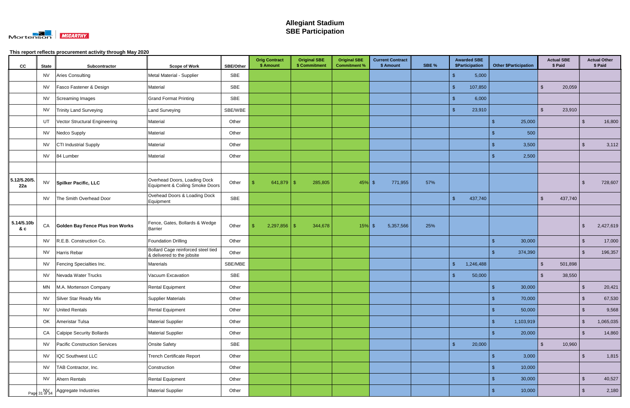

| cc                  | <b>State</b> | Subcontractor                           | <b>Scope of Work</b>                                             | <b>SBE/Other</b> | <b>Orig Contract</b><br>\$ Amount | <b>Original SBE</b><br>\$ Commitment | <b>Original SBE</b><br><b>Commitment %</b> | <b>Current Contract</b><br>\$ Amount | SBE % | <b>Awarded SBE</b><br><b>\$Participation</b> | <b>Other \$Participation</b>      | <b>Actual SBE</b><br>\$ Paid | <b>Actual Other</b><br>\$ Paid |           |
|---------------------|--------------|-----------------------------------------|------------------------------------------------------------------|------------------|-----------------------------------|--------------------------------------|--------------------------------------------|--------------------------------------|-------|----------------------------------------------|-----------------------------------|------------------------------|--------------------------------|-----------|
|                     | <b>NV</b>    | <b>Aries Consulting</b>                 | Metal Material - Supplier                                        | SBE              |                                   |                                      |                                            |                                      |       | 5,000                                        |                                   |                              |                                |           |
|                     | <b>NV</b>    | Fasco Fastener & Design                 | Material                                                         | SBE              |                                   |                                      |                                            |                                      |       | 107,850<br>- \$                              |                                   | $\mathbf{\hat{s}}$<br>20,059 |                                |           |
|                     | <b>NV</b>    | Screaming Images                        | <b>Grand Format Printing</b>                                     | SBE              |                                   |                                      |                                            |                                      |       | 6,000<br>- \$                                |                                   |                              |                                |           |
|                     | <b>NV</b>    | <b>Trinity Land Surveying</b>           | <b>Land Surveying</b>                                            | SBE/WBE          |                                   |                                      |                                            |                                      |       | 23,910                                       |                                   | 23,910<br>$\mathbf{R}$       |                                |           |
|                     | UT           | Vector Structural Engineering           | Material                                                         | Other            |                                   |                                      |                                            |                                      |       |                                              | 25,000<br>-\$                     |                              | $\mathfrak{L}$                 | 16,800    |
|                     | <b>NV</b>    | Nedco Supply                            | Material                                                         | Other            |                                   |                                      |                                            |                                      |       |                                              | 500                               |                              |                                |           |
|                     | <b>NV</b>    | <b>CTI Industrial Supply</b>            | Material                                                         | Other            |                                   |                                      |                                            |                                      |       |                                              | 3,500<br>-\$                      |                              | $\mathfrak{S}$                 | 3,112     |
|                     | <b>NV</b>    | 84 Lumber                               | Material                                                         | Other            |                                   |                                      |                                            |                                      |       |                                              | 2,500                             |                              |                                |           |
|                     |              |                                         |                                                                  |                  |                                   |                                      |                                            |                                      |       |                                              |                                   |                              |                                |           |
| 5.12/5.20/5.<br>22a | <b>NV</b>    | <b>Spilker Pacific, LLC</b>             | Overhead Doors, Loading Dock<br>Equipment & Coiling Smoke Doors  | Other            | $641,879$ \$                      | 285,805                              | 45%                                        | 771,955<br>- \$                      | 57%   |                                              |                                   |                              | \$                             | 728,607   |
|                     | <b>NV</b>    | The Smith Overhead Door                 | Ovehead Doors & Loading Dock<br>Equipment                        | SBE              |                                   |                                      |                                            |                                      |       | 437,740<br>- \$                              |                                   | $\mathbb{S}$<br>437,740      |                                |           |
|                     |              |                                         |                                                                  |                  |                                   |                                      |                                            |                                      |       |                                              |                                   |                              |                                |           |
| 5.14/5.10b<br>8c    | CA           | <b>Golden Bay Fence Plus Iron Works</b> | Fence, Gates, Bollards & Wedge<br><b>Barrier</b>                 | Other            | $2,297,856$ \$                    | 344,678                              | 15%                                        | 5,357,566<br>- \$                    | 25%   |                                              |                                   |                              | \$                             | 2,427,619 |
|                     | <b>NV</b>    | R.E.B. Construction Co.                 | <b>Foundation Drilling</b>                                       | Other            |                                   |                                      |                                            |                                      |       |                                              | 30,000<br>$\sqrt[6]{\frac{1}{2}}$ |                              | $\sqrt[6]{3}$                  | 17,000    |
|                     | <b>NV</b>    | <b>Harris Rebar</b>                     | Bollard Cage reinforced steel tied<br>& delivered to the jobsite | Other            |                                   |                                      |                                            |                                      |       |                                              | 374,390<br>-\$                    |                              | -\$                            | 196,357   |
|                     | <b>NV</b>    | Fencing Specialties Inc.                | <b>Marerials</b>                                                 | SBE/MBE          |                                   |                                      |                                            |                                      |       | 1,246,488<br><b>S</b>                        |                                   | $\mathfrak{L}$<br>501,898    |                                |           |
|                     | <b>NV</b>    | Nevada Water Trucks                     | Vacuum Excavation                                                | SBE              |                                   |                                      |                                            |                                      |       | 50,000                                       |                                   | 38,550                       |                                |           |
|                     |              | MN   M.A. Mortenson Company             | Rental Equipment                                                 | Other            |                                   |                                      |                                            |                                      |       |                                              | $\sqrt{2}$<br>30,000              |                              | $\sqrt{2}$                     | 20,421    |
|                     |              | NV Silver Star Ready Mix                | Supplier Materials                                               | Other            |                                   |                                      |                                            |                                      |       |                                              | $\sqrt[6]{3}$<br>70,000           |                              | $\sqrt[6]{\frac{1}{2}}$        | 67,530    |
|                     | <b>NV</b>    | <b>United Rentals</b>                   | <b>Rental Equipment</b>                                          | Other            |                                   |                                      |                                            |                                      |       |                                              | 50,000<br>-\$                     |                              | $\sqrt[3]{2}$                  | 9,568     |
|                     | OK           | Ameristar Tulsa                         | <b>Material Supplier</b>                                         | Other            |                                   |                                      |                                            |                                      |       |                                              | $\sqrt[6]{3}$<br>1,103,919        |                              | $\sqrt{2}$                     | 1,065,035 |
|                     | CA           | Calpipe Security Bollards               | <b>Material Supplier</b>                                         | Other            |                                   |                                      |                                            |                                      |       |                                              | 20,000<br>-\$                     |                              | $\sqrt{2}$                     | 14,860    |
|                     | <b>NV</b>    | Pacific Construction Services           | <b>Onsite Safety</b>                                             | SBE              |                                   |                                      |                                            |                                      |       | $\sqrt{3}$<br>20,000                         |                                   | $\mathbf{\hat{s}}$<br>10,960 |                                |           |
|                     | <b>NV</b>    | <b>IQC Southwest LLC</b>                | <b>Trench Certificate Report</b>                                 | Other            |                                   |                                      |                                            |                                      |       |                                              | $\sqrt{3}$<br>3,000               |                              | $\sqrt{2}$                     | 1,815     |
|                     | <b>NV</b>    | TAB Contractor, Inc.                    | Construction                                                     | Other            |                                   |                                      |                                            |                                      |       |                                              | $\mathbf{\$}$<br>10,000           |                              |                                |           |
|                     | <b>NV</b>    | Ahern Rentals                           | Rental Equipment                                                 | Other            |                                   |                                      |                                            |                                      |       |                                              | 30,000<br>-\$                     |                              | $\mathfrak{S}$                 | 40,527    |
|                     |              | Page 31 of 34 Aggregate Industries      | <b>Material Supplier</b>                                         | Other            |                                   |                                      |                                            |                                      |       |                                              | 10,000<br>$\mathbf{\hat{s}}$      |                              | $\mathfrak{S}$                 | 2,180     |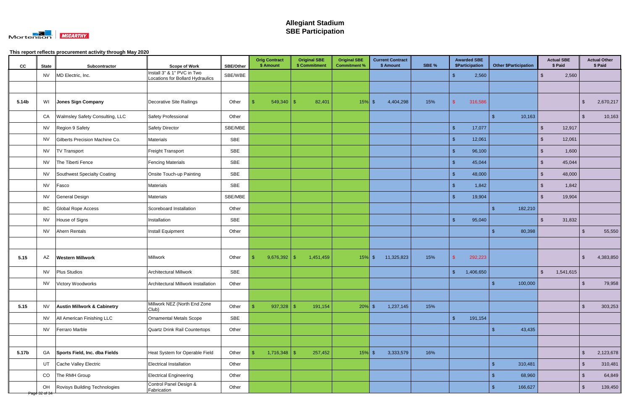

| cc    | <b>State</b>        | Subcontractor                          | <b>Scope of Work</b>                                           | <b>SBE/Other</b> | <b>Orig Contract</b><br>\$ Amount | <b>Original SBE</b><br>\$ Commitment | <b>Original SBE</b><br><b>Commitment %</b> | <b>Current Contract</b><br>\$ Amount | SBE % | <b>Awarded SBE</b><br><b>\$Participation</b> | <b>Other \$Participation</b> | <b>Actual SBE</b><br>\$ Paid | <b>Actual Other</b><br>\$ Paid |         |
|-------|---------------------|----------------------------------------|----------------------------------------------------------------|------------------|-----------------------------------|--------------------------------------|--------------------------------------------|--------------------------------------|-------|----------------------------------------------|------------------------------|------------------------------|--------------------------------|---------|
|       | <b>NV</b>           | MD Electric, Inc.                      | Install 3" & 1" PVC in Two<br>Locations for Bollard Hydraulics | SBE/WBE          |                                   |                                      |                                            |                                      |       | 2,560                                        |                              | 2,560<br>$\mathfrak{L}$      |                                |         |
|       |                     |                                        |                                                                |                  |                                   |                                      |                                            |                                      |       |                                              |                              |                              |                                |         |
| 5.14b | WI                  | Jones Sign Company                     | Decorative Site Railings                                       | Other            | 549,340                           | 82,401<br><sup>\$</sup>              | 15%                                        | 4,404,298<br>- S                     | 15%   | 316,586                                      |                              |                              | 2,670,217<br>\$                |         |
|       | CA                  | <b>Walmsley Safety Consulting, LLC</b> | Safety Professional                                            | Other            |                                   |                                      |                                            |                                      |       |                                              | 10,163<br>$\sqrt{3}$         |                              | $\sqrt[6]{3}$                  | 10,163  |
|       | <b>NV</b>           | Region 9 Safety                        | <b>Safety Director</b>                                         | SBE/MBE          |                                   |                                      |                                            |                                      |       | 17,077<br>- \$                               |                              | $\mathfrak{L}$<br>12,917     |                                |         |
|       | <b>NV</b>           | Gilberts Precision Machine Co.         | Materials                                                      | SBE              |                                   |                                      |                                            |                                      |       | 12,061<br>- \$                               |                              | $\mathcal{L}$<br>12,061      |                                |         |
|       | <b>NV</b>           | <b>TV Transport</b>                    | Freight Transport                                              | SBE              |                                   |                                      |                                            |                                      |       | 96,100<br>- \$                               |                              | 1,600<br>$\mathfrak{L}$      |                                |         |
|       | <b>NV</b>           | The Tiberti Fence                      | <b>Fencing Materials</b>                                       | SBE              |                                   |                                      |                                            |                                      |       | 45,044<br>- \$                               |                              | $\mathbb{S}$<br>45,044       |                                |         |
|       | NV                  | Southwest Specialty Coating            | Onsite Touch-up Painting                                       | SBE              |                                   |                                      |                                            |                                      |       | 48,000<br>- \$                               |                              | $\mathcal{L}$<br>48,000      |                                |         |
|       | <b>NV</b>           | Fasco                                  | Materials                                                      | SBE              |                                   |                                      |                                            |                                      |       | 1,842<br>- \$                                |                              | 1,842<br>-\$                 |                                |         |
|       | <b>NV</b>           | <b>General Design</b>                  | Materials                                                      | SBE/MBE          |                                   |                                      |                                            |                                      |       | 19,904<br>$\sqrt{3}$                         |                              | 19,904<br>$\mathfrak{L}$     |                                |         |
|       | BC                  | <b>Global Rope Access</b>              | Scoreboard Installation                                        | Other            |                                   |                                      |                                            |                                      |       |                                              | 182,210<br>-\$               |                              |                                |         |
|       | <b>NV</b>           | House of Signs                         | Installation                                                   | SBE              |                                   |                                      |                                            |                                      |       | 95,040<br><b>\$</b>                          |                              | 31,832<br>$\mathcal{L}$      |                                |         |
|       | <b>NV</b>           | Ahern Rentals                          | Install Equipment                                              | Other            |                                   |                                      |                                            |                                      |       |                                              | $\mathcal{S}$<br>80,398      |                              | $\mathfrak{L}$                 | 55,550  |
|       |                     |                                        |                                                                |                  |                                   |                                      |                                            |                                      |       |                                              |                              |                              |                                |         |
| 5.15  | AZ                  | <b>Western Millwork</b>                | Millwork                                                       | Other            | $9,676,392$ \$                    | 1,451,459                            | 15%                                        | 11,325,823<br>\$                     | 15%   | 292,223                                      |                              |                              | 4,383,850<br>\$                |         |
|       | <b>NV</b>           | <b>Plus Studios</b>                    | <b>Architectural Millwork</b>                                  | SBE              |                                   |                                      |                                            |                                      |       | 1,406,650<br>-\$                             |                              | $\mathfrak{L}$<br>1,541,615  |                                |         |
|       | NV                  | Victory Woodworks                      | Architectural Millwork Installation                            | Other            |                                   |                                      |                                            |                                      |       |                                              | $\sqrt{3}$<br>100,000        |                              | $\sqrt{2}$                     | 79,958  |
|       |                     |                                        |                                                                |                  |                                   |                                      |                                            |                                      |       |                                              |                              |                              |                                |         |
| 5.15  | <b>NV</b>           | <b>Austin Millwork &amp; Cabinetry</b> | Millwork NEZ (North End Zone<br>Club)                          | Other            | $937,328$ \$                      | 191,154                              | $20\%$ \$                                  | 1,237,145                            | 15%   |                                              |                              |                              | \$                             | 303,253 |
|       | <b>NV</b>           | All American Finishing LLC             | Ornamental Metals Scope                                        | SBE              |                                   |                                      |                                            |                                      |       | <b>S</b><br>191,154                          |                              |                              |                                |         |
|       | <b>NV</b>           | Ferraro Marble                         | Quartz Drink Rail Countertops                                  | Other            |                                   |                                      |                                            |                                      |       |                                              | 43,435<br>-\$                |                              |                                |         |
|       |                     |                                        |                                                                |                  |                                   |                                      |                                            |                                      |       |                                              |                              |                              |                                |         |
| 5.17b | GA                  | Sports Field, Inc. dba Fields          | Heat System for Operable Field                                 | Other            | $1,716,348$ \$                    | 257,452                              | $15\%$ \$                                  | 3,333,579                            | 16%   |                                              |                              |                              | 2,123,678<br>$\mathfrak{S}$    |         |
|       | UT                  | Cache Valley Electric                  | Electrical Installation                                        | Other            |                                   |                                      |                                            |                                      |       |                                              | $\mathbf{\$}$<br>310,481     |                              | $\sqrt[6]{\frac{1}{2}}$        | 310,481 |
|       | CO                  | The RMH Group                          | <b>Electrical Engineering</b>                                  | Other            |                                   |                                      |                                            |                                      |       |                                              | 68,960<br>-\$                |                              | $\sqrt[3]{2}$                  | 64,849  |
|       | OH<br>Page 32 of 34 | Rovisys Building Technologies          | Control Panel Design &<br>Fabrication                          | Other            |                                   |                                      |                                            |                                      |       |                                              | 166,627<br>-\$               |                              | $\mathfrak{S}$                 | 139,450 |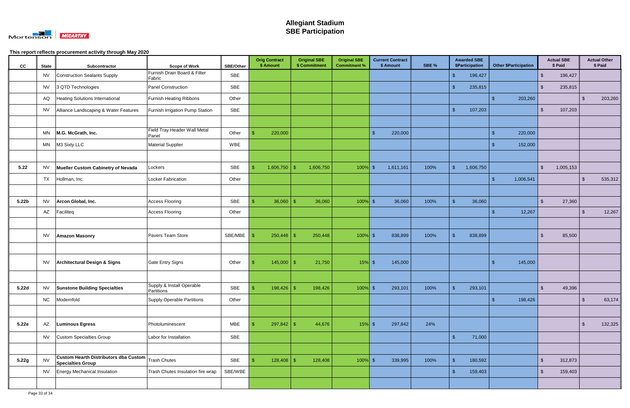

| cc                | <b>State</b>           | Subcontractor                                                                  | <b>Scope of Work</b>                    | <b>SBE/Other</b> | <b>Orig Contract</b><br>\$ Amount |                | <b>Original SBE</b><br>\$ Commitment | <b>Original SBE</b><br><b>Commitment %</b> |               | <b>Current Contract</b><br>\$ Amount | SBE % |                    | <b>Awarded SBE</b><br>\$Participation |               | <b>Other \$Participation</b> |                         | <b>Actual SBE</b><br>\$ Paid |                         | <b>Actual Other</b><br>\$ Paid |
|-------------------|------------------------|--------------------------------------------------------------------------------|-----------------------------------------|------------------|-----------------------------------|----------------|--------------------------------------|--------------------------------------------|---------------|--------------------------------------|-------|--------------------|---------------------------------------|---------------|------------------------------|-------------------------|------------------------------|-------------------------|--------------------------------|
|                   | <b>NV</b>              | <b>Construction Sealants Supply</b>                                            | Furnish Drain Board & Filter<br>Fabric  | SBE              |                                   |                |                                      |                                            |               |                                      |       |                    | 196,427                               |               |                              | $\mathbf{\$}$           | 196,427                      |                         |                                |
|                   | <b>NV</b>              | 3 QTD Technologies                                                             | Panel Construction                      | SBE              |                                   |                |                                      |                                            |               |                                      |       |                    | 235,815                               |               |                              | $\sqrt[6]{\frac{1}{2}}$ | 235,815                      |                         |                                |
|                   | AQ                     | Heating Solutions International                                                | <b>Furnish Heating Ribbons</b>          | Other            |                                   |                |                                      |                                            |               |                                      |       |                    |                                       | $\sqrt[6]{3}$ | 203,260                      |                         |                              | $\sqrt[6]{\frac{1}{2}}$ | 203,260                        |
|                   | <b>NV</b>              | Alliance Landscaping & Water Features                                          | Furnish Irrigation Pump Station         | SBE              |                                   |                |                                      |                                            |               |                                      |       |                    | 107,203                               |               |                              | $\sqrt[6]{\frac{1}{2}}$ | 107,203                      |                         |                                |
|                   |                        |                                                                                |                                         |                  |                                   |                |                                      |                                            |               |                                      |       |                    |                                       |               |                              |                         |                              |                         |                                |
|                   | MN                     | M.G. McGrath, Inc.                                                             | Field Tray Header Wall Metal<br>Panel   | Other            | 220,000                           |                |                                      |                                            | $\mathbf{\$}$ | 220,000                              |       |                    |                                       | \$            | 220,000                      |                         |                              |                         |                                |
|                   | MN                     | M3 Sixty LLC                                                                   | <b>Material Supplier</b>                | WBE              |                                   |                |                                      |                                            |               |                                      |       |                    |                                       | -S            | 152,000                      |                         |                              |                         |                                |
|                   |                        |                                                                                |                                         |                  |                                   |                |                                      |                                            |               |                                      |       |                    |                                       |               |                              |                         |                              |                         |                                |
| 5.22              | <b>NV</b>              | Mueller Custom Cabinetry of Nevada                                             | Lockers                                 | SBE              | 1,606,750                         | -\$            | 1,606,750                            | 100%                                       | - \$          | 1,611,161                            | 100%  | $\mathbf{\hat{s}}$ | 1,606,750                             |               |                              | $\sqrt[6]{2}$           | 1,005,153                    |                         |                                |
|                   | <b>TX</b>              | Hollman, Inc.                                                                  | Locker Fabrication                      | Other            |                                   |                |                                      |                                            |               |                                      |       |                    |                                       | $\mathcal{S}$ | 1,006,541                    |                         |                              | $\sqrt[6]{\frac{1}{2}}$ | 535,312                        |
|                   |                        |                                                                                |                                         |                  |                                   |                |                                      |                                            |               |                                      |       |                    |                                       |               |                              |                         |                              |                         |                                |
| 5.22 <sub>b</sub> | <b>NV</b>              | Arcon Global, Inc.                                                             | <b>Access Flooring</b>                  | SBE              | 36,060                            | $\mathfrak{S}$ | 36,060                               | $100\%$ \$                                 |               | 36,060                               | 100%  |                    | 36,060                                |               |                              | $\mathbb{S}$            | 27,360                       |                         |                                |
|                   | $\mathsf{A}\mathsf{Z}$ | Faciliteq                                                                      | <b>Access Flooring</b>                  | Other            |                                   |                |                                      |                                            |               |                                      |       |                    |                                       | \$            | 12,267                       |                         |                              | \$                      | 12,267                         |
|                   |                        |                                                                                |                                         |                  |                                   |                |                                      |                                            |               |                                      |       |                    |                                       |               |                              |                         |                              |                         |                                |
|                   | <b>NV</b>              | <b>Amazon Masonry</b>                                                          | Pavers Team Store                       | SBE/MBE          |                                   |                | 250,448                              | 100%                                       | - \$          | 838,899                              | 100%  |                    | 838,899                               |               |                              | $\sqrt[6]{2}$           | 85,500                       |                         |                                |
|                   |                        |                                                                                |                                         |                  |                                   |                |                                      |                                            |               |                                      |       |                    |                                       |               |                              |                         |                              |                         |                                |
|                   | <b>NV</b>              | Architectural Design & Signs                                                   | <b>Gate Entry Signs</b>                 | Other            | - \$                              | $145,000$ \ \$ | 21,750                               | $15%$ \$                                   |               | 145,000                              |       |                    |                                       |               | 145,000                      |                         |                              |                         |                                |
|                   |                        |                                                                                |                                         |                  |                                   |                |                                      |                                            |               |                                      |       |                    |                                       |               |                              |                         |                              |                         |                                |
| 5.22d             | <b>NV</b>              | <b>Sunstone Building Specialties</b>                                           | Supply & Install Operable<br>Partitions | SBE              | $\sqrt{S}$                        | $198,426$ \$   | 198,426                              | $100\%$ \$                                 |               | 293,101                              | 100%  |                    | 293,101                               |               |                              | $\sqrt{2}$              | 49,396                       |                         |                                |
|                   | NC                     | Modernfold                                                                     | <b>Supply Operable Partitions</b>       | Other            |                                   |                |                                      |                                            |               |                                      |       |                    |                                       | $\mathbf{\$}$ | 198,426                      |                         |                              | $\sqrt[6]{2}$           | 63,174                         |
|                   |                        |                                                                                |                                         |                  |                                   |                |                                      |                                            |               |                                      |       |                    |                                       |               |                              |                         |                              |                         |                                |
| 5.22e             | AZ                     | <b>Luminous Egress</b>                                                         | Photoluminescent                        | <b>MBE</b>       |                                   | $297,842$ \$   | 44,676                               | $15\%$ \$                                  |               | 297,842                              | 24%   |                    |                                       |               |                              |                         |                              | -\$                     | 132,325                        |
|                   | <b>NV</b>              | Custom Specialties Group                                                       | Labor for Installation                  | SBE              |                                   |                |                                      |                                            |               |                                      |       | $\mathbf{\hat{S}}$ | 71,000                                |               |                              |                         |                              |                         |                                |
|                   |                        |                                                                                |                                         |                  |                                   |                |                                      |                                            |               |                                      |       |                    |                                       |               |                              |                         |                              |                         |                                |
| 5.22g             | <b>NV</b>              | Custom Hearth Distributors dba Custom Trash Chutes<br><b>Specialties Group</b> |                                         | SBE              |                                   |                | 128,408                              | $100%$ \$                                  |               | 339,995                              | 100%  |                    | 180,592                               |               |                              | $\mathbb{S}$            | 312,873                      |                         |                                |
|                   | <b>NV</b>              | <b>Energy Mechanical Insulation</b>                                            | Trash Chutes Insulation fire wrap       | SBE/WBE          |                                   |                |                                      |                                            |               |                                      |       | <b>\$</b>          | 159,403                               |               |                              | $\mathbb{S}$            | 159,403                      |                         |                                |
|                   |                        |                                                                                |                                         |                  |                                   |                |                                      |                                            |               |                                      |       |                    |                                       |               |                              |                         |                              |                         |                                |
|                   |                        |                                                                                |                                         |                  |                                   |                |                                      |                                            |               |                                      |       |                    |                                       |               |                              |                         |                              |                         |                                |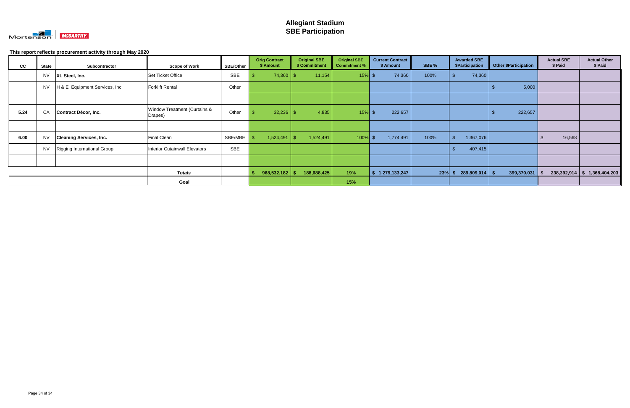

| cc   | <b>State</b> | Subcontractor                  | <b>Scope of Work</b>                    | <b>SBE/Other</b> | <b>Orig Contract</b><br>\$ Amount | <b>Original SBE</b><br>\$ Commitment | <b>Original SBE</b><br><b>Commitment %</b> | <b>Current Contract</b><br>\$ Amount | SBE %     | <b>Awarded SBE</b><br>\$Participation | <b>Other \$Participation</b> | <b>Actual SBE</b><br>\$ Paid | <b>Actual Other</b><br>\$ Paid |
|------|--------------|--------------------------------|-----------------------------------------|------------------|-----------------------------------|--------------------------------------|--------------------------------------------|--------------------------------------|-----------|---------------------------------------|------------------------------|------------------------------|--------------------------------|
|      | <b>NV</b>    | XL Steel, Inc.                 | Set Ticket Office                       | <b>SBE</b>       | 74,360                            | 11,154<br>-\$                        | 15%                                        | 74,360                               | 100%      | 74,360                                |                              |                              |                                |
|      | <b>NV</b>    | H & E Equipment Services, Inc. | <b>Forklift Rental</b>                  | Other            |                                   |                                      |                                            |                                      |           |                                       | 5,000                        |                              |                                |
|      |              |                                |                                         |                  |                                   |                                      |                                            |                                      |           |                                       |                              |                              |                                |
| 5.24 | CA           | Contract Décor, Inc.           | Window Treatment (Curtains &<br>Drapes) | Other            |                                   | 4,835                                | 15%                                        | 222,657                              |           |                                       | 222,657                      |                              |                                |
|      |              |                                |                                         |                  |                                   |                                      |                                            |                                      |           |                                       |                              |                              |                                |
| 6.00 | <b>NV</b>    | <b>Cleaning Services, Inc.</b> | <b>Final Clean</b>                      | SBE/MBE          | 1,524,491                         | 1,524,491<br>$\mathbb{S}$            | 100%                                       | 1,774,491                            | 100%      | 1,367,076                             |                              | 16,568                       |                                |
|      | <b>NV</b>    | Rigging International Group    | <b>Interior Cutainwall Elevators</b>    | <b>SBE</b>       |                                   |                                      |                                            |                                      |           | 407,415                               |                              |                              |                                |
|      |              |                                |                                         |                  |                                   |                                      |                                            |                                      |           |                                       |                              |                              |                                |
|      |              |                                | <b>Totals</b>                           |                  | $968,532,182$ \$                  | 188,688,425                          | 19%                                        | 1,279,133,247                        | $23\%$ \$ | $289,809,014$ \$                      | 399,370,031                  | - \$                         | $238,392,914$ \$ 1,368,404,203 |
|      |              |                                | Goal                                    |                  |                                   |                                      | 15%                                        |                                      |           |                                       |                              |                              |                                |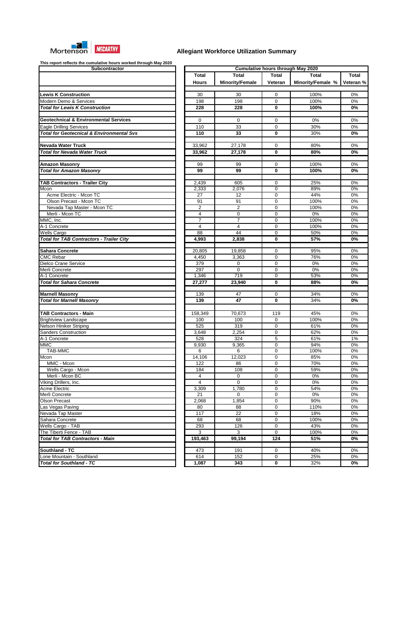

| Subcontractor                                        |                |                        |              | <b>Cumulative hours through May 2020</b> |                      |
|------------------------------------------------------|----------------|------------------------|--------------|------------------------------------------|----------------------|
|                                                      | <b>Total</b>   | <b>Total</b>           | <b>Total</b> | <b>Total</b>                             | Total                |
|                                                      | <b>Hours</b>   | <b>Minority/Female</b> | Veteran      | Minority/Female %                        | Veteran <sup>9</sup> |
| <b>Lewis K Construction</b>                          | 30             | 30                     | $\pmb{0}$    | 100%                                     | $0\%$                |
| Modern Demo & Services                               | 198            | 198                    | $\mathbf 0$  | 100%                                     | 0%                   |
| <b>Total for Lewis K Construction</b>                | 228            | 228                    | $\bf{0}$     | 100%                                     | $0\%$                |
| <b>Geotechnical &amp; Environmental Services</b>     | 0              | $\mathbf 0$            | $\mathbf 0$  | 0%                                       | $0\%$                |
| <b>Eagle Drilling Services</b>                       | 110            | 33                     | $\mathbf 0$  | 30%                                      | 0%                   |
| <b>Total for Geotecnical &amp; Environmental Svs</b> | 110            | 33                     | 0            | 30%                                      | 0%                   |
| <b>Nevada Water Truck</b>                            | 33,962         | 27,178                 | $\mathbf 0$  | 80%                                      | 0%                   |
| <b>Total for Nevada Water Truck</b>                  | 33,962         | 27,178                 | 0            | 80%                                      | 0%                   |
| <b>Amazon Masonry</b>                                | 99             | 99                     | $\mathbf 0$  | 100%                                     | 0%                   |
| <b>Total for Amazon Masonry</b>                      | 99             | 99                     | 0            | 100%                                     | $0\%$                |
| <b>TAB Contractors - Trailer City</b>                | 2,439          | 605                    | $\mathbf 0$  | 25%                                      | 0%                   |
| Mcon                                                 | 2,333          | 2,076                  | 0            | 89%                                      | 0%                   |
| Acme Electric - Mcon TC                              | 27             | 12                     | 0            | 44%                                      | 0%                   |
| Olson Precast - Mcon TC                              | 91             | 91                     | 0            | 100%                                     | 0%                   |
| Nevada Tap Master - Mcon TC                          | $\overline{c}$ | $\overline{2}$         | 0            | 100%                                     | 0%                   |
| Merli - Mcon TC                                      | 4              | $\mathbf 0$            | $\mathbf 0$  | $0\%$                                    | 0%                   |
| MMC, Inc.                                            | 7              | $\overline{7}$         | $\mathbf 0$  | 100%                                     | 0%                   |
| A-1 Concrete                                         | $\overline{4}$ | 4                      | $\mathbf 0$  | 100%                                     | $0\%$                |
| <b>Wells Cargo</b>                                   | 88             | 44                     | $\mathbf 0$  | 50%                                      | 0%                   |
| <b>Total for TAB Contractors - Trailer City</b>      | 4,993          | 2,838                  | $\mathbf{0}$ | 57%                                      | 0%                   |
| <b>Sahara Concrete</b>                               | 20,805         | 19,858                 | $\mathbf 0$  | 95%                                      | 0%                   |
| <b>CMC Rebar</b>                                     | 4,450          | 3,363                  | $\mathbf 0$  | 76%                                      | 0%                   |
| Dielco Crane Service                                 | 379            | 0                      | $\mathbf 0$  | 0%                                       | 0%                   |
| Merli Concrete                                       | 297            | $\overline{0}$         | $\mathbf 0$  | 0%                                       | 0%                   |
| A-1 Concrete                                         | 1,346          | 719                    | $\mathbf 0$  | 53%                                      | 0%                   |
| <b>Total for Sahara Concrete</b>                     | 27,277         | 23,940                 | 0            | 88%                                      | $0\%$                |
| <b>Marnell Masonry</b>                               | 139            | 47                     | $\mathbf 0$  | 34%                                      | 0%                   |
| <b>Total for Marnell Masonry</b>                     | 139            | 47                     | $\mathbf 0$  | 34%                                      | $0\%$                |
| <b>TAB Contractors - Main</b>                        | 158,349        | 70,673                 | 119          | 45%                                      | $0\%$                |
| <b>Brightview Landscape</b>                          | 100            | 100                    | $\mathbf 0$  | 100%                                     | 0%                   |
| Nelson Hiniker Striping                              | 525            | 319                    | $\mathbf 0$  | 61%                                      | 0%                   |
| <b>Sanders Construction</b>                          | 3,648          | 2,254                  | 0            | 62%                                      | 0%                   |
| A-1 Concrete                                         | 528            | 324                    | 5            | 61%                                      | $1\%$                |
| <b>MMC</b>                                           | 9,930          | 9,365                  | 0            | 94%                                      | 0%                   |
| <b>TAB-MMC</b>                                       | 6              | 6                      | 0            | 100%                                     | 0%                   |
| Mcon                                                 | 14,106         | 12,023                 | 0            | 85%                                      | 0%                   |
| MMC - Mcon                                           | 122            | 86                     | 0            | 70%                                      | 0%                   |
| Wells Cargo - Mcon                                   | 184            | 108                    | 0            | 59%                                      | 0%                   |
| Merli - Mcon BC                                      | 4              | $\mathbf 0$            | 0            | $0\%$                                    | 0%                   |
| Viking Drillers, Inc.                                | $\overline{4}$ | $\overline{0}$         | 0            | $0\%$                                    | 0%                   |
| <b>Acme Electric</b>                                 | 3,309          | 1,780                  | 0            | 54%                                      | 0%                   |
| Merli Concrete                                       | 21             | $\Omega$               | 0            | 0%                                       | 0%                   |
| <b>Olson Precast</b>                                 | 2,068          | 1,854                  | $\mathbf 0$  | 90%                                      | 0%                   |
| Las Vegas Paving                                     | 80             | 88                     | 0            | 110%                                     | 0%                   |
| Nevada Tap Master                                    | 117            | 22                     | $\mathbf 0$  | 18%                                      | 0%                   |
| Sahara Concrete                                      | 68             | 68                     | $\mathbf 0$  | 100%                                     | 0%                   |
| Wells Cargo - TAB                                    | 293            | 126                    | 0            | 43%                                      | 0%                   |
| The Tiberti Fence - TAB                              | 3              | $\mathbf{3}$           | $\mathbf 0$  | 100%                                     | 0%                   |
| <b>Total for TAB Contractors - Main</b>              | 193,463        | 99,194                 | 124          | 51%                                      | 0%                   |
| Southland - TC                                       | 473            | 191                    | $\mathbf 0$  | 40%                                      | 0%                   |
| Lone Mountain - Southland                            | 614            | 152                    | 0            | 25%                                      | 0%                   |
| <b>Total for Southland - TC</b>                      | 1,087          | 343                    | 0            | 32%                                      | $0\%$                |

|                         |                         |                         | <b>Cumulative hours through May 2020</b> |                  |
|-------------------------|-------------------------|-------------------------|------------------------------------------|------------------|
| <b>Total</b>            | Total                   | <b>Total</b>            | <b>Total</b>                             | <b>Total</b>     |
| <b>Hours</b>            | <b>Minority/Female</b>  | Veteran                 | Minority/Female %                        | Veteran %        |
|                         |                         |                         |                                          |                  |
| 30                      | 30                      | 0                       | 100%                                     | $0\%$            |
| 198                     | 198                     | $\mathbf 0$             | 100%                                     | 0%               |
| 228                     | 228                     | $\overline{\mathbf{0}}$ | 100%                                     | $\overline{0\%}$ |
|                         |                         |                         |                                          |                  |
| $\mathbf 0$             | 0                       | $\mathbf 0$             | 0%                                       | 0%               |
| 110                     | 33                      | $\mathbf 0$             | 30%                                      | 0%               |
| 110                     | 33                      | $\mathbf 0$             | 30%                                      | $0\%$            |
|                         |                         |                         |                                          |                  |
| 33,962                  | 27,178                  | $\mathbf 0$             | 80%                                      | $0\%$            |
| 33,962                  | 27,178                  | $\mathbf 0$             | 80%                                      | 0%               |
|                         |                         |                         |                                          |                  |
| 99                      | 99                      | 0                       | 100%                                     | $0\%$            |
| 99                      | 99                      | $\mathbf 0$             | 100%                                     | $\overline{0\%}$ |
|                         |                         |                         |                                          |                  |
| 2,439                   | 605                     | 0                       | 25%                                      | 0%               |
| 2,333                   | 2,076                   | $\overline{0}$          | 89%                                      | $0\%$            |
| $\overline{27}$         | $\overline{12}$         | $\overline{0}$          | 44%                                      | 0%               |
| 91                      | 91                      | 0                       | 100%                                     | 0%               |
| $\overline{2}$          | $\overline{c}$          | 0                       | 100%                                     | 0%               |
| $\overline{4}$          | $\mathbf 0$             | $\overline{0}$          | 0%                                       | $0\%$            |
| $\overline{7}$          | $\overline{7}$          | 0                       | 100%                                     | $0\%$            |
| $\overline{\mathbf{4}}$ | $\overline{\mathbf{4}}$ | 0                       | 100%                                     | $0\%$            |
| $\overline{88}$         | 44                      | $\overline{0}$          | 50%                                      | $0\%$            |
| 4,993                   | 2,838                   | $\overline{\mathbf{0}}$ | 57%                                      | $0\%$            |
|                         |                         |                         |                                          |                  |
| 20,805                  | 19,858                  | 0                       | 95%                                      | 0%               |
| 4,450                   | 3,363                   | 0                       | 76%                                      | $0\%$            |
| 379                     | 0                       | 0                       | 0%                                       | $0\%$            |
| 297                     | 0                       | 0                       | $0\%$                                    | $0\%$            |
| 1,346                   | 719                     | $\overline{0}$          | 53%                                      | $0\%$            |
| 27,277                  | 23,940                  | $\overline{\mathbf{0}}$ | 88%                                      | $\overline{0\%}$ |
|                         |                         |                         |                                          |                  |
| 139                     | 47                      | 0<br>0                  | 34%                                      | 0%               |
| 139                     | 47                      |                         | 34%                                      | 0%               |
|                         |                         |                         |                                          |                  |
| 158,349                 | 70,673                  | 119                     | 45%                                      | 0%               |
| 100                     | 100                     | $\mathbf 0$             | 100%                                     | 0%               |
| 525                     | 319                     | $\mathbf 0$             | 61%                                      | 0%               |
| 3,648                   | 2,254                   | $\mathbf 0$             | 62%                                      | 0%               |
| 528                     | 324                     | 5                       | 61%                                      | $1\%$            |
| 9,930                   | 9,365                   | $\overline{0}$          | 94%                                      | 0%               |
| 6                       | 6                       | 0                       | 100%                                     | 0%               |
| 14,106                  | 12,023                  | 0                       | 85%                                      | 0%               |
| 122                     | 86                      | 0                       | 70%                                      | 0%               |
| 184                     | 108                     | 0                       | 59%                                      | 0%               |
| 4<br>4                  | 0                       | 0                       | 0%                                       | 0%               |
| 3,309                   | 0                       | 0                       | 0%<br>54%                                | 0%<br>0%         |
| 21                      | 1,780<br>0              | 0<br>0                  | 0%                                       | 0%               |
| 2,068                   | 1,854                   | 0                       | 90%                                      | 0%               |
| 80                      | 88                      | 0                       | 110%                                     | 0%               |
| 117                     | 22                      | 0                       | 18%                                      | 0%               |
| 68                      | 68                      | 0                       | 100%                                     | 0%               |
| 293                     | 126                     | 0                       | 43%                                      | 0%               |
| 3                       | $\overline{3}$          | $\overline{0}$          | 100%                                     | 0%               |
| 193,463                 | 99,194                  | 124                     | 51%                                      | 0%               |
|                         |                         |                         |                                          |                  |
| 473                     | 191                     | $\mathbf 0$             | 40%                                      | 0%               |
| 614                     | 152                     | 0                       | 25%                                      | 0%               |
|                         |                         |                         |                                          |                  |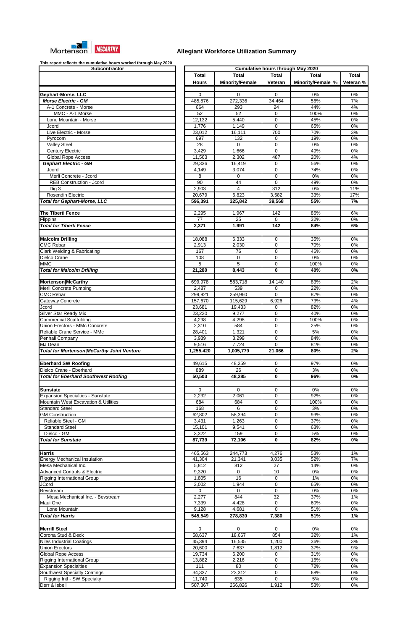

| Gephart-Morse, LLC                                                                                                                                                                                                                                                                                    |
|-------------------------------------------------------------------------------------------------------------------------------------------------------------------------------------------------------------------------------------------------------------------------------------------------------|
| <b>Morse Electric - GM</b>                                                                                                                                                                                                                                                                            |
| A-1 Concrete - Morse                                                                                                                                                                                                                                                                                  |
| MMC - A-1 Morse                                                                                                                                                                                                                                                                                       |
| Lone Mountain - Morse                                                                                                                                                                                                                                                                                 |
| Jcord                                                                                                                                                                                                                                                                                                 |
| Live Electric - Morse                                                                                                                                                                                                                                                                                 |
| Pyrocom                                                                                                                                                                                                                                                                                               |
| Valley Steel                                                                                                                                                                                                                                                                                          |
| <b>Century Electric</b><br><b>Global Rope Access</b>                                                                                                                                                                                                                                                  |
| <b>Gephart Electric - GM</b>                                                                                                                                                                                                                                                                          |
| Jcord                                                                                                                                                                                                                                                                                                 |
| Merli Concrete - Jcord                                                                                                                                                                                                                                                                                |
| <b>REB Construction - Jcord</b>                                                                                                                                                                                                                                                                       |
| Dig 3                                                                                                                                                                                                                                                                                                 |
| <b>Rosendin Electric</b>                                                                                                                                                                                                                                                                              |
| <b>Total for Gephart-Morse, LLC</b>                                                                                                                                                                                                                                                                   |
|                                                                                                                                                                                                                                                                                                       |
| <b>The Tiberti Fence</b>                                                                                                                                                                                                                                                                              |
| Flippins<br><b>Total for Tiberti Fence</b>                                                                                                                                                                                                                                                            |
|                                                                                                                                                                                                                                                                                                       |
| <b>Malcolm Drilling</b>                                                                                                                                                                                                                                                                               |
| <b>CMC Rebar</b>                                                                                                                                                                                                                                                                                      |
| Clark Welding & Fabricating                                                                                                                                                                                                                                                                           |
| Dielco Crane                                                                                                                                                                                                                                                                                          |
| <b>MMC</b>                                                                                                                                                                                                                                                                                            |
| <b>Total for Malcolm Drilling</b>                                                                                                                                                                                                                                                                     |
|                                                                                                                                                                                                                                                                                                       |
| Mortenson McCarthy<br>Merli Concrete Pumping                                                                                                                                                                                                                                                          |
| <b>CMC Rebar</b>                                                                                                                                                                                                                                                                                      |
| Gateway Concrete                                                                                                                                                                                                                                                                                      |
| Jcord                                                                                                                                                                                                                                                                                                 |
| Silver Star Ready Mix                                                                                                                                                                                                                                                                                 |
| <b>Commercial Scaffolding</b>                                                                                                                                                                                                                                                                         |
| Union Erectors - MMc Concrete                                                                                                                                                                                                                                                                         |
| Reliable Crane Service - MMc                                                                                                                                                                                                                                                                          |
| Penhall Company                                                                                                                                                                                                                                                                                       |
| <b>MJ</b> Dean                                                                                                                                                                                                                                                                                        |
| <b>Total for Mortenson/McCarthy Joint Venture</b>                                                                                                                                                                                                                                                     |
| <b>Eberhard SW Roofing</b>                                                                                                                                                                                                                                                                            |
| Dielco Crane - Eberhard                                                                                                                                                                                                                                                                               |
| <b>Total for Eberhard Southwest Roofing</b>                                                                                                                                                                                                                                                           |
|                                                                                                                                                                                                                                                                                                       |
| Sunstate                                                                                                                                                                                                                                                                                              |
| <b>Expansion Specialties - Sunstate</b>                                                                                                                                                                                                                                                               |
| Mountain West Excavation & Utilities                                                                                                                                                                                                                                                                  |
| <b>Standard Steel</b>                                                                                                                                                                                                                                                                                 |
| <b>GM Construction</b>                                                                                                                                                                                                                                                                                |
|                                                                                                                                                                                                                                                                                                       |
| Reliable Steel - GM                                                                                                                                                                                                                                                                                   |
| <b>Standard Steel</b>                                                                                                                                                                                                                                                                                 |
| Dielco - GM<br><b>Total for Sunstate</b>                                                                                                                                                                                                                                                              |
|                                                                                                                                                                                                                                                                                                       |
|                                                                                                                                                                                                                                                                                                       |
|                                                                                                                                                                                                                                                                                                       |
|                                                                                                                                                                                                                                                                                                       |
|                                                                                                                                                                                                                                                                                                       |
|                                                                                                                                                                                                                                                                                                       |
|                                                                                                                                                                                                                                                                                                       |
|                                                                                                                                                                                                                                                                                                       |
| Mesa Mechanical Inc. - Bevstream                                                                                                                                                                                                                                                                      |
| Lone Mountain                                                                                                                                                                                                                                                                                         |
|                                                                                                                                                                                                                                                                                                       |
|                                                                                                                                                                                                                                                                                                       |
|                                                                                                                                                                                                                                                                                                       |
|                                                                                                                                                                                                                                                                                                       |
|                                                                                                                                                                                                                                                                                                       |
|                                                                                                                                                                                                                                                                                                       |
|                                                                                                                                                                                                                                                                                                       |
| <b>Energy Mechanical Insulation</b><br><b>Advanced Controls &amp; Electric</b><br>Rigging International Group<br>JCord<br><b>Total for Harris</b>                                                                                                                                                     |
|                                                                                                                                                                                                                                                                                                       |
| Harris<br>Mesa Mechanical Inc.<br>Bevstream<br>Maui One<br><b>Merrill Steel</b><br>Corona Stud & Deck<br><b>Niles Industrial Coatings</b><br><b>Union Erectors</b><br><b>Global Rope Access</b><br>Rigging International Group<br><b>Expansion Specialties</b><br><b>Southwest Specialty Coatings</b> |
| Rigging Intl - SW Specialty<br>Derr & Isbell                                                                                                                                                                                                                                                          |

| This report reflects the cumulative fleure fromca through may 2020<br>Subcontractor |                 |                        |              | <b>Cumulative hours through May 2020</b> |              |
|-------------------------------------------------------------------------------------|-----------------|------------------------|--------------|------------------------------------------|--------------|
|                                                                                     | <b>Total</b>    | Total                  | <b>Total</b> | <b>Total</b>                             | <b>Total</b> |
|                                                                                     |                 |                        |              |                                          |              |
|                                                                                     | <b>Hours</b>    | <b>Minority/Female</b> | Veteran      | Minority/Female %                        | Veteran %    |
|                                                                                     |                 |                        |              |                                          |              |
| Gephart-Morse, LLC                                                                  | $\Omega$        | 0                      | $\Omega$     | 0%                                       | 0%           |
| <b>Morse Electric - GM</b>                                                          | 485,876         | 272,336                | 34,464       | 56%                                      | 7%           |
| A-1 Concrete - Morse                                                                | 664             | 293                    | 24           | 44%                                      | 4%           |
| MMC - A-1 Morse                                                                     | $\overline{52}$ | 52                     | 0            | 100%                                     | 0%           |
| Lone Mountain - Morse                                                               | 12,132          | 5,440                  | 0            | 45%                                      | 0%           |
| Jcord                                                                               | 1,776           | 1,149                  | $\mathbf 0$  | 65%                                      | 0%           |
| Live Electric - Morse                                                               |                 |                        | 700          | 70%                                      |              |
|                                                                                     | 23,012          | 16,111                 |              |                                          | 3%           |
| Pyrocom                                                                             | 697             | 132                    | 0            | 19%                                      | 0%           |
| <b>Valley Steel</b>                                                                 | 28              | $\mathbf 0$            | 0            | 0%                                       | 0%           |
| <b>Century Electric</b>                                                             | 3,429           | 1,666                  | $\mathbf 0$  | 49%                                      | 0%           |
| Global Rope Access                                                                  | 11,563          | 2,302                  | 487          | 20%                                      | 4%           |
| <b>Gephart Electric - GM</b>                                                        | 29,336          | 16,419                 | 0            | 56%                                      | 0%           |
| Jcord                                                                               | 4,149           | 3,074                  | 0            | 74%                                      | 0%           |
| Merli Concrete - Jcord                                                              | 8               | 0                      | 0            | 0%                                       | 0%           |
| <b>REB Construction - Jcord</b>                                                     | 90              | 44                     | $\mathbf 0$  | 49%                                      | 0%           |
|                                                                                     | 2,903           | 4                      | 312          | 0%                                       |              |
| Dig 3                                                                               |                 |                        |              |                                          | 11%          |
| Rosendin Electric                                                                   | 20,679          | 6,823                  | 3,582        | 33%                                      | 17%          |
| <b>Total for Gephart-Morse, LLC</b>                                                 | 596,391         | 325,842                | 39,568       | 55%                                      | 7%           |
|                                                                                     |                 |                        |              |                                          |              |
| The Tiberti Fence                                                                   | 2,295           | 1,967                  | 142          | 86%                                      | 6%           |
| Flippins                                                                            | 77              | 25                     | 0            | 32%                                      | 0%           |
| <b>Total for Tiberti Fence</b>                                                      | 2,371           | 1,991                  | 142          | 84%                                      | 6%           |
|                                                                                     |                 |                        |              |                                          |              |
| <b>Malcolm Drilling</b>                                                             | 18,088          | 6,333                  | 0            | 35%                                      | 0%           |
| <b>CMC Rebar</b>                                                                    |                 |                        |              | 70%                                      |              |
|                                                                                     | 2,913           | 2,030                  | $\mathbf 0$  |                                          | 0%           |
| Clark Welding & Fabricating                                                         | 167             | 76                     | $\mathbf 0$  | 46%                                      | 0%           |
| Dielco Crane                                                                        | 108             | 0                      | $\mathbf 0$  | 0%                                       | 0%           |
| <b>MMC</b>                                                                          | 5               | $\overline{5}$         | $\mathbf 0$  | 100%                                     | $0\%$        |
| <b>Total for Malcolm Drilling</b>                                                   | 21,280          | 8,443                  | $\bf{0}$     | 40%                                      | 0%           |
|                                                                                     |                 |                        |              |                                          |              |
| Mortenson McCarthy                                                                  | 699,978         | 583,718                | 14,140       | 83%                                      | 2%           |
| Merli Concrete Pumping                                                              | 2,487           | 539                    | $\mathbf 0$  | 22%                                      | 0%           |
| <b>CMC Rebar</b>                                                                    | 299,921         | 259,960                | 0            | 87%                                      | 0%           |
| Gateway Concrete                                                                    | 157,670         | 115,629                | 6,926        | 73%                                      | 4%           |
|                                                                                     |                 |                        |              |                                          |              |
| Jcord                                                                               | 23,681          | 19,433                 | $\Omega$     | 82%                                      | 0%           |
| Silver Star Ready Mix                                                               | 23,220          | 9,277                  | $\Omega$     | 40%                                      | 0%           |
| <b>Commercial Scaffolding</b>                                                       | 4,298           | 4,298                  | $\Omega$     | 100%                                     | 0%           |
| Union Erectors - MMc Concrete                                                       | 2,310           | 584                    | $\Omega$     | 25%                                      | 0%           |
| Reliable Crane Service - MMc                                                        | 28,401          | 1,321                  | $\Omega$     | 5%                                       | 0%           |
| Penhall Company                                                                     | 3,939           | 3,299                  | $\mathbf 0$  | 84%                                      | 0%           |
| MJ Dean                                                                             | 9,516           | 7,724                  | $\Omega$     | 81%                                      | 0%           |
| <b>Total for Mortenson/McCarthy Joint Venture</b>                                   | 1,255,420       | 1,005,779              | 21,066       | 80%                                      | 2%           |
|                                                                                     |                 |                        |              |                                          |              |
| <b>Eberhard SW Roofing</b>                                                          | 49,615          | 48,259                 | 0            | 97%                                      | 0%           |
|                                                                                     |                 |                        |              |                                          |              |
| Dielco Crane - Eberhard                                                             | 889             | 26                     | 0            | 3%                                       | 0%           |
| <b>Total for Eberhard Southwest Roofing</b>                                         | 50,503          | 48,285                 | 0            | 96%                                      | 0%           |
|                                                                                     |                 |                        |              |                                          |              |
| <b>Sunstate</b>                                                                     | $\Omega$        | 0                      | 0            | 0%                                       | 0%           |
| <b>Expansion Specialties - Sunstate</b>                                             | 2,232           | 2,061                  | $\mathbf 0$  | 92%                                      | 0%           |
| Mountain West Excavation & Utilities                                                | 684             | 684                    | $\mathbf 0$  | 100%                                     | 0%           |
| <b>Standard Steel</b>                                                               | 168             | 6                      | $\mathbf 0$  | 3%                                       | 0%           |
| <b>GM Construction</b>                                                              | 62,802          | 58,394                 | $\mathbf 0$  | 93%                                      | 0%           |
|                                                                                     |                 |                        |              |                                          |              |
| Reliable Steel - GM                                                                 | 3,431           | 1,263                  | $\mathbf 0$  | 37%                                      | 0%           |
| <b>Standard Steel</b>                                                               | 15,101          | 9,541                  | 0            | 63%                                      | 0%           |
| Dielco - GM                                                                         | 3,322           | 159                    | $\mathbf 0$  | 5%                                       | 0%           |
| <b>Total for Sunstate</b>                                                           | 87,739          | 72,106                 | $\bf{0}$     | 82%                                      | 0%           |
|                                                                                     |                 |                        |              |                                          |              |
| <b>Harris</b>                                                                       | 465,563         | 244,773                | 4,276        | 53%                                      | 1%           |
| <b>Energy Mechanical Insulation</b>                                                 | 41,304          | 21,341                 | 3,035        | 52%                                      | 7%           |
| Mesa Mechanical Inc.                                                                | 5,812           | 812                    | 27           | 14%                                      | 0%           |
| <b>Advanced Controls &amp; Electric</b>                                             |                 | $\mathbf 0$            |              | 0%                                       |              |
|                                                                                     | 9,320           | 16                     | 10           |                                          | 0%           |
| <b>Rigging International Group</b>                                                  | 1,805           |                        | 0            | 1%                                       | 0%           |
| JCord                                                                               | 3,002           | 1,944                  | 0            | 65%                                      | 0%           |
| Bevstream                                                                           | 0               | 0                      | 0            | $0\%$                                    | 0%           |
| Mesa Mechanical Inc. - Bevstream                                                    | 2,277           | 844                    | 32           | 37%                                      | $1\%$        |
| Maui One                                                                            | 7,339           | 4,428                  | 0            | 60%                                      | 0%           |
| Lone Mountain                                                                       | 9,128           | 4,681                  | $\mathbf 0$  | 51%                                      | 0%           |
| <b>Total for Harris</b>                                                             | 545,549         | 278,839                | 7,380        | 51%                                      | 1%           |
|                                                                                     |                 |                        |              |                                          |              |
|                                                                                     |                 |                        |              |                                          |              |
| <b>Merrill Steel</b>                                                                | 0               | 0                      | 0            | $0\%$                                    | 0%           |
| Corona Stud & Deck                                                                  | 58,637          | 18,667                 | 854          | 32%                                      | 1%           |
| <b>Niles Industrial Coatings</b>                                                    | 45,394          | 16,535                 | 1,200        | 36%                                      | 3%           |
| <b>Union Erectors</b>                                                               | 20,600          | 7,637                  | 1,812        | 37%                                      | 9%           |
| <b>Global Rope Access</b>                                                           | 19,734          | 6,200                  | 0            | 31%                                      | 0%           |
| <b>Rigging International Group</b>                                                  | 13,882          | 2,216                  | 0            | 16%                                      | 0%           |
| <b>Expansion Specialties</b>                                                        | 111             | 80                     | 0            | 72%                                      | 0%           |
| Southwest Specialty Coatings                                                        | 34,337          | 23,312                 | 0            | 68%                                      | 0%           |
| Rigging Intl - SW Specialty                                                         | 11,740          | 635                    | 0            | $5%$                                     | 0%           |
|                                                                                     |                 |                        |              |                                          |              |
| Derr & Isbell                                                                       | 507,367         | 266,826                | 1,912        | 53%                                      | $0\%$        |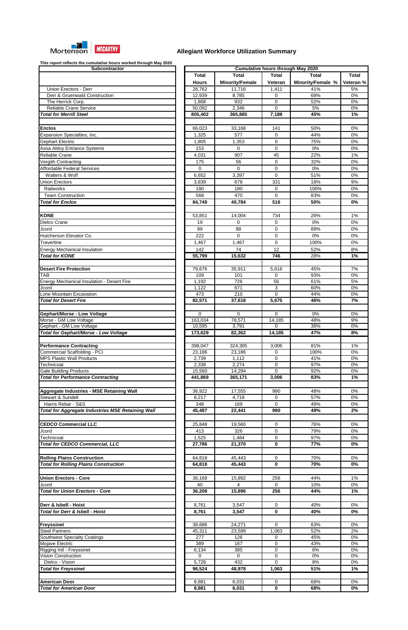

| <b>Subcontractor</b>                                           |
|----------------------------------------------------------------|
|                                                                |
|                                                                |
| Union Erectors - Derr                                          |
| Derr & Gruenwald Construction                                  |
| The Herrick Corp.                                              |
| Reliable Crane Service                                         |
| <b>Total for Merrill Steel</b>                                 |
|                                                                |
| <b>Enclos</b>                                                  |
| Expansion Specialties, Inc.                                    |
| Gephart Electric                                               |
| Assa Abloy Entrance Systems                                    |
| Reliable Crane                                                 |
| Vergith Contracting                                            |
| Affordable Federal Services<br>Walters & Wolf                  |
|                                                                |
| <b>Union Erectors</b><br>Railworks                             |
| <b>Team Construction</b>                                       |
| <b>Total for Enclos</b>                                        |
|                                                                |
|                                                                |
| <b>KONE</b>                                                    |
| Dielco Crane                                                   |
| Jcord<br>Hutcherson Elevator Co.                               |
| Travertine                                                     |
| <b>Energy Mechanical Insulation</b>                            |
| <b>Total for KONE</b>                                          |
|                                                                |
| <b>Desert Fire Protection</b>                                  |
| TAB                                                            |
| <b>Energy Mechanical Insulation - Desert Fire</b>              |
| Jcord                                                          |
| Lone Mountain Excavation                                       |
| <b>Total for Desert Fire</b>                                   |
|                                                                |
| Gephart/Morse - Low Voltage                                    |
| Morse - GM Low Voltage                                         |
| Gephart - GM Low Voltage                                       |
| Total for Gephart/Morse - Low Voltage                          |
|                                                                |
| <b>Performance Contracting</b><br>Commercial Scaffolding - PCI |
| <b>MPS Plastic Wall Products</b>                               |
| Technicoat                                                     |
| <b>Gale Building Products</b>                                  |
| <b>Total for Performance Contracting</b>                       |
|                                                                |
| Aggregate Industries - MSE Retaining Wall                      |
| <b>Stewart &amp; Sundell</b>                                   |
| Harris Rebar - S&S                                             |
| <b>Total for Aggregate Industries MSE Retaining Wall</b>       |
|                                                                |
| <b>CEDCO Commercial LLC</b>                                    |
| Jcord                                                          |
| Technicoat                                                     |
| <b>Total for CEDCO Commercial, LLC</b>                         |
|                                                                |
| <b>Rolling Plains Construction</b>                             |
| <b>Total for Rolling Plains Construction</b>                   |
|                                                                |
| <b>Union Erectors - Core</b>                                   |
| Jcord                                                          |
| <b>Total for Union Erectors - Core</b>                         |
|                                                                |
| Derr & Isbell - Hoist                                          |
| Total for Derr & Isbell - Hoist                                |
|                                                                |
| <b>Freyssinet</b>                                              |
| <b>Steel Partners</b>                                          |
| <b>Southwest Specialty Coatings</b>                            |
| Mojave Electric                                                |
| Rigging Intl - Freyssinet<br>Vision Construction               |
| Dielco - Vision                                                |
| <b>Total for Freyssinet</b>                                    |
|                                                                |
|                                                                |
|                                                                |
| <b>American Door</b><br><b>Total for American Door</b>         |

| This report reflects the cumulative hours worked through may 2020<br>Subcontractor | <b>Cumulative hours through May 2020</b> |                        |                |                   |              |  |
|------------------------------------------------------------------------------------|------------------------------------------|------------------------|----------------|-------------------|--------------|--|
|                                                                                    | <b>Total</b>                             | <b>Total</b>           | <b>Total</b>   | <b>Total</b>      | <b>Total</b> |  |
|                                                                                    |                                          |                        |                |                   |              |  |
|                                                                                    | <b>Hours</b>                             | <b>Minority/Female</b> | <b>Veteran</b> | Minority/Female % | Veteran %    |  |
| Union Erectors - Derr                                                              | 28,762                                   | 11,716                 | 1,411          | 41%               | 5%           |  |
| Derr & Gruenwald Construction                                                      | 12,939                                   | 8,785                  | $\Omega$       | 68%               | 0%           |  |
| The Herrick Corp.                                                                  | 1,808                                    | 932                    | 0              | 52%               | 0%           |  |
| Reliable Crane Service                                                             | 50,092                                   | 2,346                  | $\mathbf 0$    | 5%                | 0%           |  |
| <b>Total for Merrill Steel</b>                                                     | 805,402                                  | 365,885                | 7,188          | 45%               | 1%           |  |
|                                                                                    |                                          |                        |                |                   |              |  |
| <b>Enclos</b>                                                                      | 66,023                                   | 33,168                 | 141            | 50%               | 0%           |  |
| Expansion Specialties, Inc.                                                        | 1,325                                    | 577                    | 0              | 44%               | 0%           |  |
| Gephart Electric                                                                   | 1,805                                    | 1,353                  | $\mathbf 0$    | 75%               | 0%           |  |
| Assa Abloy Entrance Systems                                                        | 153                                      | 0                      | $\Omega$       | 0%                | 0%           |  |
| Reliable Crane                                                                     | 4,031                                    | 907                    | 45             | 22%               | 1%           |  |
| Vergith Contracting                                                                | 175                                      | 56                     | 0              | 32%               | 0%           |  |
| <b>Affordable Federal Services</b>                                                 | $\mathbf 0$                              | 0                      | 0              | 0%                | 0%           |  |
|                                                                                    |                                          |                        |                |                   |              |  |
| Walters & Wolf                                                                     | 6,652                                    | 3,397                  | $\mathbf 0$    | 51%               | 0%           |  |
| <b>Union Erectors</b>                                                              | 3,839                                    | 678                    | 331            | 18%               | 9%           |  |
| Railworks                                                                          | 180                                      | 180                    | 0              | 100%              | 0%           |  |
| <b>Team Construction</b>                                                           | 568                                      | 470                    | $\Omega$       | 83%               | 0%           |  |
| <b>Total for Enclos</b>                                                            | 84,749                                   | 40,784                 | 516            | 50%               | 0%           |  |
|                                                                                    |                                          |                        |                |                   |              |  |
| <b>KONE</b>                                                                        | 53,851                                   | 14,004                 | 734            | 26%               | 1%           |  |
| Dielco Crane                                                                       | 19                                       | 0                      | $\mathbf 0$    | 0%                | 0%           |  |
| Jcord                                                                              | 99                                       | 88                     | 0              | 89%               | 0%           |  |
| Hutcherson Elevator Co.                                                            | 222                                      | 0                      | $\mathbf 0$    | 0%                | 0%           |  |
| <b>Travertine</b>                                                                  | 1,467                                    | 1,467                  | $\mathbf 0$    | 100%              | 0%           |  |
|                                                                                    | 142                                      | 74                     | 12             |                   | 8%           |  |
| <b>Energy Mechanical Insulation</b>                                                |                                          |                        |                | 52%               |              |  |
| <b>Total for KONE</b>                                                              | 55,799                                   | 15,632                 | 746            | 28%               | 1%           |  |
|                                                                                    |                                          |                        |                |                   |              |  |
| <b>Desert Fire Protection</b>                                                      | 79,676                                   | 35,911                 | 5,616          | 45%               | 7%           |  |
| TAB                                                                                | 109                                      | 101                    | $\Omega$       | 93%               | 0%           |  |
| Energy Mechanical Insulation - Desert Fire                                         | 1,192                                    | 726                    | 56             | 61%               | 5%           |  |
| Jcord                                                                              | 1,122                                    | 671                    | 3              | 60%               | 0%           |  |
| Lone Mountain Excavation                                                           | 473                                      | 210                    | $\mathbf 0$    | 44%               | 0%           |  |
| <b>Total for Desert Fire</b>                                                       | 82,571                                   | 37,618                 | 5,675          | 46%               | 7%           |  |
|                                                                                    |                                          |                        |                |                   |              |  |
| Gephart/Morse - Low Voltage                                                        | 0                                        | 0                      | $\Omega$       | 0%                | 0%           |  |
| Morse - GM Low Voltage                                                             | 163,034                                  | 78,571                 | 14,185         | 48%               | 9%           |  |
| Gephart - GM Low Voltage                                                           | 10,595                                   | 3,791                  | $\Omega$       | 36%               | 0%           |  |
| <b>Total for Gephart/Morse - Low Voltage</b>                                       | 173,629                                  | 82,362                 | 14,185         | 47%               | 8%           |  |
|                                                                                    |                                          |                        |                |                   |              |  |
| <b>Performance Contracting</b>                                                     | 398,047                                  | 324,305                | 3,006          | 81%               | 1%           |  |
| Commercial Scaffolding - PCI                                                       | 23,186                                   | 23,186                 | $\Omega$       | 100%              | 0%           |  |
| <b>MPS Plastic Wall Products</b>                                                   | 2,739                                    | 1,112                  | $\mathbf 0$    | 41%               | 0%           |  |
| Technicoat                                                                         | 2,338                                    | 2,274                  | $\Omega$       | 97%               | 0%           |  |
| <b>Gale Building Products</b>                                                      | 15,560                                   | 14,294                 | $\Omega$       | 92%               | 0%           |  |
| <b>Total for Performance Contracting</b>                                           | 441,869                                  | 365,171                | 3,006          | 83%               | 1%           |  |
|                                                                                    |                                          |                        |                |                   |              |  |
| Aggregate Industries - MSE Retaining Wall                                          | 36,922                                   | 17,555                 | 990            | 48%               | 0%           |  |
| Stewart & Sundell                                                                  | 8,217                                    | 4,718                  | 0              | 57%               | 0%           |  |
| Harris Rebar - S&S                                                                 | 348                                      | 169                    | $\mathbf 0$    | 49%               | 0%           |  |
| <b>Total for Aggregate Industries MSE Retaining Wall</b>                           | 45,487                                   | 22,441                 | 990            | 49%               | 2%           |  |
|                                                                                    |                                          |                        |                |                   |              |  |
|                                                                                    |                                          |                        |                |                   |              |  |
| <b>CEDCO Commercial LLC</b>                                                        | 25,848                                   | 19,560                 | $\mathbf 0$    | 76%               | 0%           |  |
| Jcord                                                                              | 413                                      | 326                    | 0              | 79%               | 0%           |  |
| Technicoat                                                                         | 1,525                                    | 1,484                  | 0              | 97%               | 0%           |  |
| <b>Total for CEDCO Commercial, LLC</b>                                             | 27,786                                   | 21,370                 | 0              | 77%               | 0%           |  |
|                                                                                    |                                          |                        |                |                   |              |  |
| <b>Rolling Plains Construction</b>                                                 | 64,818                                   | 45,443                 | 0              | 70%               | 0%           |  |
| <b>Total for Rolling Plains Construction</b>                                       | 64,818                                   | 45,443                 | 0              | 70%               | 0%           |  |
|                                                                                    |                                          |                        |                |                   |              |  |
| <b>Union Erectors - Core</b>                                                       | 36,168                                   | 15,892                 | 256            | 44%               | 1%           |  |
| Jcord                                                                              | 40                                       | 4                      | $\mathbf 0$    | 10%               | 0%           |  |
| <b>Total for Union Erectors - Core</b>                                             | 36,208                                   | 15,896                 | 256            | 44%               | 1%           |  |
|                                                                                    |                                          |                        |                |                   |              |  |
| Derr & Isbell - Hoist                                                              |                                          |                        |                |                   |              |  |
|                                                                                    | 8,761                                    | 3,547                  | 0              | 40%               | 0%           |  |
| <b>Total for Derr &amp; Isbell - Hoist</b>                                         | 8,761                                    | 3,547                  | 0              | 40%               | 0%           |  |
|                                                                                    |                                          |                        |                |                   |              |  |
| <b>Freyssinet</b>                                                                  | 38,686                                   | 24,271                 | $\mathbf 0$    | 63%               | $0\%$        |  |
| <b>Steel Partners</b>                                                              | 45,311                                   | 23,599                 | 1,063          | 52%               | 2%           |  |
| <b>Southwest Specialty Coatings</b>                                                | 277                                      | 126                    | 0              | 45%               | $0\%$        |  |
| Mojave Electric                                                                    | 389                                      | 167                    | 0              | 43%               | 0%           |  |
| Rigging Intl - Freyssinet                                                          | 6,134                                    | 385                    | 0              | 6%                | $0\%$        |  |
| Vision Construction                                                                | $\mathbf 0$                              | 0                      | 0              | $0\%$             | 0%           |  |
| Dielco - Vision                                                                    | 5,728                                    | 432                    | $\mathbf 0$    | 8%                | $0\%$        |  |
| <b>Total for Freyssinet</b>                                                        | 96,524                                   | 48,978                 | 1,063          | 51%               | 1%           |  |
|                                                                                    |                                          |                        |                |                   |              |  |
| <b>American Door</b>                                                               | 8,881                                    | 6,031                  | 0              | 68%               | 0%           |  |
| <b>Total for American Door</b>                                                     | 8,881                                    | 6,031                  | 0              | 68%               | 0%           |  |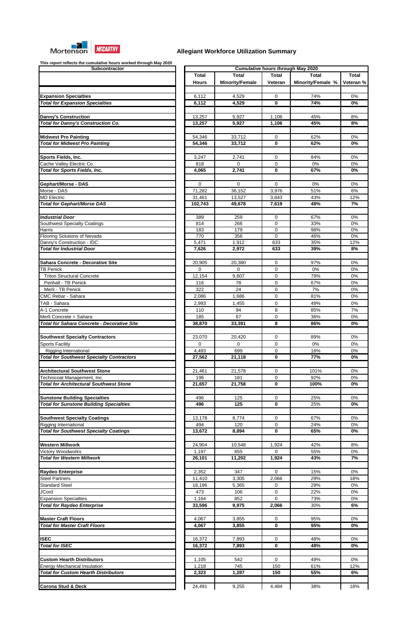

| Subcontractor                                                                 |
|-------------------------------------------------------------------------------|
|                                                                               |
|                                                                               |
| <b>Expansion Specialties</b>                                                  |
| <b>Total for Expansion Specialties</b>                                        |
|                                                                               |
| <b>Danny's Construction</b>                                                   |
| Total for Danny's Construction Co.                                            |
|                                                                               |
| <b>Midwest Pro Painting</b><br><b>Total for Midwest Pro Painting</b>          |
|                                                                               |
| Sports Fields, Inc.                                                           |
| Cache Valley Electric Co.                                                     |
| <b>Total for Sports Fields, Inc.</b>                                          |
|                                                                               |
| Gephart/Morse - DAS<br>Morse - DAS                                            |
| <b>MD Electric</b>                                                            |
| <b>Total for Gephart/Morse DAS</b>                                            |
|                                                                               |
| <b>Industrial Door</b>                                                        |
| <b>Southwest Specialty Coatings</b>                                           |
| Harris<br><b>Flooring Solutions of Nevada</b>                                 |
| Danny's Construction - IDC                                                    |
| <b>Total for Industrial Door</b>                                              |
|                                                                               |
| <b>Sahara Concrete - Decorative Site</b>                                      |
| <b>TB Penick</b><br><b>Triton Structural Concrete</b>                         |
| Penhall - TB Penick                                                           |
| Merli - TB Penick                                                             |
| <b>CMC Rebar - Sahara</b>                                                     |
| TAB - Sahara                                                                  |
| A-1 Concrete                                                                  |
| Merli Concrete = Sahara                                                       |
| <b>Total for Sahara Concrete - Decorative Site</b>                            |
| <b>Southwest Specialty Contractors</b>                                        |
| <b>Sports Facility</b>                                                        |
| Rigging International                                                         |
| <b>Total for Southwest Specialty Contractors</b>                              |
|                                                                               |
| <b>Architectural Southwest Stone</b>                                          |
| Technicoat Management, Inc.<br><b>Total for Architectural Southwest Stone</b> |
|                                                                               |
| <b>Sunstone Building Specialties</b>                                          |
| <b>Total for Sunstone Building Specialties</b>                                |
|                                                                               |
| <b>Southwest Specialty Coatings</b>                                           |
| Rigging International<br><b>Total for Southwest Specialty Coatings</b>        |
|                                                                               |
| <b>Western Millwork</b>                                                       |
| Victory Woodworks                                                             |
| <b>Total for Western Millwork</b>                                             |
|                                                                               |
| <b>Raydeo Enterprise</b>                                                      |
| <b>Steel Partners</b><br><b>Standard Steel</b>                                |
| <b>JCord</b>                                                                  |
| <b>Expansion Specialties</b>                                                  |
| <b>Total for Raydeo Enterprise</b>                                            |
|                                                                               |
| <b>Master Craft Floors</b>                                                    |
| <b>Total for Master Craft Floors</b>                                          |
|                                                                               |
| <b>ISEC</b><br><b>Total for ISEC</b>                                          |
|                                                                               |
| <b>Custom Hearth Distributors</b>                                             |
| <b>Energy Mechanical Insulation</b>                                           |
| <b>Total for Custom Hearth Distributors</b>                                   |
|                                                                               |
| <b>Corona Stud &amp; Deck</b>                                                 |

| This report reflects the cumulative hours worked through may zuzu<br>Subcontractor     |                  | <b>Cumulative hours through May 2020</b> |                  |                   |              |  |  |  |
|----------------------------------------------------------------------------------------|------------------|------------------------------------------|------------------|-------------------|--------------|--|--|--|
|                                                                                        | <b>Total</b>     | <b>Total</b>                             | <b>Total</b>     | <b>Total</b>      | <b>Total</b> |  |  |  |
|                                                                                        | <b>Hours</b>     | <b>Minority/Female</b>                   | Veteran          | Minority/Female % | Veteran %    |  |  |  |
| <b>Expansion Specialties</b>                                                           | 6,112            | 4,529                                    | $\mathbf 0$      | 74%               | 0%           |  |  |  |
| <b>Total for Expansion Specialties</b>                                                 | 6,112            | 4,529                                    | 0                | 74%               | 0%           |  |  |  |
|                                                                                        |                  |                                          |                  |                   |              |  |  |  |
| <b>Danny's Construction</b>                                                            | 13,257           | 5,927                                    | 1,106            | 45%               | 8%           |  |  |  |
| <b>Total for Danny's Construction Co.</b>                                              | 13,257           | 5,927                                    | 1,106            | 45%               | 8%           |  |  |  |
|                                                                                        |                  |                                          |                  |                   |              |  |  |  |
| <b>Midwest Pro Painting</b><br><b>Total for Midwest Pro Painting</b>                   | 54,346<br>54,346 | 33,712<br>33,712                         | $\mathbf 0$<br>0 | 62%<br>62%        | 0%<br>0%     |  |  |  |
|                                                                                        |                  |                                          |                  |                   |              |  |  |  |
| Sports Fields, Inc.                                                                    | 3,247            | 2,741                                    | $\mathbf 0$      | 84%               | 0%           |  |  |  |
| Cache Valley Electric Co.                                                              | 818              | 0                                        | $\mathbf 0$      | 0%                | 0%           |  |  |  |
| <b>Total for Sports Fields, Inc.</b>                                                   | 4,065            | 2,741                                    | 0                | 67%               | 0%           |  |  |  |
|                                                                                        |                  |                                          |                  |                   |              |  |  |  |
| <b>Gephart/Morse - DAS</b>                                                             | $\mathbf 0$      | 0                                        | 0                | 0%                | 0%           |  |  |  |
| Morse - DAS<br><b>MD Electric</b>                                                      | 71,282<br>31,461 | 36,152<br>13,527                         | 3,976<br>3,643   | 51%<br>43%        | 6%<br>12%    |  |  |  |
| <b>Total for Gephart/Morse DAS</b>                                                     | 102,743          | 49,678                                   | 7,619            | 48%               | 7%           |  |  |  |
|                                                                                        |                  |                                          |                  |                   |              |  |  |  |
| <b>Industrial Door</b>                                                                 | 389              | 259                                      | 0                | 67%               | 0%           |  |  |  |
| Southwest Specialty Coatings                                                           | 814              | 266                                      | 0                | 33%               | 0%           |  |  |  |
| Harris                                                                                 | 183              | 179                                      | 0                | 98%               | 0%           |  |  |  |
| <b>Flooring Solutions of Nevada</b><br>Danny's Construction - IDC                      | 770<br>5,471     | 356<br>1,912                             | 0<br>633         | 46%<br>35%        | 0%<br>12%    |  |  |  |
| <b>Total for Industrial Door</b>                                                       | 7,626            | 2,972                                    | 633              | 39%               | 8%           |  |  |  |
|                                                                                        |                  |                                          |                  |                   |              |  |  |  |
| Sahara Concrete - Decorative Site                                                      | 20,905           | 20,380                                   | 0                | 97%               | 0%           |  |  |  |
| <b>TB Penick</b>                                                                       | $\Omega$         | $\Omega$                                 | $\mathbf 0$      | 0%                | 0%           |  |  |  |
| <b>Triton Structural Concrete</b>                                                      | 12,154           | 9,607                                    | $\mathbf 0$      | 79%               | 0%           |  |  |  |
| Penhall - TB Penick                                                                    | 116              | 78                                       | 0                | 67%               | 0%           |  |  |  |
| Merli - TB Penick                                                                      | 322              | 24                                       | 0                | 7%                | 0%           |  |  |  |
| <b>CMC Rebar - Sahara</b>                                                              | 2,086            | 1,686                                    | 0                | 81%               | 0%           |  |  |  |
| TAB - Sahara                                                                           | 2,993            | 1,455                                    | $\Omega$         | 49%               | 0%           |  |  |  |
| A-1 Concrete                                                                           | 110              | 94                                       | 8                | 85%               | 7%           |  |  |  |
| Merli Concrete = Sahara<br><b>Total for Sahara Concrete - Decorative Site</b>          | 185              | 67                                       | 0<br>8           | 36%               | 0%           |  |  |  |
|                                                                                        | 38,870           | 33,391                                   |                  | 86%               | 0%           |  |  |  |
| <b>Southwest Specialty Contractors</b>                                                 | 23,070           | 20,420                                   | 0                | 89%               | 0%           |  |  |  |
| <b>Sports Facility</b>                                                                 | $\Omega$         | 0                                        | 0                | 0%                | 0%           |  |  |  |
| <b>Rigging International</b>                                                           | 4,493            | 699                                      | 0                | 16%               | 0%           |  |  |  |
| <b>Total for Southwest Specialty Contractors</b>                                       | 27,562           | 21,118                                   | 0                | 77%               | 0%           |  |  |  |
|                                                                                        |                  |                                          |                  |                   |              |  |  |  |
| <b>Architectural Southwest Stone</b>                                                   | 21,461           | 21,578                                   | 0                | 101%              | 0%           |  |  |  |
| Technicoat Management, Inc.                                                            | 196              | 181                                      | $\Omega$         | 92%               | 0%           |  |  |  |
| <b>Total for Architectural Southwest Stone</b>                                         | 21,657           | 21,758                                   | 0                | 100%              | 0%           |  |  |  |
|                                                                                        |                  |                                          |                  |                   |              |  |  |  |
| <b>Sunstone Building Specialties</b><br><b>Total for Sunstone Building Specialties</b> | 496<br>496       | 125<br>$\overline{125}$                  | 0<br>0           | 25%<br>25%        | 0%<br>0%     |  |  |  |
|                                                                                        |                  |                                          |                  |                   |              |  |  |  |
| <b>Southwest Specialty Coatings</b>                                                    | 13,178           | 8,774                                    | 0                | 67%               | 0%           |  |  |  |
| Rigging International                                                                  | 494              | 120                                      | 0                | 24%               | 0%           |  |  |  |
| <b>Total for Southwest Specialty Coatings</b>                                          | 13,672           | 8,894                                    | 0                | 65%               | 0%           |  |  |  |
|                                                                                        |                  |                                          |                  |                   |              |  |  |  |
| Western Millwork                                                                       | 24,904           | 10,548                                   | 1,924            | 42%               | 8%           |  |  |  |
| Victory Woodworks                                                                      | 1,197            | 655                                      | $\Omega$         | 55%               | 0%           |  |  |  |
| <b>Total for Western Millwork</b>                                                      | 26,101           | 11,202                                   | 1,924            | 43%               | 7%           |  |  |  |
|                                                                                        |                  |                                          |                  |                   |              |  |  |  |
| <b>Raydeo Enterprise</b>                                                               | 2,352            | 347                                      | $\Omega$         | 15%<br>29%        | 0%<br>18%    |  |  |  |
| <b>Steel Partners</b><br><b>Standard Steel</b>                                         | 11,410<br>18,196 | 3,305<br>5,365                           | 2,066<br>0       | 29%               | 0%           |  |  |  |
| <b>JCord</b>                                                                           | 473              | 106                                      | 0                | 22%               | 0%           |  |  |  |
| <b>Expansion Specialties</b>                                                           | 1,164            | 852                                      | $\mathbf 0$      | 73%               | 0%           |  |  |  |
| <b>Total for Raydeo Enterprise</b>                                                     | 33,596           | 9,975                                    | 2,066            | 30%               | 6%           |  |  |  |
|                                                                                        |                  |                                          |                  |                   |              |  |  |  |
| <b>Master Craft Floors</b>                                                             | 4,067            | 3,855                                    | 0                | 95%               | 0%           |  |  |  |
| <b>Total for Master Craft Floors</b>                                                   | 4,067            | 3,855                                    | 0                | 95%               | $0\%$        |  |  |  |
|                                                                                        |                  |                                          |                  |                   |              |  |  |  |
| <b>ISEC</b>                                                                            | 16,372           | 7,893                                    | 0                | 48%               | 0%           |  |  |  |
| <b>Total for ISEC</b>                                                                  | 16,372           | 7,893                                    | 0                | 48%               | $0\%$        |  |  |  |
| <b>Custom Hearth Distributors</b>                                                      | 1,105            | 542                                      | $\mathbf 0$      | 49%               | 0%           |  |  |  |
| <b>Energy Mechanical Insulation</b>                                                    | 1,218            | 745                                      | 150              | 61%               | 12%          |  |  |  |
| <b>Total for Custom Hearth Distributors</b>                                            | 2,323            | 1,287                                    | 150              | 55%               | 6%           |  |  |  |
|                                                                                        |                  |                                          |                  |                   |              |  |  |  |
| <b>Corona Stud &amp; Deck</b>                                                          | 24,491           | 9,255                                    | 4,484            | 38%               | 18%          |  |  |  |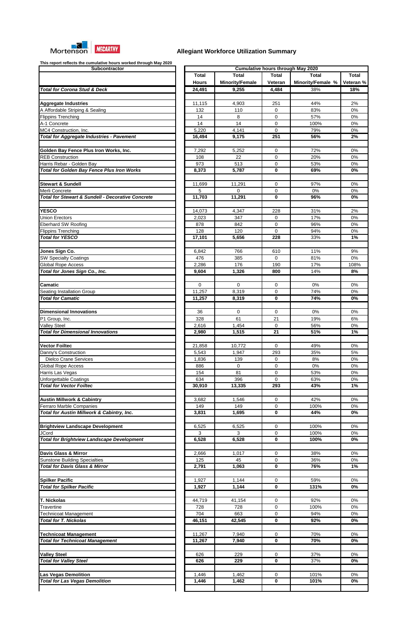

| Subcontractor                                                                                       |                  |   |
|-----------------------------------------------------------------------------------------------------|------------------|---|
|                                                                                                     | <b>Total</b>     |   |
|                                                                                                     | <b>Hours</b>     | M |
| <b>Total for Corona Stud &amp; Deck</b>                                                             | 24,491           |   |
| <b>Aggregate Industries</b>                                                                         | 11,115           |   |
| A Affordable Striping & Sealing                                                                     | 132              |   |
| <b>Flippins Trenching</b>                                                                           | 14               |   |
| A-1 Concrete                                                                                        | 14               |   |
| MC4 Construction, Inc.<br><b>Total for Aggregate Industries - Pavement</b>                          | 5,220<br>16,494  |   |
|                                                                                                     |                  |   |
| Golden Bay Fence Plus Iron Works, Inc.                                                              | 7,292            |   |
| <b>REB Construction</b>                                                                             | 108              |   |
| Harris Rebar - Golden Bay                                                                           | 973              |   |
| <b>Total for Golden Bay Fence Plus Iron Works</b>                                                   | 8,373            |   |
| <b>Stewart &amp; Sundell</b>                                                                        | 11,699           |   |
| Merli Concrete                                                                                      | 5                |   |
| <b>Total for Stewart &amp; Sundell - Decorative Concrete</b>                                        | 11,703           |   |
|                                                                                                     |                  |   |
| <b>YESCO</b><br><b>Union Erectors</b>                                                               | 14,073<br>2,023  |   |
| <b>Eberhard SW Roofing</b>                                                                          | 878              |   |
| <b>Flippins Trenching</b>                                                                           | 128              |   |
| <b>Total for YESCO</b>                                                                              | 17,101           |   |
|                                                                                                     |                  |   |
| Jones Sign Co.<br><b>SW Specialty Coatings</b>                                                      | 6,842<br>476     |   |
| <b>Global Rope Access</b>                                                                           | 2,286            |   |
| Total for Jones Sign Co., Inc.                                                                      | 9,604            |   |
|                                                                                                     |                  |   |
| Camatic                                                                                             | $\mathbf 0$      |   |
| <b>Seating Installation Group</b><br><b>Total for Camatic</b>                                       | 11,257<br>11,257 |   |
|                                                                                                     |                  |   |
| <b>Dimensional Innovations</b>                                                                      | 36               |   |
| P1 Group, Inc.                                                                                      | 328              |   |
| <b>Valley Steel</b>                                                                                 | 2,616            |   |
| <b>Total for Dimensional Innovations</b>                                                            | 2,980            |   |
| <b>Vector Foiltec</b>                                                                               | 21,858           |   |
| Danny's Construction                                                                                | 5,543            |   |
| <b>Dielco Crane Services</b>                                                                        | 1,836            |   |
| <b>Global Rope Access</b>                                                                           | 886              |   |
| Harris Las Vegas<br>Unforgettable Coatings                                                          | 154<br>634       |   |
| <b>Total for Vector Foiltec</b>                                                                     | 30,910           |   |
|                                                                                                     |                  |   |
| <b>Austin Millwork &amp; Cabintry</b>                                                               | 3,682            |   |
| Ferraro Marble Companies<br>Total for Austin Millwork & Cabintry, Inc.                              | 149<br>3,831     |   |
|                                                                                                     |                  |   |
| <b>Brightview Landscape Development</b>                                                             | 6,525            |   |
| JCord                                                                                               | 3                |   |
| <b>Total for Brightview Landscape Development</b>                                                   | 6,528            |   |
| <b>Davis Glass &amp; Mirror</b>                                                                     | 2,666            |   |
| <b>Sunstone Building Specialties</b>                                                                | 125              |   |
| <b>Total for Davis Glass &amp; Mirror</b>                                                           | 2,791            |   |
|                                                                                                     |                  |   |
|                                                                                                     |                  |   |
|                                                                                                     | 1,927            |   |
|                                                                                                     | 1,927            |   |
| <b>Total for Spilker Pacific</b>                                                                    |                  |   |
|                                                                                                     | 44,719<br>728    |   |
|                                                                                                     | 704              |   |
|                                                                                                     | 46,151           |   |
| <b>Total for T. Nickolas</b>                                                                        |                  |   |
|                                                                                                     | 11,267           |   |
| <b>Travertine</b><br><b>Technicoat Management</b><br><b>Total for Technicoat Management</b>         | 11,267           |   |
|                                                                                                     | 626              |   |
| <b>Total for Valley Steel</b>                                                                       | 626              |   |
| <b>Spilker Pacific</b><br><b>T. Nickolas</b><br><b>Technicoat Management</b><br><b>Valley Steel</b> |                  |   |
| <b>Las Vegas Demolition</b><br><b>Total for Las Vegas Demolition</b>                                | 1,446<br>1,446   |   |

| This report renews the cumulative hears worked through may zozu<br>Subcontractor | <b>Cumulative hours through May 2020</b> |                        |              |                   |                  |
|----------------------------------------------------------------------------------|------------------------------------------|------------------------|--------------|-------------------|------------------|
|                                                                                  | <b>Total</b>                             | <b>Total</b>           | <b>Total</b> | <b>Total</b>      | <b>Total</b>     |
|                                                                                  |                                          | <b>Minority/Female</b> |              |                   |                  |
|                                                                                  | <b>Hours</b>                             |                        | Veteran      | Minority/Female % | Veteran %        |
| <b>Total for Corona Stud &amp; Deck</b>                                          | 24,491                                   | 9,255                  | 4,484        | 38%               | 18%              |
|                                                                                  |                                          |                        |              |                   |                  |
| <b>Aggregate Industries</b>                                                      | 11,115                                   | 4,903                  | 251          | 44%               | 2%               |
| A Affordable Striping & Sealing                                                  | 132                                      | 110                    | 0            | 83%               | 0%               |
| <b>Flippins Trenching</b>                                                        | 14                                       | 8                      | 0            | 57%               | 0%               |
| A-1 Concrete                                                                     | 14                                       | 14                     | 0            | 100%              | 0%               |
| MC4 Construction, Inc.                                                           | 5,220                                    | 4,141                  | $\mathbf 0$  | 79%               | 0%               |
| <b>Total for Aggregate Industries - Pavement</b>                                 | 16,494                                   | 9,175                  | 251          | 56%               | 2%               |
|                                                                                  |                                          |                        |              |                   |                  |
|                                                                                  |                                          |                        |              |                   |                  |
| Golden Bay Fence Plus Iron Works, Inc.                                           | 7,292                                    | 5,252                  | $\mathbf 0$  | 72%               | 0%               |
| <b>REB Construction</b>                                                          | 108                                      | 22                     | 0            | 20%               | 0%               |
| Harris Rebar - Golden Bay                                                        | 973                                      | 513                    | 0            | 53%               | 0%               |
| <b>Total for Golden Bay Fence Plus Iron Works</b>                                | 8,373                                    | 5,787                  | 0            | 69%               | 0%               |
|                                                                                  |                                          |                        |              |                   |                  |
| <b>Stewart &amp; Sundell</b>                                                     | 11,699                                   | 11,291                 | 0            | 97%               | 0%               |
| Merli Concrete                                                                   | 5                                        | 0                      | 0            | 0%                | 0%               |
| <b>Total for Stewart &amp; Sundell - Decorative Concrete</b>                     | 11,703                                   | 11,291                 | 0            | 96%               | 0%               |
|                                                                                  |                                          |                        |              |                   |                  |
|                                                                                  |                                          |                        |              |                   |                  |
| <b>YESCO</b>                                                                     | 14,073                                   | 4,347                  | 228          | 31%               | 2%               |
| <b>Union Erectors</b>                                                            | 2,023                                    | 347                    | 0            | 17%               | 0%               |
| <b>Eberhard SW Roofing</b>                                                       | 878                                      | 842                    | 0            | 96%               | 0%               |
| <b>Flippins Trenching</b>                                                        | 128                                      | 120                    | $\mathbf 0$  | 94%               | 0%               |
| <b>Total for YESCO</b>                                                           | 17,101                                   | 5,656                  | 228          | 33%               | 1%               |
|                                                                                  |                                          |                        |              |                   |                  |
|                                                                                  |                                          |                        |              |                   |                  |
| Jones Sign Co.                                                                   | 6,842                                    | 766                    | 610          | 11%               | 9%               |
| <b>SW Specialty Coatings</b>                                                     | 476                                      | 385                    | $\Omega$     | 81%               | 0%               |
| <b>Global Rope Access</b>                                                        | 2,286                                    | 176                    | 190          | 17%               | 108%             |
| Total for Jones Sign Co., Inc.                                                   | 9,604                                    | 1,326                  | 800          | 14%               | 8%               |
|                                                                                  |                                          |                        |              |                   |                  |
| <b>Camatic</b>                                                                   | $\mathbf 0$                              | 0                      | 0            | 0%                | 0%               |
| <b>Seating Installation Group</b>                                                | 11,257                                   | 8,319                  | 0            | 74%               | 0%               |
| <b>Total for Camatic</b>                                                         | 11,257                                   | 8,319                  | 0            | 74%               | 0%               |
|                                                                                  |                                          |                        |              |                   |                  |
|                                                                                  |                                          |                        |              |                   |                  |
| <b>Dimensional Innovations</b>                                                   | 36                                       | 0                      | 0            | 0%                | 0%               |
| P1 Group, Inc.                                                                   | 328                                      | 61                     | 21           | 19%               | 6%               |
| <b>Valley Steel</b>                                                              | 2,616                                    | 1,454                  | $\Omega$     | 56%               | 0%               |
| <b>Total for Dimensional Innovations</b>                                         | 2,980                                    | 1,515                  | 21           | 51%               | 1%               |
|                                                                                  |                                          |                        |              |                   |                  |
| <b>Vector Foiltec</b>                                                            | 21,858                                   | 10,772                 | 0            | 49%               | 0%               |
| Danny's Construction                                                             | 5,543                                    | 1,947                  | 293          | 35%               | 5%               |
|                                                                                  |                                          |                        |              |                   |                  |
| <b>Dielco Crane Services</b>                                                     | 1,836                                    | 139                    | 0            | 8%                | 0%               |
| <b>Global Rope Access</b>                                                        | 886                                      | 0                      | 0            | 0%                | 0%               |
| Harris Las Vegas                                                                 | 154                                      | 81                     | 0            | 53%               | 0%               |
| Unforgettable Coatings                                                           | 634                                      | 396                    | $\mathbf 0$  | 63%               | 0%               |
| <b>Total for Vector Foiltec</b>                                                  | 30,910                                   | 13,335                 | 293          | 43%               | 1%               |
|                                                                                  |                                          |                        |              |                   |                  |
| <b>Austin Millwork &amp; Cabintry</b>                                            | 3,682                                    | 1,546                  | 0            | 42%               | 0%               |
| <b>Ferraro Marble Companies</b>                                                  | 149                                      | 149                    | 0            | 100%              | 0%               |
| Total for Austin Millwork & Cabintry, Inc.                                       | 3,831                                    | 1,695                  | 0            | 44%               | 0%               |
|                                                                                  |                                          |                        |              |                   |                  |
|                                                                                  |                                          |                        |              |                   |                  |
| <b>Brightview Landscape Development</b>                                          | 6,525                                    | 6,525                  | 0            | 100%              | 0%               |
| <b>JCord</b>                                                                     | 3                                        | 3                      | 0            | 100%              | 0%               |
| <b>Total for Brightview Landscape Development</b>                                | 6,528                                    | 6,528                  | 0            | 100%              | 0%               |
|                                                                                  |                                          |                        |              |                   |                  |
| Davis Glass & Mirror                                                             | 2,666                                    | 1,017                  | 0            | 38%               | 0%               |
| <b>Sunstone Building Specialties</b>                                             | 125                                      | 45                     | 0            | 36%               | 0%               |
| <b>Total for Davis Glass &amp; Mirror</b>                                        | 2,791                                    | 1,063                  | $\mathbf 0$  | 76%               | 1%               |
|                                                                                  |                                          |                        |              |                   |                  |
|                                                                                  |                                          |                        |              |                   |                  |
| <b>Spilker Pacific</b>                                                           | 1,927                                    | 1,144                  | 0            | 59%               | 0%               |
| <b>Total for Spilker Pacific</b>                                                 | 1,927                                    | 1,144                  | $\mathbf 0$  | 131%              | 0%               |
|                                                                                  |                                          |                        |              |                   |                  |
| <b>T. Nickolas</b>                                                               | 44,719                                   | 41,154                 | 0            | 92%               | 0%               |
| Travertine                                                                       | 728                                      | 728                    | 0            | 100%              | 0%               |
| Technicoat Management                                                            | 704                                      | 663                    | 0            | 94%               | 0%               |
| <b>Total for T. Nickolas</b>                                                     | 46,151                                   | 42,545                 | $\mathbf 0$  | 92%               | 0%               |
|                                                                                  |                                          |                        |              |                   |                  |
|                                                                                  |                                          |                        |              |                   |                  |
| <b>Technicoat Management</b>                                                     | 11,267                                   | 7,940                  | 0            | 70%               | 0%               |
| <b>Total for Technicoat Management</b>                                           | 11,267                                   | 7,940                  | 0            | 70%               | 0%               |
|                                                                                  |                                          |                        |              |                   |                  |
| <b>Valley Steel</b>                                                              | 626                                      | 229                    | 0            | 37%               | 0%               |
| <b>Total for Valley Steel</b>                                                    | 626                                      | 229                    | 0            | 37%               | 0%               |
|                                                                                  |                                          |                        |              |                   |                  |
| <b>Las Vegas Demolition</b>                                                      | 1,446                                    | 1,462                  | 0            | 101%              | $0\%$            |
| <b>Total for Las Vegas Demolition</b>                                            | 1,446                                    | 1,462                  | 0            | 101%              | $\overline{0\%}$ |
|                                                                                  |                                          |                        |              |                   |                  |
|                                                                                  |                                          |                        |              |                   |                  |